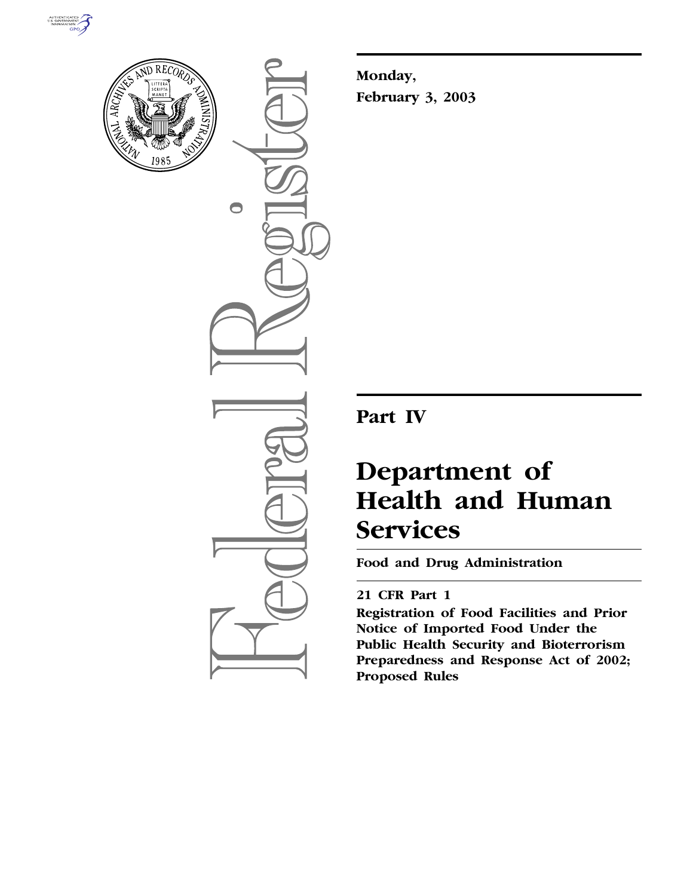



 $\bigcirc$ 

**Monday, February 3, 2003**

**Part IV**

# **Department of Health and Human Services**

**Food and Drug Administration** 

# **21 CFR Part 1**

**Registration of Food Facilities and Prior Notice of Imported Food Under the Public Health Security and Bioterrorism Preparedness and Response Act of 2002; Proposed Rules**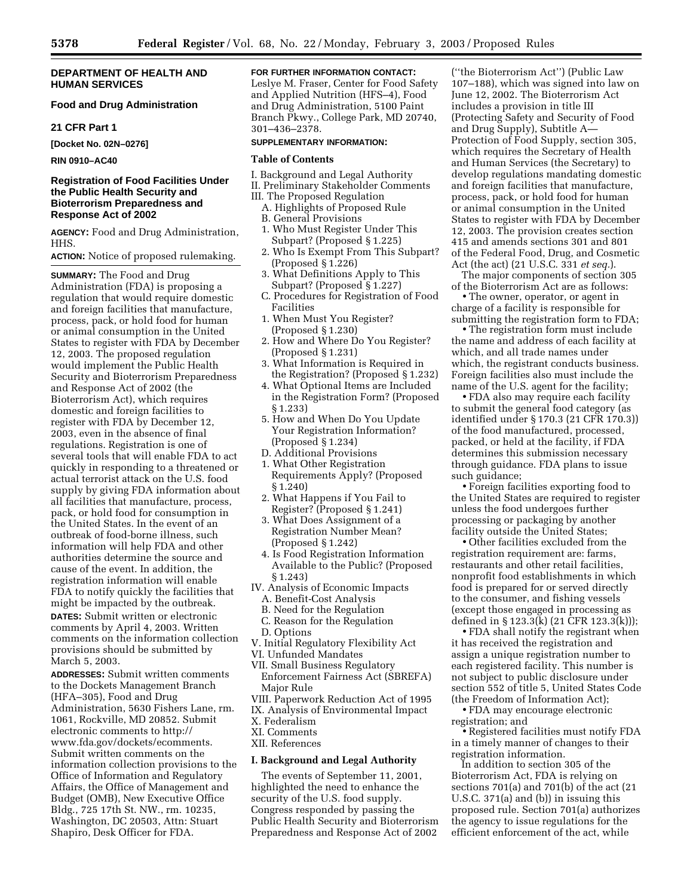#### **DEPARTMENT OF HEALTH AND HUMAN SERVICES**

## **Food and Drug Administration**

#### **21 CFR Part 1**

**[Docket No. 02N–0276]**

**RIN 0910–AC40**

## **Registration of Food Facilities Under the Public Health Security and Bioterrorism Preparedness and Response Act of 2002**

**AGENCY:** Food and Drug Administration, HHS.

**ACTION:** Notice of proposed rulemaking.

**SUMMARY:** The Food and Drug Administration (FDA) is proposing a regulation that would require domestic and foreign facilities that manufacture, process, pack, or hold food for human or animal consumption in the United States to register with FDA by December 12, 2003. The proposed regulation would implement the Public Health Security and Bioterrorism Preparedness and Response Act of 2002 (the Bioterrorism Act), which requires domestic and foreign facilities to register with FDA by December 12, 2003, even in the absence of final regulations. Registration is one of several tools that will enable FDA to act quickly in responding to a threatened or actual terrorist attack on the U.S. food supply by giving FDA information about all facilities that manufacture, process, pack, or hold food for consumption in the United States. In the event of an outbreak of food-borne illness, such information will help FDA and other authorities determine the source and cause of the event. In addition, the registration information will enable FDA to notify quickly the facilities that might be impacted by the outbreak. **DATES:** Submit written or electronic comments by April 4, 2003. Written comments on the information collection provisions should be submitted by March 5, 2003.

**ADDRESSES:** Submit written comments to the Dockets Management Branch (HFA–305), Food and Drug Administration, 5630 Fishers Lane, rm. 1061, Rockville, MD 20852. Submit electronic comments to http:// www.fda.gov/dockets/ecomments. Submit written comments on the information collection provisions to the Office of Information and Regulatory Affairs, the Office of Management and Budget (OMB), New Executive Office Bldg., 725 17th St. NW., rm. 10235, Washington, DC 20503, Attn: Stuart Shapiro, Desk Officer for FDA.

## **FOR FURTHER INFORMATION CONTACT:**

Leslye M. Fraser, Center for Food Safety and Applied Nutrition (HFS–4), Food and Drug Administration, 5100 Paint Branch Pkwy., College Park, MD 20740, 301–436–2378.

#### **SUPPLEMENTARY INFORMATION:**

#### **Table of Contents**

- I. Background and Legal Authority
- II. Preliminary Stakeholder Comments
- III. The Proposed Regulation
	- A. Highlights of Proposed Rule
	- B. General Provisions
	- 1. Who Must Register Under This Subpart? (Proposed § 1.225)
	- 2. Who Is Exempt From This Subpart? (Proposed § 1.226)
	- 3. What Definitions Apply to This Subpart? (Proposed § 1.227)
	- C. Procedures for Registration of Food Facilities
	- 1. When Must You Register? (Proposed § 1.230)
	- 2. How and Where Do You Register? (Proposed § 1.231)
	- 3. What Information is Required in the Registration? (Proposed § 1.232)
	- 4. What Optional Items are Included in the Registration Form? (Proposed § 1.233)
	- 5. How and When Do You Update Your Registration Information? (Proposed § 1.234)
	- D. Additional Provisions
	- 1. What Other Registration Requirements Apply? (Proposed § 1.240)
	- 2. What Happens if You Fail to Register? (Proposed § 1.241)
	- 3. What Does Assignment of a Registration Number Mean? (Proposed § 1.242)
	- 4. Is Food Registration Information Available to the Public? (Proposed § 1.243)
- IV. Analysis of Economic Impacts
	- A. Benefit-Cost Analysis
	- B. Need for the Regulation
	- C. Reason for the Regulation
	- D. Options
- V. Initial Regulatory Flexibility Act
- VI. Unfunded Mandates
- VII. Small Business Regulatory
- Enforcement Fairness Act (SBREFA) Major Rule
- VIII. Paperwork Reduction Act of 1995
- IX. Analysis of Environmental Impact
- X. Federalism
- XI. Comments
- XII. References

#### **I. Background and Legal Authority**

The events of September 11, 2001, highlighted the need to enhance the security of the U.S. food supply. Congress responded by passing the Public Health Security and Bioterrorism Preparedness and Response Act of 2002

(''the Bioterrorism Act'') (Public Law 107–188), which was signed into law on June 12, 2002. The Bioterrorism Act includes a provision in title III (Protecting Safety and Security of Food and Drug Supply), Subtitle A— Protection of Food Supply, section 305, which requires the Secretary of Health and Human Services (the Secretary) to develop regulations mandating domestic and foreign facilities that manufacture, process, pack, or hold food for human or animal consumption in the United States to register with FDA by December 12, 2003. The provision creates section 415 and amends sections 301 and 801 of the Federal Food, Drug, and Cosmetic Act (the act) (21 U.S.C. 331 *et seq.*).

The major components of section 305 of the Bioterrorism Act are as follows:

• The owner, operator, or agent in charge of a facility is responsible for submitting the registration form to FDA;

• The registration form must include the name and address of each facility at which, and all trade names under which, the registrant conducts business. Foreign facilities also must include the name of the U.S. agent for the facility;

• FDA also may require each facility to submit the general food category (as identified under § 170.3 (21 CFR 170.3)) of the food manufactured, processed, packed, or held at the facility, if FDA determines this submission necessary through guidance. FDA plans to issue such guidance;

• Foreign facilities exporting food to the United States are required to register unless the food undergoes further processing or packaging by another facility outside the United States;

• Other facilities excluded from the registration requirement are: farms, restaurants and other retail facilities, nonprofit food establishments in which food is prepared for or served directly to the consumer, and fishing vessels (except those engaged in processing as defined in § 123.3(k) (21 CFR 123.3(k)));

• FDA shall notify the registrant when it has received the registration and assign a unique registration number to each registered facility. This number is not subject to public disclosure under section 552 of title 5, United States Code (the Freedom of Information Act);

• FDA may encourage electronic registration; and

• Registered facilities must notify FDA in a timely manner of changes to their registration information.

In addition to section 305 of the Bioterrorism Act, FDA is relying on sections 701(a) and 701(b) of the act (21 U.S.C. 371(a) and (b)) in issuing this proposed rule. Section 701(a) authorizes the agency to issue regulations for the efficient enforcement of the act, while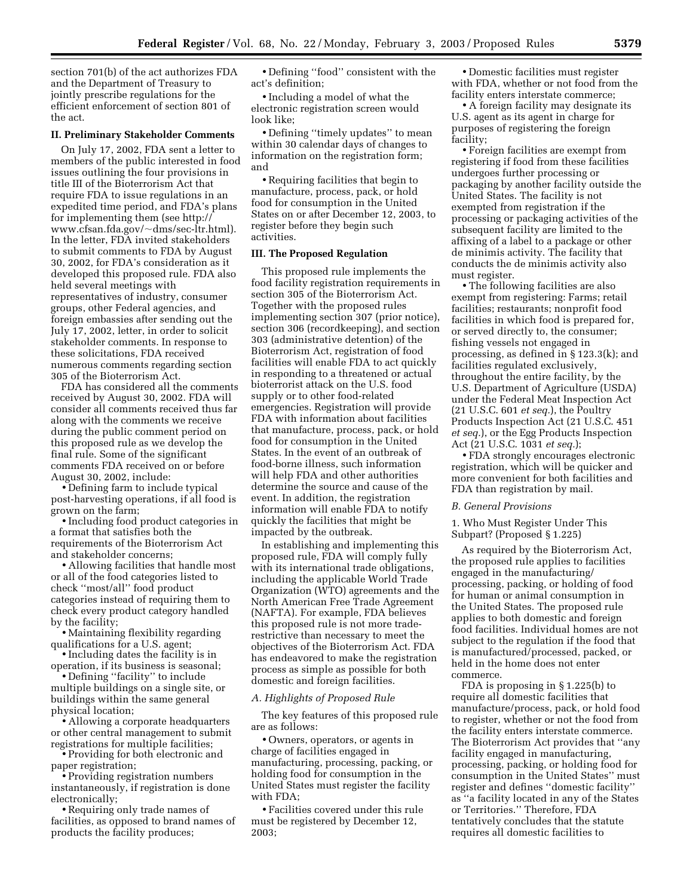section 701(b) of the act authorizes FDA and the Department of Treasury to jointly prescribe regulations for the efficient enforcement of section 801 of the act.

#### **II. Preliminary Stakeholder Comments**

On July 17, 2002, FDA sent a letter to members of the public interested in food issues outlining the four provisions in title III of the Bioterrorism Act that require FDA to issue regulations in an expedited time period, and FDA's plans for implementing them (see http:// www.cfsan.fda.gov/~dms/sec-ltr.html). In the letter, FDA invited stakeholders to submit comments to FDA by August 30, 2002, for FDA's consideration as it developed this proposed rule. FDA also held several meetings with representatives of industry, consumer groups, other Federal agencies, and foreign embassies after sending out the July 17, 2002, letter, in order to solicit stakeholder comments. In response to these solicitations, FDA received numerous comments regarding section 305 of the Bioterrorism Act.

FDA has considered all the comments received by August 30, 2002. FDA will consider all comments received thus far along with the comments we receive during the public comment period on this proposed rule as we develop the final rule. Some of the significant comments FDA received on or before August 30, 2002, include:

• Defining farm to include typical post-harvesting operations, if all food is grown on the farm;

• Including food product categories in a format that satisfies both the requirements of the Bioterrorism Act and stakeholder concerns;

• Allowing facilities that handle most or all of the food categories listed to check ''most/all'' food product categories instead of requiring them to check every product category handled by the facility;

• Maintaining flexibility regarding qualifications for a U.S. agent;

• Including dates the facility is in operation, if its business is seasonal;

• Defining ''facility'' to include multiple buildings on a single site, or buildings within the same general physical location;

• Allowing a corporate headquarters or other central management to submit registrations for multiple facilities;

• Providing for both electronic and paper registration;

• Providing registration numbers instantaneously, if registration is done electronically;

• Requiring only trade names of facilities, as opposed to brand names of products the facility produces;

• Defining ''food'' consistent with the act's definition;

• Including a model of what the electronic registration screen would look like;

• Defining ''timely updates'' to mean within 30 calendar days of changes to information on the registration form; and

• Requiring facilities that begin to manufacture, process, pack, or hold food for consumption in the United States on or after December 12, 2003, to register before they begin such activities.

#### **III. The Proposed Regulation**

This proposed rule implements the food facility registration requirements in section 305 of the Bioterrorism Act. Together with the proposed rules implementing section 307 (prior notice), section 306 (recordkeeping), and section 303 (administrative detention) of the Bioterrorism Act, registration of food facilities will enable FDA to act quickly in responding to a threatened or actual bioterrorist attack on the U.S. food supply or to other food-related emergencies. Registration will provide FDA with information about facilities that manufacture, process, pack, or hold food for consumption in the United States. In the event of an outbreak of food-borne illness, such information will help FDA and other authorities determine the source and cause of the event. In addition, the registration information will enable FDA to notify quickly the facilities that might be impacted by the outbreak.

In establishing and implementing this proposed rule, FDA will comply fully with its international trade obligations, including the applicable World Trade Organization (WTO) agreements and the North American Free Trade Agreement (NAFTA). For example, FDA believes this proposed rule is not more traderestrictive than necessary to meet the objectives of the Bioterrorism Act. FDA has endeavored to make the registration process as simple as possible for both domestic and foreign facilities.

#### *A. Highlights of Proposed Rule*

The key features of this proposed rule are as follows:

• Owners, operators, or agents in charge of facilities engaged in manufacturing, processing, packing, or holding food for consumption in the United States must register the facility with FDA;

• Facilities covered under this rule must be registered by December 12, 2003;

• Domestic facilities must register with FDA, whether or not food from the facility enters interstate commerce;

• A foreign facility may designate its U.S. agent as its agent in charge for purposes of registering the foreign facility;

• Foreign facilities are exempt from registering if food from these facilities undergoes further processing or packaging by another facility outside the United States. The facility is not exempted from registration if the processing or packaging activities of the subsequent facility are limited to the affixing of a label to a package or other de minimis activity. The facility that conducts the de minimis activity also must register.

• The following facilities are also exempt from registering: Farms; retail facilities; restaurants; nonprofit food facilities in which food is prepared for, or served directly to, the consumer; fishing vessels not engaged in processing, as defined in § 123.3(k); and facilities regulated exclusively, throughout the entire facility, by the U.S. Department of Agriculture (USDA) under the Federal Meat Inspection Act (21 U.S.C. 601 *et seq.*), the Poultry Products Inspection Act (21 U.S.C. 451 *et seq.*), or the Egg Products Inspection Act (21 U.S.C. 1031 *et seq.*);

• FDA strongly encourages electronic registration, which will be quicker and more convenient for both facilities and FDA than registration by mail.

#### *B. General Provisions*

1. Who Must Register Under This Subpart? (Proposed § 1.225)

As required by the Bioterrorism Act, the proposed rule applies to facilities engaged in the manufacturing/ processing, packing, or holding of food for human or animal consumption in the United States. The proposed rule applies to both domestic and foreign food facilities. Individual homes are not subject to the regulation if the food that is manufactured/processed, packed, or held in the home does not enter commerce.

FDA is proposing in § 1.225(b) to require all domestic facilities that manufacture/process, pack, or hold food to register, whether or not the food from the facility enters interstate commerce. The Bioterrorism Act provides that ''any facility engaged in manufacturing, processing, packing, or holding food for consumption in the United States'' must register and defines ''domestic facility'' as ''a facility located in any of the States or Territories.'' Therefore, FDA tentatively concludes that the statute requires all domestic facilities to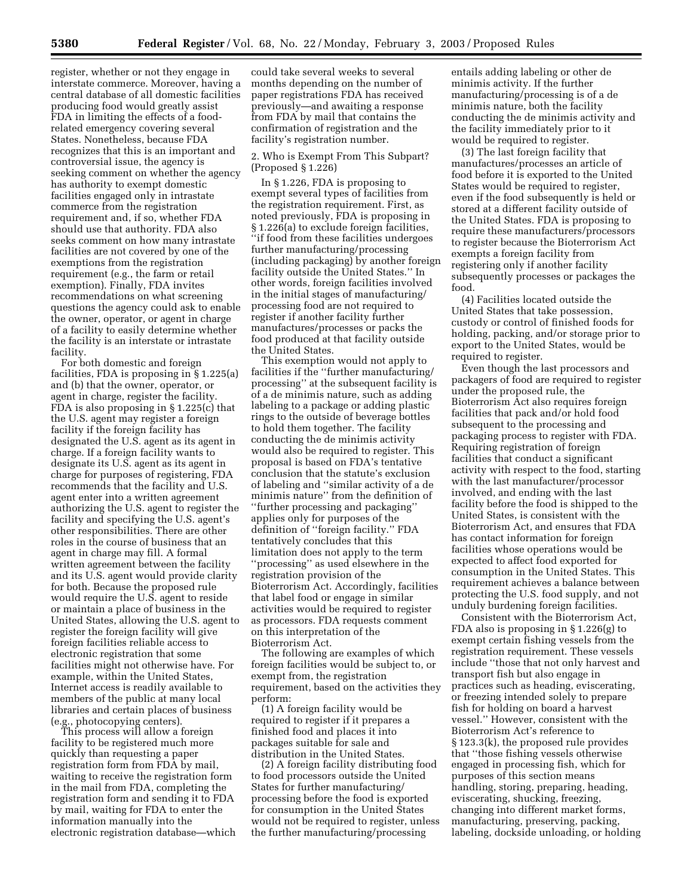register, whether or not they engage in interstate commerce. Moreover, having a central database of all domestic facilities producing food would greatly assist FDA in limiting the effects of a foodrelated emergency covering several States. Nonetheless, because FDA recognizes that this is an important and controversial issue, the agency is seeking comment on whether the agency has authority to exempt domestic facilities engaged only in intrastate commerce from the registration requirement and, if so, whether FDA should use that authority. FDA also seeks comment on how many intrastate facilities are not covered by one of the exemptions from the registration requirement (e.g., the farm or retail exemption). Finally, FDA invites recommendations on what screening questions the agency could ask to enable the owner, operator, or agent in charge of a facility to easily determine whether the facility is an interstate or intrastate facility.

For both domestic and foreign facilities, FDA is proposing in § 1.225(a) and (b) that the owner, operator, or agent in charge, register the facility. FDA is also proposing in § 1.225(c) that the U.S. agent may register a foreign facility if the foreign facility has designated the U.S. agent as its agent in charge. If a foreign facility wants to designate its U.S. agent as its agent in charge for purposes of registering, FDA recommends that the facility and U.S. agent enter into a written agreement authorizing the U.S. agent to register the facility and specifying the U.S. agent's other responsibilities. There are other roles in the course of business that an agent in charge may fill. A formal written agreement between the facility and its U.S. agent would provide clarity for both. Because the proposed rule would require the U.S. agent to reside or maintain a place of business in the United States, allowing the U.S. agent to register the foreign facility will give foreign facilities reliable access to electronic registration that some facilities might not otherwise have. For example, within the United States, Internet access is readily available to members of the public at many local libraries and certain places of business (e.g., photocopying centers).

This process will allow a foreign facility to be registered much more quickly than requesting a paper registration form from FDA by mail, waiting to receive the registration form in the mail from FDA, completing the registration form and sending it to FDA by mail, waiting for FDA to enter the information manually into the electronic registration database—which

could take several weeks to several months depending on the number of paper registrations FDA has received previously—and awaiting a response from FDA by mail that contains the confirmation of registration and the facility's registration number.

2. Who is Exempt From This Subpart? (Proposed § 1.226)

In § 1.226, FDA is proposing to exempt several types of facilities from the registration requirement. First, as noted previously, FDA is proposing in § 1.226(a) to exclude foreign facilities, ''if food from these facilities undergoes further manufacturing/processing (including packaging) by another foreign facility outside the United States.'' In other words, foreign facilities involved in the initial stages of manufacturing/ processing food are not required to register if another facility further manufactures/processes or packs the food produced at that facility outside the United States.

This exemption would not apply to facilities if the ''further manufacturing/ processing'' at the subsequent facility is of a de minimis nature, such as adding labeling to a package or adding plastic rings to the outside of beverage bottles to hold them together. The facility conducting the de minimis activity would also be required to register. This proposal is based on FDA's tentative conclusion that the statute's exclusion of labeling and ''similar activity of a de minimis nature'' from the definition of ''further processing and packaging'' applies only for purposes of the definition of ''foreign facility.'' FDA tentatively concludes that this limitation does not apply to the term ''processing'' as used elsewhere in the registration provision of the Bioterrorism Act. Accordingly, facilities that label food or engage in similar activities would be required to register as processors. FDA requests comment on this interpretation of the Bioterrorism Act.

The following are examples of which foreign facilities would be subject to, or exempt from, the registration requirement, based on the activities they perform:

(1) A foreign facility would be required to register if it prepares a finished food and places it into packages suitable for sale and distribution in the United States.

(2) A foreign facility distributing food to food processors outside the United States for further manufacturing/ processing before the food is exported for consumption in the United States would not be required to register, unless the further manufacturing/processing

entails adding labeling or other de minimis activity. If the further manufacturing/processing is of a de minimis nature, both the facility conducting the de minimis activity and the facility immediately prior to it would be required to register.

(3) The last foreign facility that manufactures/processes an article of food before it is exported to the United States would be required to register, even if the food subsequently is held or stored at a different facility outside of the United States. FDA is proposing to require these manufacturers/processors to register because the Bioterrorism Act exempts a foreign facility from registering only if another facility subsequently processes or packages the food.

(4) Facilities located outside the United States that take possession, custody or control of finished foods for holding, packing, and/or storage prior to export to the United States, would be required to register.

Even though the last processors and packagers of food are required to register under the proposed rule, the Bioterrorism Act also requires foreign facilities that pack and/or hold food subsequent to the processing and packaging process to register with FDA. Requiring registration of foreign facilities that conduct a significant activity with respect to the food, starting with the last manufacturer/processor involved, and ending with the last facility before the food is shipped to the United States, is consistent with the Bioterrorism Act, and ensures that FDA has contact information for foreign facilities whose operations would be expected to affect food exported for consumption in the United States. This requirement achieves a balance between protecting the U.S. food supply, and not unduly burdening foreign facilities.

Consistent with the Bioterrorism Act, FDA also is proposing in § 1.226(g) to exempt certain fishing vessels from the registration requirement. These vessels include ''those that not only harvest and transport fish but also engage in practices such as heading, eviscerating, or freezing intended solely to prepare fish for holding on board a harvest vessel.'' However, consistent with the Bioterrorism Act's reference to § 123.3(k), the proposed rule provides that ''those fishing vessels otherwise engaged in processing fish, which for purposes of this section means handling, storing, preparing, heading, eviscerating, shucking, freezing, changing into different market forms, manufacturing, preserving, packing, labeling, dockside unloading, or holding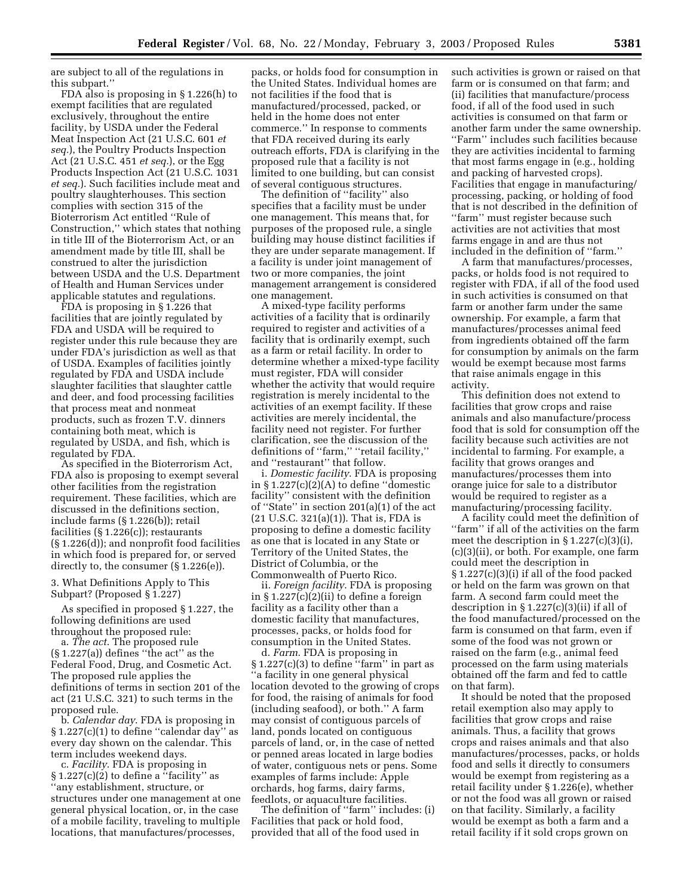are subject to all of the regulations in this subpart.''

FDA also is proposing in § 1.226(h) to exempt facilities that are regulated exclusively, throughout the entire facility, by USDA under the Federal Meat Inspection Act (21 U.S.C. 601 *et seq.*), the Poultry Products Inspection Act (21 U.S.C. 451 *et seq.*), or the Egg Products Inspection Act (21 U.S.C. 1031 *et seq.*). Such facilities include meat and poultry slaughterhouses. This section complies with section 315 of the Bioterrorism Act entitled ''Rule of Construction,'' which states that nothing in title III of the Bioterrorism Act, or an amendment made by title III, shall be construed to alter the jurisdiction between USDA and the U.S. Department of Health and Human Services under applicable statutes and regulations.

FDA is proposing in § 1.226 that facilities that are jointly regulated by FDA and USDA will be required to register under this rule because they are under FDA's jurisdiction as well as that of USDA. Examples of facilities jointly regulated by FDA and USDA include slaughter facilities that slaughter cattle and deer, and food processing facilities that process meat and nonmeat products, such as frozen T.V. dinners containing both meat, which is regulated by USDA, and fish, which is regulated by FDA.

As specified in the Bioterrorism Act, FDA also is proposing to exempt several other facilities from the registration requirement. These facilities, which are discussed in the definitions section, include farms (§ 1.226(b)); retail facilities  $(\S 1.226(c))$ ; restaurants (§ 1.226(d)); and nonprofit food facilities in which food is prepared for, or served directly to, the consumer (§ 1.226(e)).

3. What Definitions Apply to This Subpart? (Proposed § 1.227)

As specified in proposed § 1.227, the following definitions are used throughout the proposed rule:

a. *The act*. The proposed rule  $(\S 1.227(a))$  defines "the act" as the Federal Food, Drug, and Cosmetic Act. The proposed rule applies the definitions of terms in section 201 of the act (21 U.S.C. 321) to such terms in the proposed rule.

b. *Calendar day*. FDA is proposing in  $§ 1.227(c)(1)$  to define "calendar day" as every day shown on the calendar. This term includes weekend days.

c. *Facility*. FDA is proposing in  $\S 1.227(c)(2)$  to define a "facility" as ''any establishment, structure, or structures under one management at one general physical location, or, in the case of a mobile facility, traveling to multiple locations, that manufactures/processes,

packs, or holds food for consumption in the United States. Individual homes are not facilities if the food that is manufactured/processed, packed, or held in the home does not enter commerce.'' In response to comments that FDA received during its early outreach efforts, FDA is clarifying in the proposed rule that a facility is not limited to one building, but can consist of several contiguous structures.

The definition of "facility" also specifies that a facility must be under one management. This means that, for purposes of the proposed rule, a single building may house distinct facilities if they are under separate management. If a facility is under joint management of two or more companies, the joint management arrangement is considered one management.

A mixed-type facility performs activities of a facility that is ordinarily required to register and activities of a facility that is ordinarily exempt, such as a farm or retail facility. In order to determine whether a mixed-type facility must register, FDA will consider whether the activity that would require registration is merely incidental to the activities of an exempt facility. If these activities are merely incidental, the facility need not register. For further clarification, see the discussion of the definitions of ''farm,'' ''retail facility,'' and ''restaurant'' that follow.

i. *Domestic facility*. FDA is proposing in  $\S 1.227(c)(2)(A)$  to define "domestic facility'' consistent with the definition of ''State'' in section 201(a)(1) of the act (21 U.S.C. 321(a)(1)). That is, FDA is proposing to define a domestic facility as one that is located in any State or Territory of the United States, the District of Columbia, or the Commonwealth of Puerto Rico.

ii. *Foreign facility*. FDA is proposing in  $\S 1.227(c)(2)(ii)$  to define a foreign facility as a facility other than a domestic facility that manufactures, processes, packs, or holds food for consumption in the United States.

d. *Farm*. FDA is proposing in  $§ 1.227(c)(3)$  to define "farm" in part as ''a facility in one general physical location devoted to the growing of crops for food, the raising of animals for food (including seafood), or both.'' A farm may consist of contiguous parcels of land, ponds located on contiguous parcels of land, or, in the case of netted or penned areas located in large bodies of water, contiguous nets or pens. Some examples of farms include: Apple orchards, hog farms, dairy farms, feedlots, or aquaculture facilities.

The definition of ''farm'' includes: (i) Facilities that pack or hold food, provided that all of the food used in

such activities is grown or raised on that farm or is consumed on that farm; and (ii) facilities that manufacture/process food, if all of the food used in such activities is consumed on that farm or another farm under the same ownership. ''Farm'' includes such facilities because they are activities incidental to farming that most farms engage in (e.g., holding and packing of harvested crops). Facilities that engage in manufacturing/ processing, packing, or holding of food that is not described in the definition of ''farm'' must register because such activities are not activities that most farms engage in and are thus not included in the definition of ''farm.''

A farm that manufactures/processes, packs, or holds food is not required to register with FDA, if all of the food used in such activities is consumed on that farm or another farm under the same ownership. For example, a farm that manufactures/processes animal feed from ingredients obtained off the farm for consumption by animals on the farm would be exempt because most farms that raise animals engage in this activity.

This definition does not extend to facilities that grow crops and raise animals and also manufacture/process food that is sold for consumption off the facility because such activities are not incidental to farming. For example, a facility that grows oranges and manufactures/processes them into orange juice for sale to a distributor would be required to register as a manufacturing/processing facility.

A facility could meet the definition of ''farm'' if all of the activities on the farm meet the description in  $\S 1.227(c)(3)(i)$ , (c)(3)(ii), or both. For example, one farm could meet the description in § 1.227(c)(3)(i) if all of the food packed or held on the farm was grown on that farm. A second farm could meet the description in  $\S 1.227(c)(3)(ii)$  if all of the food manufactured/processed on the farm is consumed on that farm, even if some of the food was not grown or raised on the farm (e.g., animal feed processed on the farm using materials obtained off the farm and fed to cattle on that farm).

It should be noted that the proposed retail exemption also may apply to facilities that grow crops and raise animals. Thus, a facility that grows crops and raises animals and that also manufactures/processes, packs, or holds food and sells it directly to consumers would be exempt from registering as a retail facility under § 1.226(e), whether or not the food was all grown or raised on that facility. Similarly, a facility would be exempt as both a farm and a retail facility if it sold crops grown on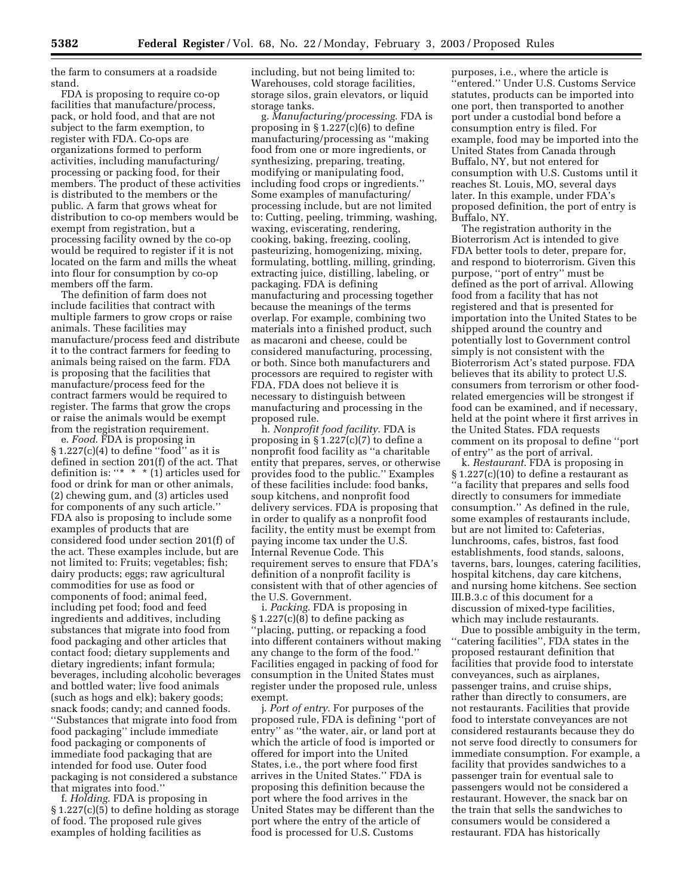the farm to consumers at a roadside stand.

FDA is proposing to require co-op facilities that manufacture/process, pack, or hold food, and that are not subject to the farm exemption, to register with FDA. Co-ops are organizations formed to perform activities, including manufacturing/ processing or packing food, for their members. The product of these activities is distributed to the members or the public. A farm that grows wheat for distribution to co-op members would be exempt from registration, but a processing facility owned by the co-op would be required to register if it is not located on the farm and mills the wheat into flour for consumption by co-op members off the farm.

The definition of farm does not include facilities that contract with multiple farmers to grow crops or raise animals. These facilities may manufacture/process feed and distribute it to the contract farmers for feeding to animals being raised on the farm. FDA is proposing that the facilities that manufacture/process feed for the contract farmers would be required to register. The farms that grow the crops or raise the animals would be exempt from the registration requirement.

e. *Food*. FDA is proposing in  $§ 1.227(c)(4)$  to define "food" as it is defined in section 201(f) of the act. That definition is: "\* \* \*  $(1)$  articles used for food or drink for man or other animals, (2) chewing gum, and (3) articles used for components of any such article.'' FDA also is proposing to include some examples of products that are considered food under section 201(f) of the act. These examples include, but are not limited to: Fruits; vegetables; fish; dairy products; eggs; raw agricultural commodities for use as food or components of food; animal feed, including pet food; food and feed ingredients and additives, including substances that migrate into food from food packaging and other articles that contact food; dietary supplements and dietary ingredients; infant formula; beverages, including alcoholic beverages and bottled water; live food animals (such as hogs and elk); bakery goods; snack foods; candy; and canned foods. ''Substances that migrate into food from food packaging'' include immediate food packaging or components of immediate food packaging that are intended for food use. Outer food packaging is not considered a substance that migrates into food.''

f. *Holding*. FDA is proposing in § 1.227(c)(5) to define holding as storage of food. The proposed rule gives examples of holding facilities as

including, but not being limited to: Warehouses, cold storage facilities, storage silos, grain elevators, or liquid storage tanks.

g. *Manufacturing/processing*. FDA is proposing in  $\S 1.227(c)(6)$  to define manufacturing/processing as ''making food from one or more ingredients, or synthesizing, preparing, treating, modifying or manipulating food, including food crops or ingredients.'' Some examples of manufacturing/ processing include, but are not limited to: Cutting, peeling, trimming, washing, waxing, eviscerating, rendering, cooking, baking, freezing, cooling, pasteurizing, homogenizing, mixing, formulating, bottling, milling, grinding, extracting juice, distilling, labeling, or packaging. FDA is defining manufacturing and processing together because the meanings of the terms overlap. For example, combining two materials into a finished product, such as macaroni and cheese, could be considered manufacturing, processing, or both. Since both manufacturers and processors are required to register with FDA, FDA does not believe it is necessary to distinguish between manufacturing and processing in the proposed rule.

h. *Nonprofit food facility*. FDA is proposing in § 1.227(c)(7) to define a nonprofit food facility as ''a charitable entity that prepares, serves, or otherwise provides food to the public.'' Examples of these facilities include: food banks, soup kitchens, and nonprofit food delivery services. FDA is proposing that in order to qualify as a nonprofit food facility, the entity must be exempt from paying income tax under the U.S. Internal Revenue Code. This requirement serves to ensure that FDA's definition of a nonprofit facility is consistent with that of other agencies of the U.S. Government.

i. *Packing*. FDA is proposing in § 1.227(c)(8) to define packing as ''placing, putting, or repacking a food into different containers without making any change to the form of the food.'' Facilities engaged in packing of food for consumption in the United States must register under the proposed rule, unless exempt.

j. *Port of entry*. For purposes of the proposed rule, FDA is defining ''port of entry'' as ''the water, air, or land port at which the article of food is imported or offered for import into the United States, i.e., the port where food first arrives in the United States.'' FDA is proposing this definition because the port where the food arrives in the United States may be different than the port where the entry of the article of food is processed for U.S. Customs

purposes, i.e., where the article is ''entered.'' Under U.S. Customs Service statutes, products can be imported into one port, then transported to another port under a custodial bond before a consumption entry is filed. For example, food may be imported into the United States from Canada through Buffalo, NY, but not entered for consumption with U.S. Customs until it reaches St. Louis, MO, several days later. In this example, under FDA's proposed definition, the port of entry is Buffalo, NY.

The registration authority in the Bioterrorism Act is intended to give FDA better tools to deter, prepare for, and respond to bioterrorism. Given this purpose, ''port of entry'' must be defined as the port of arrival. Allowing food from a facility that has not registered and that is presented for importation into the United States to be shipped around the country and potentially lost to Government control simply is not consistent with the Bioterrorism Act's stated purpose. FDA believes that its ability to protect U.S. consumers from terrorism or other foodrelated emergencies will be strongest if food can be examined, and if necessary, held at the point where it first arrives in the United States. FDA requests comment on its proposal to define ''port of entry'' as the port of arrival.

k. *Restaurant*. FDA is proposing in § 1.227(c)(10) to define a restaurant as ''a facility that prepares and sells food directly to consumers for immediate consumption.'' As defined in the rule, some examples of restaurants include, but are not limited to: Cafeterias, lunchrooms, cafes, bistros, fast food establishments, food stands, saloons, taverns, bars, lounges, catering facilities, hospital kitchens, day care kitchens, and nursing home kitchens. See section III.B.3.c of this document for a discussion of mixed-type facilities, which may include restaurants.

Due to possible ambiguity in the term, ''catering facilities'', FDA states in the proposed restaurant definition that facilities that provide food to interstate conveyances, such as airplanes, passenger trains, and cruise ships, rather than directly to consumers, are not restaurants. Facilities that provide food to interstate conveyances are not considered restaurants because they do not serve food directly to consumers for immediate consumption. For example, a facility that provides sandwiches to a passenger train for eventual sale to passengers would not be considered a restaurant. However, the snack bar on the train that sells the sandwiches to consumers would be considered a restaurant. FDA has historically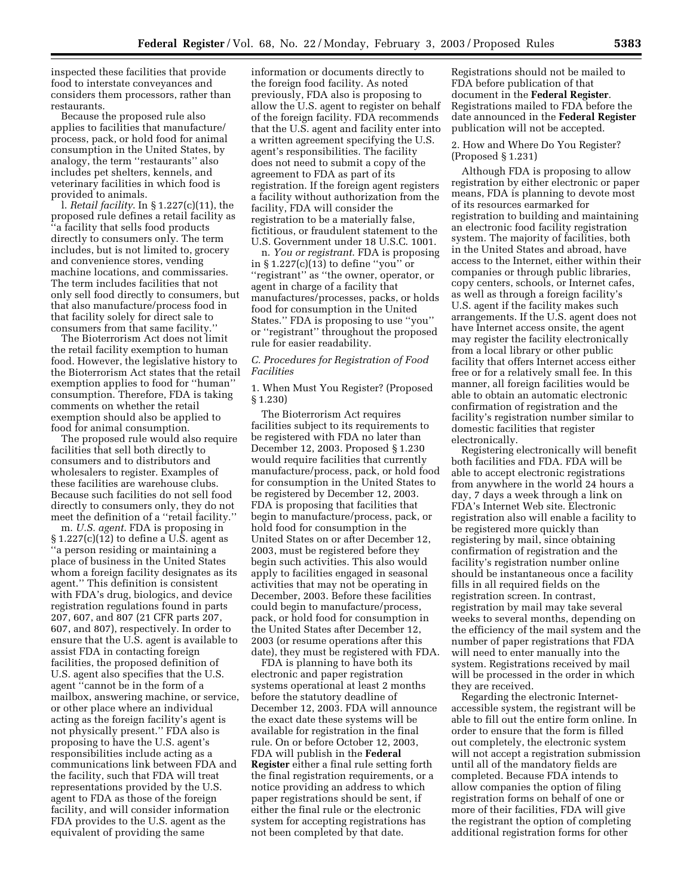inspected these facilities that provide food to interstate conveyances and considers them processors, rather than restaurants.

Because the proposed rule also applies to facilities that manufacture/ process, pack, or hold food for animal consumption in the United States, by analogy, the term ''restaurants'' also includes pet shelters, kennels, and veterinary facilities in which food is provided to animals.

l. *Retail facility*. In § 1.227(c)(11), the proposed rule defines a retail facility as ''a facility that sells food products directly to consumers only. The term includes, but is not limited to, grocery and convenience stores, vending machine locations, and commissaries. The term includes facilities that not only sell food directly to consumers, but that also manufacture/process food in that facility solely for direct sale to consumers from that same facility.''

The Bioterrorism Act does not limit the retail facility exemption to human food. However, the legislative history to the Bioterrorism Act states that the retail exemption applies to food for ''human'' consumption. Therefore, FDA is taking comments on whether the retail exemption should also be applied to food for animal consumption.

The proposed rule would also require facilities that sell both directly to consumers and to distributors and wholesalers to register. Examples of these facilities are warehouse clubs. Because such facilities do not sell food directly to consumers only, they do not meet the definition of a ''retail facility.''

m. *U.S. agent*. FDA is proposing in § 1.227(c)(12) to define a U.S. agent as ''a person residing or maintaining a place of business in the United States whom a foreign facility designates as its agent.'' This definition is consistent with FDA's drug, biologics, and device registration regulations found in parts 207, 607, and 807 (21 CFR parts 207, 607, and 807), respectively. In order to ensure that the U.S. agent is available to assist FDA in contacting foreign facilities, the proposed definition of U.S. agent also specifies that the U.S. agent ''cannot be in the form of a mailbox, answering machine, or service, or other place where an individual acting as the foreign facility's agent is not physically present.'' FDA also is proposing to have the U.S. agent's responsibilities include acting as a communications link between FDA and the facility, such that FDA will treat representations provided by the U.S. agent to FDA as those of the foreign facility, and will consider information FDA provides to the U.S. agent as the equivalent of providing the same

information or documents directly to the foreign food facility. As noted previously, FDA also is proposing to allow the U.S. agent to register on behalf of the foreign facility. FDA recommends that the U.S. agent and facility enter into a written agreement specifying the U.S. agent's responsibilities. The facility does not need to submit a copy of the agreement to FDA as part of its registration. If the foreign agent registers a facility without authorization from the facility, FDA will consider the registration to be a materially false, fictitious, or fraudulent statement to the U.S. Government under 18 U.S.C. 1001.

n. *You or registrant*. FDA is proposing in § 1.227(c)(13) to define ''you'' or ''registrant'' as ''the owner, operator, or agent in charge of a facility that manufactures/processes, packs, or holds food for consumption in the United States.'' FDA is proposing to use ''you'' or ''registrant'' throughout the proposed rule for easier readability.

#### *C. Procedures for Registration of Food Facilities*

1. When Must You Register? (Proposed § 1.230)

The Bioterrorism Act requires facilities subject to its requirements to be registered with FDA no later than December 12, 2003. Proposed § 1.230 would require facilities that currently manufacture/process, pack, or hold food for consumption in the United States to be registered by December 12, 2003. FDA is proposing that facilities that begin to manufacture/process, pack, or hold food for consumption in the United States on or after December 12, 2003, must be registered before they begin such activities. This also would apply to facilities engaged in seasonal activities that may not be operating in December, 2003. Before these facilities could begin to manufacture/process, pack, or hold food for consumption in the United States after December 12, 2003 (or resume operations after this date), they must be registered with FDA.

FDA is planning to have both its electronic and paper registration systems operational at least 2 months before the statutory deadline of December 12, 2003. FDA will announce the exact date these systems will be available for registration in the final rule. On or before October 12, 2003, FDA will publish in the **Federal Register** either a final rule setting forth the final registration requirements, or a notice providing an address to which paper registrations should be sent, if either the final rule or the electronic system for accepting registrations has not been completed by that date.

Registrations should not be mailed to FDA before publication of that document in the **Federal Register**. Registrations mailed to FDA before the date announced in the **Federal Register** publication will not be accepted.

#### 2. How and Where Do You Register? (Proposed § 1.231)

Although FDA is proposing to allow registration by either electronic or paper means, FDA is planning to devote most of its resources earmarked for registration to building and maintaining an electronic food facility registration system. The majority of facilities, both in the United States and abroad, have access to the Internet, either within their companies or through public libraries, copy centers, schools, or Internet cafes, as well as through a foreign facility's U.S. agent if the facility makes such arrangements. If the U.S. agent does not have Internet access onsite, the agent may register the facility electronically from a local library or other public facility that offers Internet access either free or for a relatively small fee. In this manner, all foreign facilities would be able to obtain an automatic electronic confirmation of registration and the facility's registration number similar to domestic facilities that register electronically.

Registering electronically will benefit both facilities and FDA. FDA will be able to accept electronic registrations from anywhere in the world 24 hours a day, 7 days a week through a link on FDA's Internet Web site. Electronic registration also will enable a facility to be registered more quickly than registering by mail, since obtaining confirmation of registration and the facility's registration number online should be instantaneous once a facility fills in all required fields on the registration screen. In contrast, registration by mail may take several weeks to several months, depending on the efficiency of the mail system and the number of paper registrations that FDA will need to enter manually into the system. Registrations received by mail will be processed in the order in which they are received.

Regarding the electronic Internetaccessible system, the registrant will be able to fill out the entire form online. In order to ensure that the form is filled out completely, the electronic system will not accept a registration submission until all of the mandatory fields are completed. Because FDA intends to allow companies the option of filing registration forms on behalf of one or more of their facilities, FDA will give the registrant the option of completing additional registration forms for other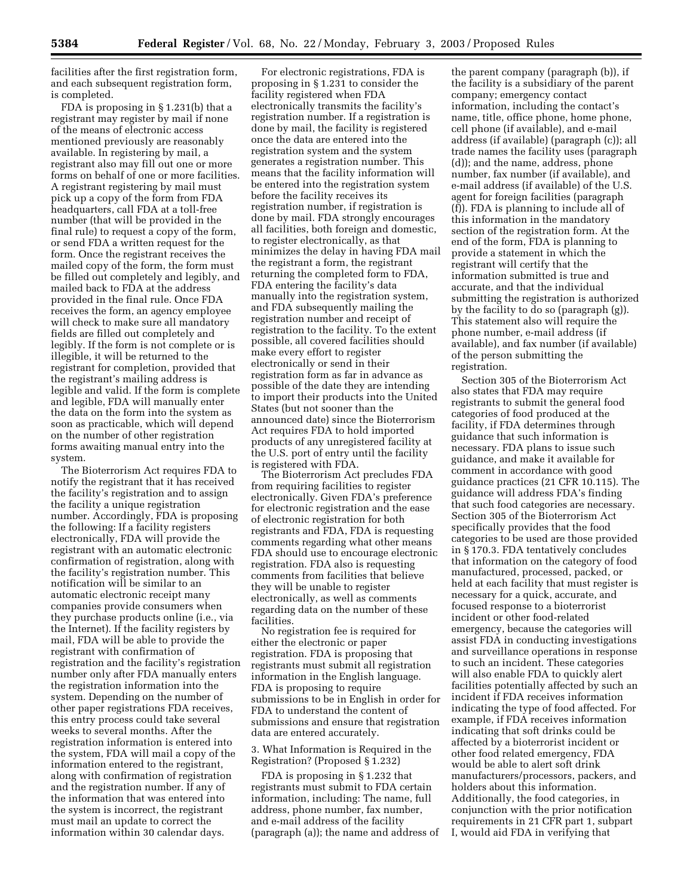facilities after the first registration form, and each subsequent registration form, is completed.

FDA is proposing in § 1.231(b) that a registrant may register by mail if none of the means of electronic access mentioned previously are reasonably available. In registering by mail, a registrant also may fill out one or more forms on behalf of one or more facilities. A registrant registering by mail must pick up a copy of the form from FDA headquarters, call FDA at a toll-free number (that will be provided in the final rule) to request a copy of the form, or send FDA a written request for the form. Once the registrant receives the mailed copy of the form, the form must be filled out completely and legibly, and mailed back to FDA at the address provided in the final rule. Once FDA receives the form, an agency employee will check to make sure all mandatory fields are filled out completely and legibly. If the form is not complete or is illegible, it will be returned to the registrant for completion, provided that the registrant's mailing address is legible and valid. If the form is complete and legible, FDA will manually enter the data on the form into the system as soon as practicable, which will depend on the number of other registration forms awaiting manual entry into the system.

The Bioterrorism Act requires FDA to notify the registrant that it has received the facility's registration and to assign the facility a unique registration number. Accordingly, FDA is proposing the following: If a facility registers electronically, FDA will provide the registrant with an automatic electronic confirmation of registration, along with the facility's registration number. This notification will be similar to an automatic electronic receipt many companies provide consumers when they purchase products online (i.e., via the Internet). If the facility registers by mail, FDA will be able to provide the registrant with confirmation of registration and the facility's registration number only after FDA manually enters the registration information into the system. Depending on the number of other paper registrations FDA receives, this entry process could take several weeks to several months. After the registration information is entered into the system, FDA will mail a copy of the information entered to the registrant, along with confirmation of registration and the registration number. If any of the information that was entered into the system is incorrect, the registrant must mail an update to correct the information within 30 calendar days.

For electronic registrations, FDA is proposing in § 1.231 to consider the facility registered when FDA electronically transmits the facility's registration number. If a registration is done by mail, the facility is registered once the data are entered into the registration system and the system generates a registration number. This means that the facility information will be entered into the registration system before the facility receives its registration number, if registration is done by mail. FDA strongly encourages all facilities, both foreign and domestic, to register electronically, as that minimizes the delay in having FDA mail the registrant a form, the registrant returning the completed form to FDA, FDA entering the facility's data manually into the registration system, and FDA subsequently mailing the registration number and receipt of registration to the facility. To the extent possible, all covered facilities should make every effort to register electronically or send in their registration form as far in advance as possible of the date they are intending to import their products into the United States (but not sooner than the announced date) since the Bioterrorism Act requires FDA to hold imported products of any unregistered facility at the U.S. port of entry until the facility is registered with FDA.

The Bioterrorism Act precludes FDA from requiring facilities to register electronically. Given FDA's preference for electronic registration and the ease of electronic registration for both registrants and FDA, FDA is requesting comments regarding what other means FDA should use to encourage electronic registration. FDA also is requesting comments from facilities that believe they will be unable to register electronically, as well as comments regarding data on the number of these facilities.

No registration fee is required for either the electronic or paper registration. FDA is proposing that registrants must submit all registration information in the English language. FDA is proposing to require submissions to be in English in order for FDA to understand the content of submissions and ensure that registration data are entered accurately.

3. What Information is Required in the Registration? (Proposed § 1.232)

FDA is proposing in § 1.232 that registrants must submit to FDA certain information, including: The name, full address, phone number, fax number, and e-mail address of the facility (paragraph (a)); the name and address of

the parent company (paragraph (b)), if the facility is a subsidiary of the parent company; emergency contact information, including the contact's name, title, office phone, home phone, cell phone (if available), and e-mail address (if available) (paragraph (c)); all trade names the facility uses (paragraph (d)); and the name, address, phone number, fax number (if available), and e-mail address (if available) of the U.S. agent for foreign facilities (paragraph (f)). FDA is planning to include all of this information in the mandatory section of the registration form. At the end of the form, FDA is planning to provide a statement in which the registrant will certify that the information submitted is true and accurate, and that the individual submitting the registration is authorized by the facility to do so (paragraph (g)). This statement also will require the phone number, e-mail address (if available), and fax number (if available) of the person submitting the registration.

Section 305 of the Bioterrorism Act also states that FDA may require registrants to submit the general food categories of food produced at the facility, if FDA determines through guidance that such information is necessary. FDA plans to issue such guidance, and make it available for comment in accordance with good guidance practices (21 CFR 10.115). The guidance will address FDA's finding that such food categories are necessary. Section 305 of the Bioterrorism Act specifically provides that the food categories to be used are those provided in § 170.3. FDA tentatively concludes that information on the category of food manufactured, processed, packed, or held at each facility that must register is necessary for a quick, accurate, and focused response to a bioterrorist incident or other food-related emergency, because the categories will assist FDA in conducting investigations and surveillance operations in response to such an incident. These categories will also enable FDA to quickly alert facilities potentially affected by such an incident if FDA receives information indicating the type of food affected. For example, if FDA receives information indicating that soft drinks could be affected by a bioterrorist incident or other food related emergency, FDA would be able to alert soft drink manufacturers/processors, packers, and holders about this information. Additionally, the food categories, in conjunction with the prior notification requirements in 21 CFR part 1, subpart I, would aid FDA in verifying that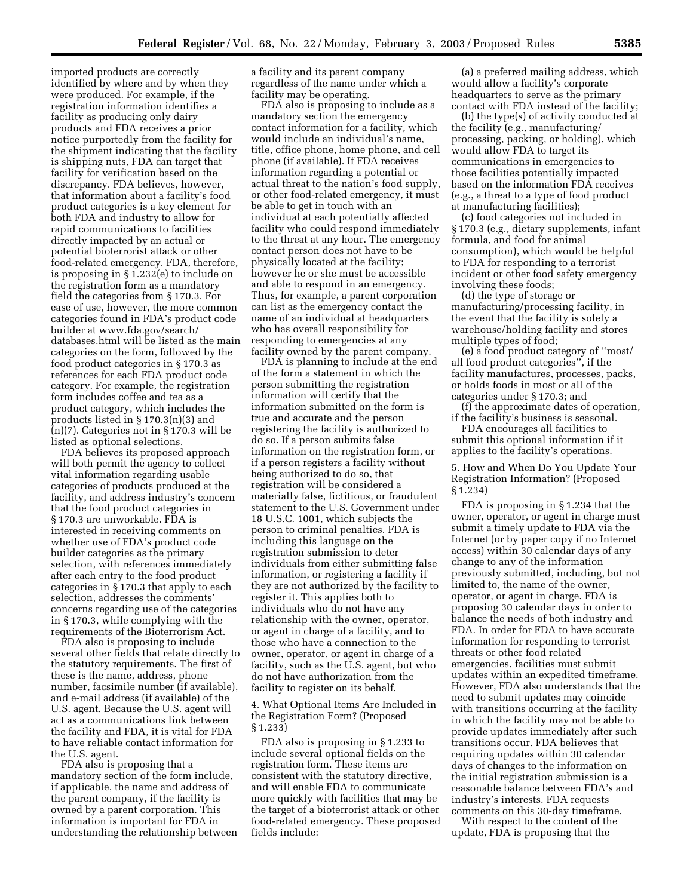imported products are correctly identified by where and by when they were produced. For example, if the registration information identifies a facility as producing only dairy products and FDA receives a prior notice purportedly from the facility for the shipment indicating that the facility is shipping nuts, FDA can target that facility for verification based on the discrepancy. FDA believes, however, that information about a facility's food product categories is a key element for both FDA and industry to allow for rapid communications to facilities directly impacted by an actual or potential bioterrorist attack or other food-related emergency. FDA, therefore, is proposing in § 1.232(e) to include on the registration form as a mandatory field the categories from § 170.3. For ease of use, however, the more common categories found in FDA's product code builder at www.fda.gov/search/ databases.html will be listed as the main categories on the form, followed by the food product categories in § 170.3 as references for each FDA product code category. For example, the registration form includes coffee and tea as a product category, which includes the products listed in § 170.3(n)(3) and (n)(7). Categories not in § 170.3 will be listed as optional selections.

FDA believes its proposed approach will both permit the agency to collect vital information regarding usable categories of products produced at the facility, and address industry's concern that the food product categories in § 170.3 are unworkable. FDA is interested in receiving comments on whether use of FDA's product code builder categories as the primary selection, with references immediately after each entry to the food product categories in § 170.3 that apply to each selection, addresses the comments' concerns regarding use of the categories in § 170.3, while complying with the requirements of the Bioterrorism Act.

FDA also is proposing to include several other fields that relate directly to the statutory requirements. The first of these is the name, address, phone number, facsimile number (if available), and e-mail address (if available) of the U.S. agent. Because the U.S. agent will act as a communications link between the facility and FDA, it is vital for FDA to have reliable contact information for the U.S. agent.

FDA also is proposing that a mandatory section of the form include, if applicable, the name and address of the parent company, if the facility is owned by a parent corporation. This information is important for FDA in understanding the relationship between a facility and its parent company regardless of the name under which a facility may be operating.

FDA also is proposing to include as a mandatory section the emergency contact information for a facility, which would include an individual's name, title, office phone, home phone, and cell phone (if available). If FDA receives information regarding a potential or actual threat to the nation's food supply, or other food-related emergency, it must be able to get in touch with an individual at each potentially affected facility who could respond immediately to the threat at any hour. The emergency contact person does not have to be physically located at the facility; however he or she must be accessible and able to respond in an emergency. Thus, for example, a parent corporation can list as the emergency contact the name of an individual at headquarters who has overall responsibility for responding to emergencies at any facility owned by the parent company.

FDA is planning to include at the end of the form a statement in which the person submitting the registration information will certify that the information submitted on the form is true and accurate and the person registering the facility is authorized to do so. If a person submits false information on the registration form, or if a person registers a facility without being authorized to do so, that registration will be considered a materially false, fictitious, or fraudulent statement to the U.S. Government under 18 U.S.C. 1001, which subjects the person to criminal penalties. FDA is including this language on the registration submission to deter individuals from either submitting false information, or registering a facility if they are not authorized by the facility to register it. This applies both to individuals who do not have any relationship with the owner, operator, or agent in charge of a facility, and to those who have a connection to the owner, operator, or agent in charge of a facility, such as the U.S. agent, but who do not have authorization from the facility to register on its behalf.

4. What Optional Items Are Included in the Registration Form? (Proposed § 1.233)

FDA also is proposing in § 1.233 to include several optional fields on the registration form. These items are consistent with the statutory directive, and will enable FDA to communicate more quickly with facilities that may be the target of a bioterrorist attack or other food-related emergency. These proposed fields include:

(a) a preferred mailing address, which would allow a facility's corporate headquarters to serve as the primary contact with FDA instead of the facility;

(b) the type(s) of activity conducted at the facility (e.g., manufacturing/ processing, packing, or holding), which would allow FDA to target its communications in emergencies to those facilities potentially impacted based on the information FDA receives (e.g., a threat to a type of food product at manufacturing facilities);

(c) food categories not included in § 170.3 (e.g., dietary supplements, infant formula, and food for animal consumption), which would be helpful to FDA for responding to a terrorist incident or other food safety emergency involving these foods;

(d) the type of storage or manufacturing/processing facility, in the event that the facility is solely a warehouse/holding facility and stores multiple types of food;

(e) a food product category of ''most/ all food product categories'', if the facility manufactures, processes, packs, or holds foods in most or all of the categories under § 170.3; and

(f) the approximate dates of operation, if the facility's business is seasonal.

FDA encourages all facilities to submit this optional information if it applies to the facility's operations.

5. How and When Do You Update Your Registration Information? (Proposed § 1.234)

FDA is proposing in § 1.234 that the owner, operator, or agent in charge must submit a timely update to FDA via the Internet (or by paper copy if no Internet access) within 30 calendar days of any change to any of the information previously submitted, including, but not limited to, the name of the owner, operator, or agent in charge. FDA is proposing 30 calendar days in order to balance the needs of both industry and FDA. In order for FDA to have accurate information for responding to terrorist threats or other food related emergencies, facilities must submit updates within an expedited timeframe. However, FDA also understands that the need to submit updates may coincide with transitions occurring at the facility in which the facility may not be able to provide updates immediately after such transitions occur. FDA believes that requiring updates within 30 calendar days of changes to the information on the initial registration submission is a reasonable balance between FDA's and industry's interests. FDA requests comments on this 30-day timeframe.

With respect to the content of the update, FDA is proposing that the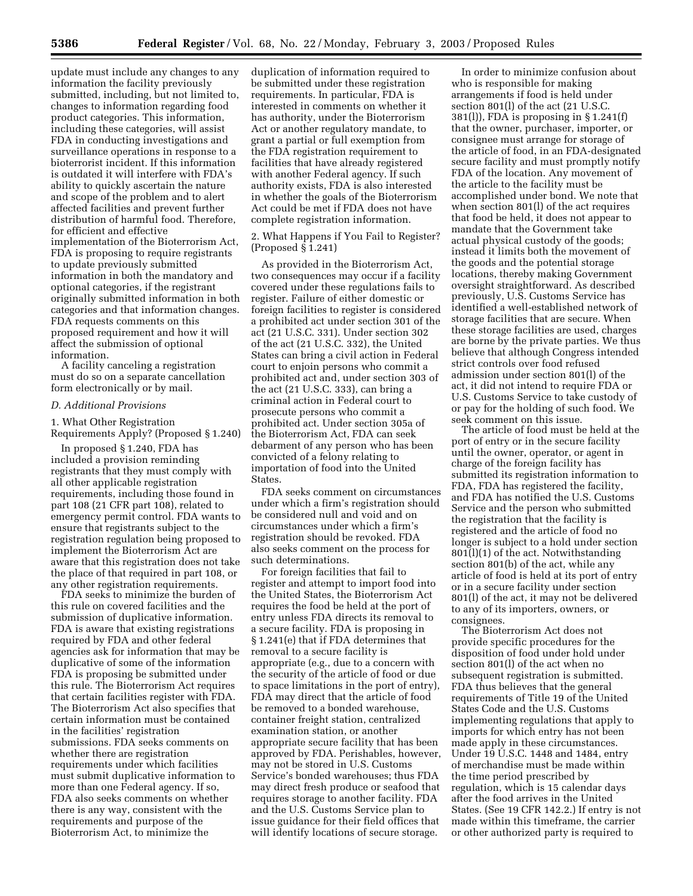update must include any changes to any information the facility previously submitted, including, but not limited to, changes to information regarding food product categories. This information, including these categories, will assist FDA in conducting investigations and surveillance operations in response to a bioterrorist incident. If this information is outdated it will interfere with FDA's ability to quickly ascertain the nature and scope of the problem and to alert affected facilities and prevent further distribution of harmful food. Therefore, for efficient and effective implementation of the Bioterrorism Act, FDA is proposing to require registrants to update previously submitted information in both the mandatory and optional categories, if the registrant originally submitted information in both categories and that information changes. FDA requests comments on this proposed requirement and how it will affect the submission of optional information.

A facility canceling a registration must do so on a separate cancellation form electronically or by mail.

#### *D. Additional Provisions*

1. What Other Registration Requirements Apply? (Proposed § 1.240)

In proposed § 1.240, FDA has included a provision reminding registrants that they must comply with all other applicable registration requirements, including those found in part 108 (21 CFR part 108), related to emergency permit control. FDA wants to ensure that registrants subject to the registration regulation being proposed to implement the Bioterrorism Act are aware that this registration does not take the place of that required in part 108, or any other registration requirements.

FDA seeks to minimize the burden of this rule on covered facilities and the submission of duplicative information. FDA is aware that existing registrations required by FDA and other federal agencies ask for information that may be duplicative of some of the information FDA is proposing be submitted under this rule. The Bioterrorism Act requires that certain facilities register with FDA. The Bioterrorism Act also specifies that certain information must be contained in the facilities' registration submissions. FDA seeks comments on whether there are registration requirements under which facilities must submit duplicative information to more than one Federal agency. If so, FDA also seeks comments on whether there is any way, consistent with the requirements and purpose of the Bioterrorism Act, to minimize the

duplication of information required to be submitted under these registration requirements. In particular, FDA is interested in comments on whether it has authority, under the Bioterrorism Act or another regulatory mandate, to grant a partial or full exemption from the FDA registration requirement to facilities that have already registered with another Federal agency. If such authority exists, FDA is also interested in whether the goals of the Bioterrorism Act could be met if FDA does not have complete registration information.

2. What Happens if You Fail to Register? (Proposed § 1.241)

As provided in the Bioterrorism Act, two consequences may occur if a facility covered under these regulations fails to register. Failure of either domestic or foreign facilities to register is considered a prohibited act under section 301 of the act (21 U.S.C. 331). Under section 302 of the act (21 U.S.C. 332), the United States can bring a civil action in Federal court to enjoin persons who commit a prohibited act and, under section 303 of the act (21 U.S.C. 333), can bring a criminal action in Federal court to prosecute persons who commit a prohibited act. Under section 305a of the Bioterrorism Act, FDA can seek debarment of any person who has been convicted of a felony relating to importation of food into the United States.

FDA seeks comment on circumstances under which a firm's registration should be considered null and void and on circumstances under which a firm's registration should be revoked. FDA also seeks comment on the process for such determinations.

For foreign facilities that fail to register and attempt to import food into the United States, the Bioterrorism Act requires the food be held at the port of entry unless FDA directs its removal to a secure facility. FDA is proposing in § 1.241(e) that if FDA determines that removal to a secure facility is appropriate (e.g., due to a concern with the security of the article of food or due to space limitations in the port of entry), FDA may direct that the article of food be removed to a bonded warehouse, container freight station, centralized examination station, or another appropriate secure facility that has been approved by FDA. Perishables, however, may not be stored in U.S. Customs Service's bonded warehouses; thus FDA may direct fresh produce or seafood that requires storage to another facility. FDA and the U.S. Customs Service plan to issue guidance for their field offices that will identify locations of secure storage.

In order to minimize confusion about who is responsible for making arrangements if food is held under section 801(l) of the act (21 U.S.C. 381(l)), FDA is proposing in § 1.241(f) that the owner, purchaser, importer, or consignee must arrange for storage of the article of food, in an FDA-designated secure facility and must promptly notify FDA of the location. Any movement of the article to the facility must be accomplished under bond. We note that when section 801(l) of the act requires that food be held, it does not appear to mandate that the Government take actual physical custody of the goods; instead it limits both the movement of the goods and the potential storage locations, thereby making Government oversight straightforward. As described previously, U.S. Customs Service has identified a well-established network of storage facilities that are secure. When these storage facilities are used, charges are borne by the private parties. We thus believe that although Congress intended strict controls over food refused admission under section 801(l) of the act, it did not intend to require FDA or U.S. Customs Service to take custody of or pay for the holding of such food. We seek comment on this issue.

The article of food must be held at the port of entry or in the secure facility until the owner, operator, or agent in charge of the foreign facility has submitted its registration information to FDA, FDA has registered the facility, and FDA has notified the U.S. Customs Service and the person who submitted the registration that the facility is registered and the article of food no longer is subject to a hold under section 801(l)(1) of the act. Notwithstanding section 801(b) of the act, while any article of food is held at its port of entry or in a secure facility under section 801(l) of the act, it may not be delivered to any of its importers, owners, or consignees.

The Bioterrorism Act does not provide specific procedures for the disposition of food under hold under section 801(l) of the act when no subsequent registration is submitted. FDA thus believes that the general requirements of Title 19 of the United States Code and the U.S. Customs implementing regulations that apply to imports for which entry has not been made apply in these circumstances. Under 19 U.S.C. 1448 and 1484, entry of merchandise must be made within the time period prescribed by regulation, which is 15 calendar days after the food arrives in the United States. (See 19 CFR 142.2.) If entry is not made within this timeframe, the carrier or other authorized party is required to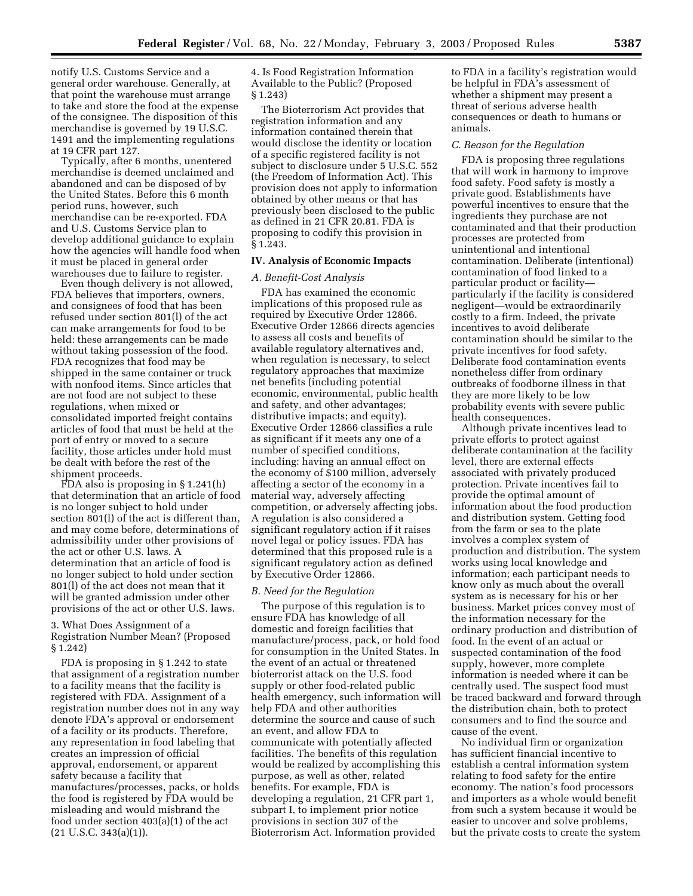notify U.S. Customs Service and a general order warehouse. Generally, at that point the warehouse must arrange to take and store the food at the expense of the consignee. The disposition of this merchandise is governed by 19 U.S.C. 1491 and the implementing regulations at 19 CFR part 127.

Typically, after 6 months, unentered merchandise is deemed unclaimed and abandoned and can be disposed of by the United States. Before this 6 month period runs, however, such merchandise can be re-exported. FDA and U.S. Customs Service plan to develop additional guidance to explain how the agencies will handle food when it must be placed in general order warehouses due to failure to register.

Even though delivery is not allowed, FDA believes that importers, owners, and consignees of food that has been refused under section 801(l) of the act can make arrangements for food to be held: these arrangements can be made without taking possession of the food. FDA recognizes that food may be shipped in the same container or truck with nonfood items. Since articles that are not food are not subject to these regulations, when mixed or consolidated imported freight contains articles of food that must be held at the port of entry or moved to a secure facility, those articles under hold must be dealt with before the rest of the shipment proceeds.

FDA also is proposing in § 1.241(h) that determination that an article of food is no longer subject to hold under section 801(l) of the act is different than, and may come before, determinations of admissibility under other provisions of the act or other U.S. laws. A determination that an article of food is no longer subject to hold under section 801(l) of the act does not mean that it will be granted admission under other provisions of the act or other U.S. laws.

#### 3. What Does Assignment of a Registration Number Mean? (Proposed § 1.242)

FDA is proposing in § 1.242 to state that assignment of a registration number to a facility means that the facility is registered with FDA. Assignment of a registration number does not in any way denote FDA's approval or endorsement of a facility or its products. Therefore, any representation in food labeling that creates an impression of official approval, endorsement, or apparent safety because a facility that manufactures/processes, packs, or holds the food is registered by FDA would be misleading and would misbrand the food under section 403(a)(1) of the act  $(21 \text{ U.S.C. } 343(a)(1)).$ 

4. Is Food Registration Information Available to the Public? (Proposed § 1.243)

The Bioterrorism Act provides that registration information and any information contained therein that would disclose the identity or location of a specific registered facility is not subject to disclosure under 5 U.S.C. 552 (the Freedom of Information Act). This provision does not apply to information obtained by other means or that has previously been disclosed to the public as defined in 21 CFR 20.81. FDA is proposing to codify this provision in § 1.243.

## **IV. Analysis of Economic Impacts**

## *A. Benefit-Cost Analysis*

FDA has examined the economic implications of this proposed rule as required by Executive Order 12866. Executive Order 12866 directs agencies to assess all costs and benefits of available regulatory alternatives and, when regulation is necessary, to select regulatory approaches that maximize net benefits (including potential economic, environmental, public health and safety, and other advantages; distributive impacts; and equity). Executive Order 12866 classifies a rule as significant if it meets any one of a number of specified conditions, including: having an annual effect on the economy of \$100 million, adversely affecting a sector of the economy in a material way, adversely affecting competition, or adversely affecting jobs. A regulation is also considered a significant regulatory action if it raises novel legal or policy issues. FDA has determined that this proposed rule is a significant regulatory action as defined by Executive Order 12866.

#### *B. Need for the Regulation*

The purpose of this regulation is to ensure FDA has knowledge of all domestic and foreign facilities that manufacture/process, pack, or hold food for consumption in the United States. In the event of an actual or threatened bioterrorist attack on the U.S. food supply or other food-related public health emergency, such information will help FDA and other authorities determine the source and cause of such an event, and allow FDA to communicate with potentially affected facilities. The benefits of this regulation would be realized by accomplishing this purpose, as well as other, related benefits. For example, FDA is developing a regulation, 21 CFR part 1, subpart I, to implement prior notice provisions in section 307 of the Bioterrorism Act. Information provided

to FDA in a facility's registration would be helpful in FDA's assessment of whether a shipment may present a threat of serious adverse health consequences or death to humans or animals.

#### *C. Reason for the Regulation*

FDA is proposing three regulations that will work in harmony to improve food safety. Food safety is mostly a private good. Establishments have powerful incentives to ensure that the ingredients they purchase are not contaminated and that their production processes are protected from unintentional and intentional contamination. Deliberate (intentional) contamination of food linked to a particular product or facility particularly if the facility is considered negligent—would be extraordinarily costly to a firm. Indeed, the private incentives to avoid deliberate contamination should be similar to the private incentives for food safety. Deliberate food contamination events nonetheless differ from ordinary outbreaks of foodborne illness in that they are more likely to be low probability events with severe public health consequences.

Although private incentives lead to private efforts to protect against deliberate contamination at the facility level, there are external effects associated with privately produced protection. Private incentives fail to provide the optimal amount of information about the food production and distribution system. Getting food from the farm or sea to the plate involves a complex system of production and distribution. The system works using local knowledge and information; each participant needs to know only as much about the overall system as is necessary for his or her business. Market prices convey most of the information necessary for the ordinary production and distribution of food. In the event of an actual or suspected contamination of the food supply, however, more complete information is needed where it can be centrally used. The suspect food must be traced backward and forward through the distribution chain, both to protect consumers and to find the source and cause of the event.

No individual firm or organization has sufficient financial incentive to establish a central information system relating to food safety for the entire economy. The nation's food processors and importers as a whole would benefit from such a system because it would be easier to uncover and solve problems, but the private costs to create the system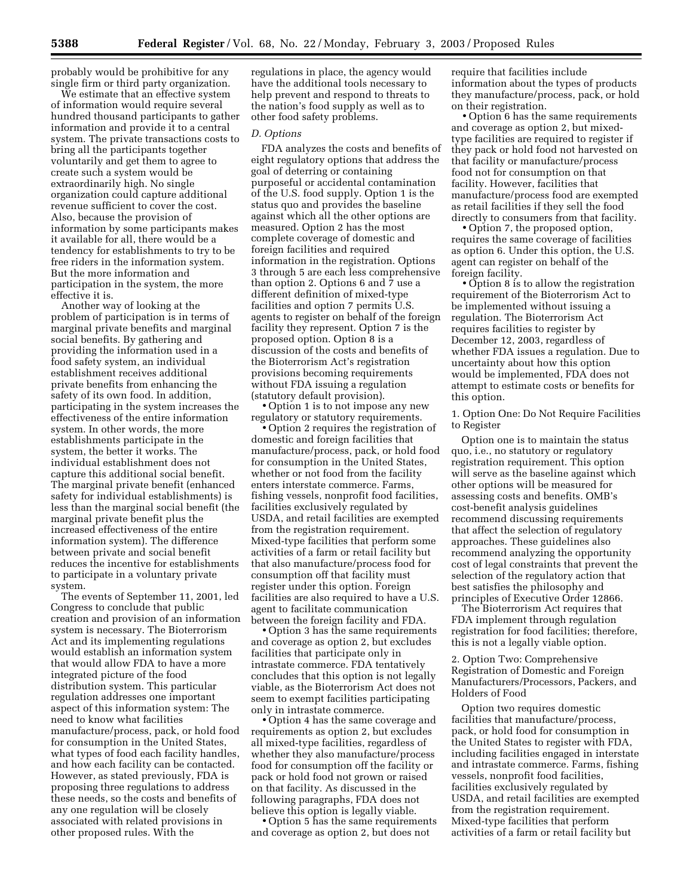probably would be prohibitive for any single firm or third party organization.

We estimate that an effective system of information would require several hundred thousand participants to gather information and provide it to a central system. The private transactions costs to bring all the participants together voluntarily and get them to agree to create such a system would be extraordinarily high. No single organization could capture additional revenue sufficient to cover the cost. Also, because the provision of information by some participants makes it available for all, there would be a tendency for establishments to try to be free riders in the information system. But the more information and participation in the system, the more effective it is.

Another way of looking at the problem of participation is in terms of marginal private benefits and marginal social benefits. By gathering and providing the information used in a food safety system, an individual establishment receives additional private benefits from enhancing the safety of its own food. In addition, participating in the system increases the effectiveness of the entire information system. In other words, the more establishments participate in the system, the better it works. The individual establishment does not capture this additional social benefit. The marginal private benefit (enhanced safety for individual establishments) is less than the marginal social benefit (the marginal private benefit plus the increased effectiveness of the entire information system). The difference between private and social benefit reduces the incentive for establishments to participate in a voluntary private system.

The events of September 11, 2001, led Congress to conclude that public creation and provision of an information system is necessary. The Bioterrorism Act and its implementing regulations would establish an information system that would allow FDA to have a more integrated picture of the food distribution system. This particular regulation addresses one important aspect of this information system: The need to know what facilities manufacture/process, pack, or hold food for consumption in the United States, what types of food each facility handles, and how each facility can be contacted. However, as stated previously, FDA is proposing three regulations to address these needs, so the costs and benefits of any one regulation will be closely associated with related provisions in other proposed rules. With the

regulations in place, the agency would have the additional tools necessary to help prevent and respond to threats to the nation's food supply as well as to other food safety problems.

#### *D. Options*

FDA analyzes the costs and benefits of eight regulatory options that address the goal of deterring or containing purposeful or accidental contamination of the U.S. food supply. Option 1 is the status quo and provides the baseline against which all the other options are measured. Option 2 has the most complete coverage of domestic and foreign facilities and required information in the registration. Options 3 through 5 are each less comprehensive than option 2. Options 6 and 7 use a different definition of mixed-type facilities and option 7 permits U.S. agents to register on behalf of the foreign facility they represent. Option 7 is the proposed option. Option 8 is a discussion of the costs and benefits of the Bioterrorism Act's registration provisions becoming requirements without FDA issuing a regulation (statutory default provision).

• Option 1 is to not impose any new regulatory or statutory requirements.

• Option 2 requires the registration of domestic and foreign facilities that manufacture/process, pack, or hold food for consumption in the United States, whether or not food from the facility enters interstate commerce. Farms, fishing vessels, nonprofit food facilities, facilities exclusively regulated by USDA, and retail facilities are exempted from the registration requirement. Mixed-type facilities that perform some activities of a farm or retail facility but that also manufacture/process food for consumption off that facility must register under this option. Foreign facilities are also required to have a U.S. agent to facilitate communication between the foreign facility and FDA.

• Option 3 has the same requirements and coverage as option 2, but excludes facilities that participate only in intrastate commerce. FDA tentatively concludes that this option is not legally viable, as the Bioterrorism Act does not seem to exempt facilities participating only in intrastate commerce.

• Option 4 has the same coverage and requirements as option 2, but excludes all mixed-type facilities, regardless of whether they also manufacture/process food for consumption off the facility or pack or hold food not grown or raised on that facility. As discussed in the following paragraphs, FDA does not believe this option is legally viable.

• Option 5 has the same requirements and coverage as option 2, but does not

require that facilities include information about the types of products they manufacture/process, pack, or hold on their registration.

• Option 6 has the same requirements and coverage as option 2, but mixedtype facilities are required to register if they pack or hold food not harvested on that facility or manufacture/process food not for consumption on that facility. However, facilities that manufacture/process food are exempted as retail facilities if they sell the food directly to consumers from that facility.

• Option 7, the proposed option, requires the same coverage of facilities as option 6. Under this option, the U.S. agent can register on behalf of the foreign facility.

• Option 8 is to allow the registration requirement of the Bioterrorism Act to be implemented without issuing a regulation. The Bioterrorism Act requires facilities to register by December 12, 2003, regardless of whether FDA issues a regulation. Due to uncertainty about how this option would be implemented, FDA does not attempt to estimate costs or benefits for this option.

1. Option One: Do Not Require Facilities to Register

Option one is to maintain the status quo, i.e., no statutory or regulatory registration requirement. This option will serve as the baseline against which other options will be measured for assessing costs and benefits. OMB's cost-benefit analysis guidelines recommend discussing requirements that affect the selection of regulatory approaches. These guidelines also recommend analyzing the opportunity cost of legal constraints that prevent the selection of the regulatory action that best satisfies the philosophy and principles of Executive Order 12866.

The Bioterrorism Act requires that FDA implement through regulation registration for food facilities; therefore, this is not a legally viable option.

2. Option Two: Comprehensive Registration of Domestic and Foreign Manufacturers/Processors, Packers, and Holders of Food

Option two requires domestic facilities that manufacture/process, pack, or hold food for consumption in the United States to register with FDA, including facilities engaged in interstate and intrastate commerce. Farms, fishing vessels, nonprofit food facilities, facilities exclusively regulated by USDA, and retail facilities are exempted from the registration requirement. Mixed-type facilities that perform activities of a farm or retail facility but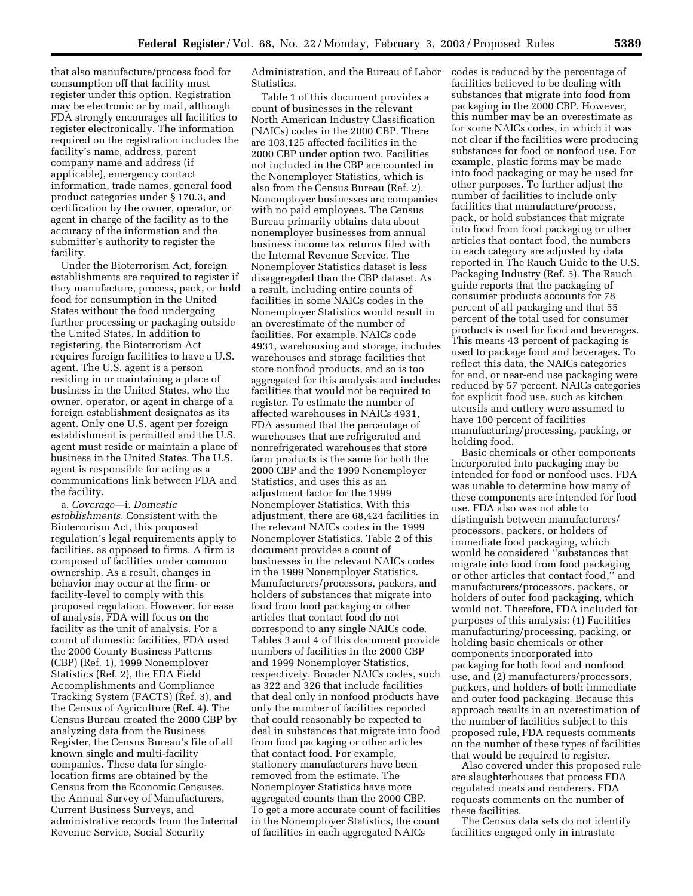that also manufacture/process food for consumption off that facility must register under this option. Registration may be electronic or by mail, although FDA strongly encourages all facilities to register electronically. The information required on the registration includes the facility's name, address, parent company name and address (if applicable), emergency contact information, trade names, general food product categories under § 170.3, and certification by the owner, operator, or agent in charge of the facility as to the accuracy of the information and the submitter's authority to register the facility.

Under the Bioterrorism Act, foreign establishments are required to register if they manufacture, process, pack, or hold food for consumption in the United States without the food undergoing further processing or packaging outside the United States. In addition to registering, the Bioterrorism Act requires foreign facilities to have a U.S. agent. The U.S. agent is a person residing in or maintaining a place of business in the United States, who the owner, operator, or agent in charge of a foreign establishment designates as its agent. Only one U.S. agent per foreign establishment is permitted and the U.S. agent must reside or maintain a place of business in the United States. The U.S. agent is responsible for acting as a communications link between FDA and the facility.

a. *Coverage*—i. *Domestic establishments*. Consistent with the Bioterrorism Act, this proposed regulation's legal requirements apply to facilities, as opposed to firms. A firm is composed of facilities under common ownership. As a result, changes in behavior may occur at the firm- or facility-level to comply with this proposed regulation. However, for ease of analysis, FDA will focus on the facility as the unit of analysis. For a count of domestic facilities, FDA used the 2000 County Business Patterns (CBP) (Ref. 1), 1999 Nonemployer Statistics (Ref. 2), the FDA Field Accomplishments and Compliance Tracking System (FACTS) (Ref. 3), and the Census of Agriculture (Ref. 4). The Census Bureau created the 2000 CBP by analyzing data from the Business Register, the Census Bureau's file of all known single and multi-facility companies. These data for singlelocation firms are obtained by the Census from the Economic Censuses, the Annual Survey of Manufacturers, Current Business Surveys, and administrative records from the Internal Revenue Service, Social Security

Administration, and the Bureau of Labor Statistics.

Table 1 of this document provides a count of businesses in the relevant North American Industry Classification (NAICs) codes in the 2000 CBP. There are 103,125 affected facilities in the 2000 CBP under option two. Facilities not included in the CBP are counted in the Nonemployer Statistics, which is also from the Census Bureau (Ref. 2). Nonemployer businesses are companies with no paid employees. The Census Bureau primarily obtains data about nonemployer businesses from annual business income tax returns filed with the Internal Revenue Service. The Nonemployer Statistics dataset is less disaggregated than the CBP dataset. As a result, including entire counts of facilities in some NAICs codes in the Nonemployer Statistics would result in an overestimate of the number of facilities. For example, NAICs code 4931, warehousing and storage, includes warehouses and storage facilities that store nonfood products, and so is too aggregated for this analysis and includes facilities that would not be required to register. To estimate the number of affected warehouses in NAICs 4931, FDA assumed that the percentage of warehouses that are refrigerated and nonrefrigerated warehouses that store farm products is the same for both the 2000 CBP and the 1999 Nonemployer Statistics, and uses this as an adjustment factor for the 1999 Nonemployer Statistics. With this adjustment, there are 68,424 facilities in the relevant NAICs codes in the 1999 Nonemployer Statistics. Table 2 of this document provides a count of businesses in the relevant NAICs codes in the 1999 Nonemployer Statistics. Manufacturers/processors, packers, and holders of substances that migrate into food from food packaging or other articles that contact food do not correspond to any single NAICs code. Tables 3 and 4 of this document provide numbers of facilities in the 2000 CBP and 1999 Nonemployer Statistics, respectively. Broader NAICs codes, such as 322 and 326 that include facilities that deal only in nonfood products have only the number of facilities reported that could reasonably be expected to deal in substances that migrate into food from food packaging or other articles that contact food. For example, stationery manufacturers have been removed from the estimate. The Nonemployer Statistics have more aggregated counts than the 2000 CBP. To get a more accurate count of facilities in the Nonemployer Statistics, the count of facilities in each aggregated NAICs

codes is reduced by the percentage of facilities believed to be dealing with substances that migrate into food from packaging in the 2000 CBP. However, this number may be an overestimate as for some NAICs codes, in which it was not clear if the facilities were producing substances for food or nonfood use. For example, plastic forms may be made into food packaging or may be used for other purposes. To further adjust the number of facilities to include only facilities that manufacture/process, pack, or hold substances that migrate into food from food packaging or other articles that contact food, the numbers in each category are adjusted by data reported in The Rauch Guide to the U.S. Packaging Industry (Ref. 5). The Rauch guide reports that the packaging of consumer products accounts for 78 percent of all packaging and that 55 percent of the total used for consumer products is used for food and beverages. This means 43 percent of packaging is used to package food and beverages. To reflect this data, the NAICs categories for end, or near-end use packaging were reduced by 57 percent. NAICs categories for explicit food use, such as kitchen utensils and cutlery were assumed to have 100 percent of facilities manufacturing/processing, packing, or holding food.

Basic chemicals or other components incorporated into packaging may be intended for food or nonfood uses. FDA was unable to determine how many of these components are intended for food use. FDA also was not able to distinguish between manufacturers/ processors, packers, or holders of immediate food packaging, which would be considered ''substances that migrate into food from food packaging or other articles that contact food,'' and manufacturers/processors, packers, or holders of outer food packaging, which would not. Therefore, FDA included for purposes of this analysis: (1) Facilities manufacturing/processing, packing, or holding basic chemicals or other components incorporated into packaging for both food and nonfood use, and (2) manufacturers/processors, packers, and holders of both immediate and outer food packaging. Because this approach results in an overestimation of the number of facilities subject to this proposed rule, FDA requests comments on the number of these types of facilities that would be required to register.

Also covered under this proposed rule are slaughterhouses that process FDA regulated meats and renderers. FDA requests comments on the number of these facilities.

The Census data sets do not identify facilities engaged only in intrastate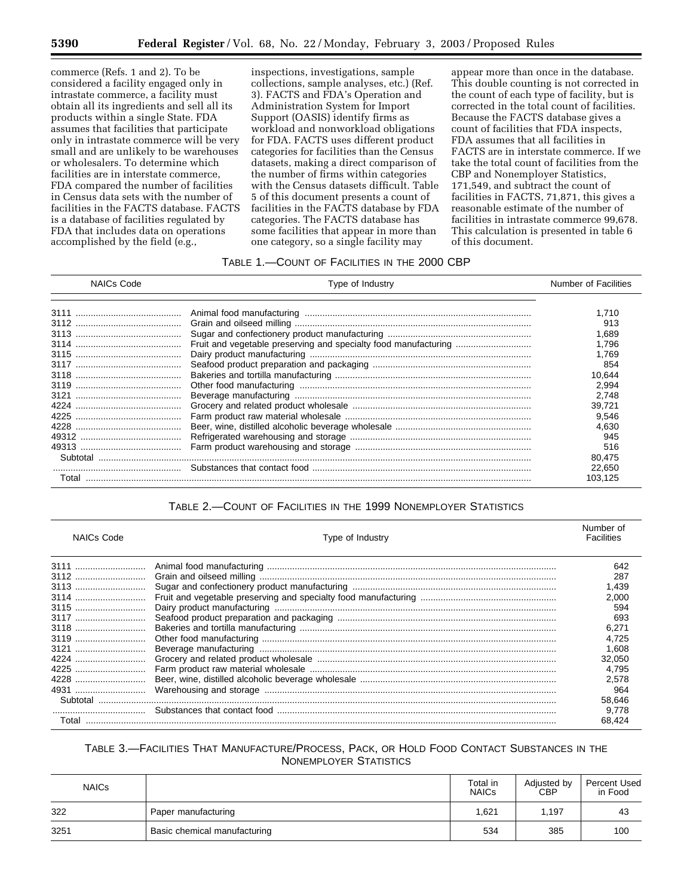commerce (Refs. 1 and 2). To be considered a facility engaged only in intrastate commerce, a facility must obtain all its ingredients and sell all its products within a single State. FDA assumes that facilities that participate only in intrastate commerce will be very small and are unlikely to be warehouses or wholesalers. To determine which facilities are in interstate commerce, FDA compared the number of facilities in Census data sets with the number of facilities in the FACTS database. FACTS is a database of facilities regulated by FDA that includes data on operations accomplished by the field (e.g.,

inspections, investigations, sample collections, sample analyses, etc.) (Ref. 3). FACTS and FDA's Operation and Administration System for Import Support (OASIS) identify firms as workload and nonworkload obligations for FDA. FACTS uses different product categories for facilities than the Census datasets, making a direct comparison of the number of firms within categories with the Census datasets difficult. Table 5 of this document presents a count of facilities in the FACTS database by FDA categories. The FACTS database has some facilities that appear in more than one category, so a single facility may

appear more than once in the database. This double counting is not corrected in the count of each type of facility, but is corrected in the total count of facilities. Because the FACTS database gives a count of facilities that FDA inspects, FDA assumes that all facilities in FACTS are in interstate commerce. If we take the total count of facilities from the CBP and Nonemployer Statistics, 171,549, and subtract the count of facilities in FACTS, 71,871, this gives a reasonable estimate of the number of facilities in intrastate commerce 99,678. This calculation is presented in table 6 of this document.

## TABLE 1.—COUNT OF FACILITIES IN THE 2000 CBP

| NAICs Code | Type of Industry | Number of Facilities |
|------------|------------------|----------------------|
|            |                  | 1.710                |
|            |                  | 913                  |
|            |                  | 1.689                |
|            |                  | 1.796                |
|            |                  | 1.769                |
|            |                  | 854                  |
|            |                  | 10,644               |
|            |                  | 2.994                |
|            |                  | 2.748                |
|            |                  | 39.721               |
|            |                  | 9.546                |
|            |                  | 4.630                |
|            |                  | 945                  |
|            |                  | 516                  |
|            |                  | 80.475               |
|            |                  | 22.650               |
| Total      |                  | 103.125              |

## TABLE 2.—COUNT OF FACILITIES IN THE 1999 NONEMPLOYER STATISTICS

| <b>NAICs Code</b> | Type of Industry | Number of<br>Facilities |
|-------------------|------------------|-------------------------|
|                   |                  | 642                     |
|                   |                  | 287                     |
|                   |                  | 1.439                   |
|                   |                  | 2.000                   |
|                   |                  | 594                     |
|                   |                  | 693                     |
|                   |                  | 6,271                   |
|                   |                  | 4.725                   |
|                   |                  | 1.608                   |
|                   |                  | 32.050                  |
|                   |                  | 4.795                   |
|                   |                  | 2.578                   |
|                   |                  | 964                     |
|                   |                  | 58.646                  |
|                   |                  | 9.778                   |
| Total             |                  | 68.424                  |

## TABLE 3.—FACILITIES THAT MANUFACTURE/PROCESS, PACK, OR HOLD FOOD CONTACT SUBSTANCES IN THE NONEMPLOYER STATISTICS

| <b>NAICs</b> |                              | Total in<br><b>NAICs</b> | Adjusted by<br><b>CBP</b> | Percent Used<br>in Food |
|--------------|------------------------------|--------------------------|---------------------------|-------------------------|
| 322          | Paper manufacturing          | 1.621                    | 1.197                     | 43                      |
| 3251         | Basic chemical manufacturing | 534                      | 385                       | 100                     |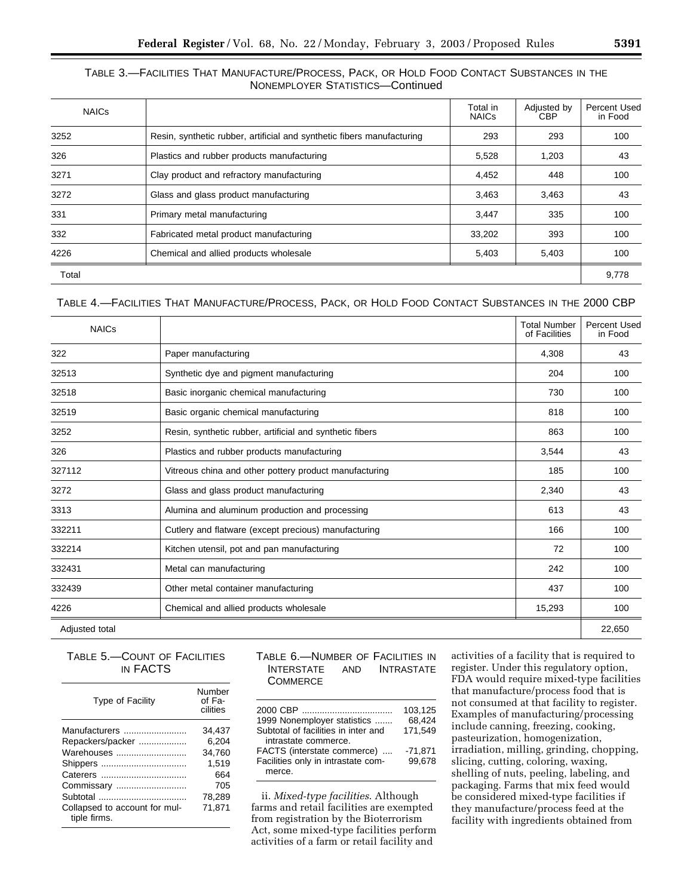## TABLE 3.—FACILITIES THAT MANUFACTURE/PROCESS, PACK, OR HOLD FOOD CONTACT SUBSTANCES IN THE NONEMPLOYER STATISTICS—Continued

| <b>NAICs</b> |                                                                        | Total in<br><b>NAICs</b> | Adjusted by<br>CBP | Percent Used<br>in Food |
|--------------|------------------------------------------------------------------------|--------------------------|--------------------|-------------------------|
| 3252         | Resin, synthetic rubber, artificial and synthetic fibers manufacturing | 293                      | 293                | 100                     |
| 326          | Plastics and rubber products manufacturing                             | 5,528                    | 1,203              | 43                      |
| 3271         | Clay product and refractory manufacturing                              | 4,452                    | 448                | 100                     |
| 3272         | Glass and glass product manufacturing                                  | 3,463                    | 3,463              | 43                      |
| 331          | Primary metal manufacturing                                            | 3,447                    | 335                | 100                     |
| 332          | Fabricated metal product manufacturing                                 | 33,202                   | 393                | 100                     |
| 4226         | Chemical and allied products wholesale                                 | 5,403                    | 5,403              | 100                     |
| Total        |                                                                        |                          |                    | 9,778                   |

TABLE 4.—FACILITIES THAT MANUFACTURE/PROCESS, PACK, OR HOLD FOOD CONTACT SUBSTANCES IN THE 2000 CBP

| <b>NAICs</b>   |                                                          | <b>Total Number</b><br>of Facilities | Percent Used<br>in Food |
|----------------|----------------------------------------------------------|--------------------------------------|-------------------------|
| 322            | Paper manufacturing                                      | 4,308                                | 43                      |
| 32513          | Synthetic dye and pigment manufacturing                  | 204                                  | 100                     |
| 32518          | Basic inorganic chemical manufacturing                   | 730                                  | 100                     |
| 32519          | Basic organic chemical manufacturing                     | 818                                  | 100                     |
| 3252           | Resin, synthetic rubber, artificial and synthetic fibers | 863                                  | 100                     |
| 326            | Plastics and rubber products manufacturing               | 3,544                                | 43                      |
| 327112         | Vitreous china and other pottery product manufacturing   | 185                                  | 100                     |
| 3272           | Glass and glass product manufacturing                    | 2,340                                | 43                      |
| 3313           | Alumina and aluminum production and processing           | 613                                  | 43                      |
| 332211         | Cutlery and flatware (except precious) manufacturing     | 166                                  | 100                     |
| 332214         | Kitchen utensil, pot and pan manufacturing               | 72                                   | 100                     |
| 332431         | Metal can manufacturing                                  | 242                                  | 100                     |
| 332439         | Other metal container manufacturing                      | 437                                  | 100                     |
| 4226           | Chemical and allied products wholesale                   | 15,293                               | 100                     |
| Adjusted total |                                                          |                                      | 22,650                  |

TABLE 5.—COUNT OF FACILITIES IN FACTS

| <b>Type of Facility</b>                       | Number<br>of Fa-<br>cilities |
|-----------------------------------------------|------------------------------|
| Manufacturers                                 | 34.437                       |
| Repackers/packer                              | 6.204                        |
| Warehouses                                    | 34,760                       |
|                                               | 1.519                        |
|                                               | 664                          |
| Commissary                                    | 705                          |
|                                               | 78,289                       |
| Collapsed to account for mul-<br>tiple firms. | 71.871                       |

## TABLE 6.—NUMBER OF FACILITIES IN INTERSTATE AND INTRASTATE **COMMERCE**

| 1999 Nonemployer statistics         | 103,125<br>68.424 |
|-------------------------------------|-------------------|
|                                     |                   |
| Subtotal of facilities in inter and | 171.549           |
| intrastate commerce.                |                   |
| FACTS (interstate commerce)         | $-71.871$         |
| Facilities only in intrastate com-  | 99.678            |
| merce.                              |                   |
|                                     |                   |

ii. *Mixed-type facilities*. Although farms and retail facilities are exempted from registration by the Bioterrorism Act, some mixed-type facilities perform activities of a farm or retail facility and

activities of a facility that is required to register. Under this regulatory option, FDA would require mixed-type facilities that manufacture/process food that is not consumed at that facility to register. Examples of manufacturing/processing include canning, freezing, cooking, pasteurization, homogenization, irradiation, milling, grinding, chopping, slicing, cutting, coloring, waxing, shelling of nuts, peeling, labeling, and packaging. Farms that mix feed would be considered mixed-type facilities if they manufacture/process feed at the facility with ingredients obtained from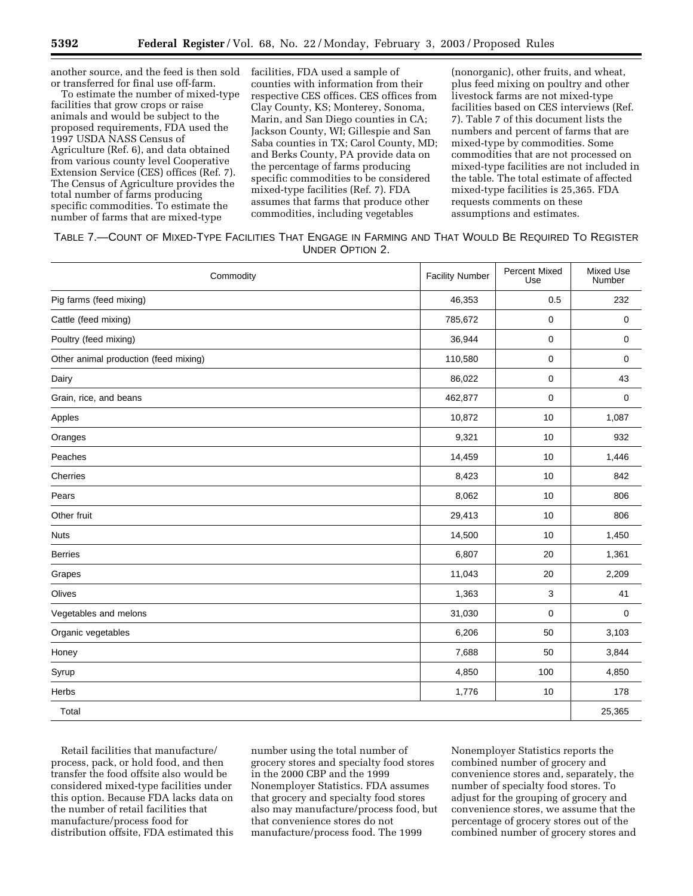another source, and the feed is then sold or transferred for final use off-farm.

To estimate the number of mixed-type facilities that grow crops or raise animals and would be subject to the proposed requirements, FDA used the 1997 USDA NASS Census of Agriculture (Ref. 6), and data obtained from various county level Cooperative Extension Service (CES) offices (Ref. 7). The Census of Agriculture provides the total number of farms producing specific commodities. To estimate the number of farms that are mixed-type

facilities, FDA used a sample of counties with information from their respective CES offices. CES offices from Clay County, KS; Monterey, Sonoma, Marin, and San Diego counties in CA; Jackson County, WI; Gillespie and San Saba counties in TX; Carol County, MD; and Berks County, PA provide data on the percentage of farms producing specific commodities to be considered mixed-type facilities (Ref. 7). FDA assumes that farms that produce other commodities, including vegetables

(nonorganic), other fruits, and wheat, plus feed mixing on poultry and other livestock farms are not mixed-type facilities based on CES interviews (Ref. 7). Table 7 of this document lists the numbers and percent of farms that are mixed-type by commodities. Some commodities that are not processed on mixed-type facilities are not included in the table. The total estimate of affected mixed-type facilities is 25,365. FDA requests comments on these assumptions and estimates.

| TABLE 7.—COUNT OF MIXED-TYPE FACILITIES THAT ENGAGE IN FARMING AND THAT WOULD BE REQUIRED TO REGISTER |                 |  |
|-------------------------------------------------------------------------------------------------------|-----------------|--|
|                                                                                                       | UNDER OPTION 2. |  |

| Commodity                             | <b>Facility Number</b> | Percent Mixed<br>Use | Mixed Use<br>Number |
|---------------------------------------|------------------------|----------------------|---------------------|
| Pig farms (feed mixing)               | 46,353                 | 0.5                  | 232                 |
| Cattle (feed mixing)                  | 785,672                | $\mathbf 0$          | 0                   |
| Poultry (feed mixing)                 | 36,944                 | 0                    | 0                   |
| Other animal production (feed mixing) | 110,580                | $\mathbf 0$          | 0                   |
| Dairy                                 | 86,022                 | $\pmb{0}$            | 43                  |
| Grain, rice, and beans                | 462,877                | $\mathbf 0$          | $\mathbf 0$         |
| Apples                                | 10,872                 | 10                   | 1,087               |
| Oranges                               | 9,321                  | 10 <sup>1</sup>      | 932                 |
| Peaches                               | 14,459                 | 10 <sup>1</sup>      | 1,446               |
| Cherries                              | 8,423                  | 10                   | 842                 |
| Pears                                 | 8,062                  | 10                   | 806                 |
| Other fruit                           | 29,413                 | 10 <sup>1</sup>      | 806                 |
| <b>Nuts</b>                           | 14,500                 | 10                   | 1,450               |
| <b>Berries</b>                        | 6,807                  | 20                   | 1,361               |
| Grapes                                | 11,043                 | 20                   | 2,209               |
| Olives                                | 1,363                  | 3                    | 41                  |
| Vegetables and melons                 | 31,030                 | $\mathbf 0$          | 0                   |
| Organic vegetables                    | 6,206                  | 50                   | 3,103               |
| Honey                                 | 7,688                  | 50                   | 3,844               |
| Syrup                                 | 4,850                  | 100                  | 4,850               |
| Herbs                                 | 1,776                  | 10                   | 178                 |
| Total                                 |                        |                      | 25,365              |

Retail facilities that manufacture/ process, pack, or hold food, and then transfer the food offsite also would be considered mixed-type facilities under this option. Because FDA lacks data on the number of retail facilities that manufacture/process food for distribution offsite, FDA estimated this number using the total number of grocery stores and specialty food stores in the 2000 CBP and the 1999 Nonemployer Statistics. FDA assumes that grocery and specialty food stores also may manufacture/process food, but that convenience stores do not manufacture/process food. The 1999

Nonemployer Statistics reports the combined number of grocery and convenience stores and, separately, the number of specialty food stores. To adjust for the grouping of grocery and convenience stores, we assume that the percentage of grocery stores out of the combined number of grocery stores and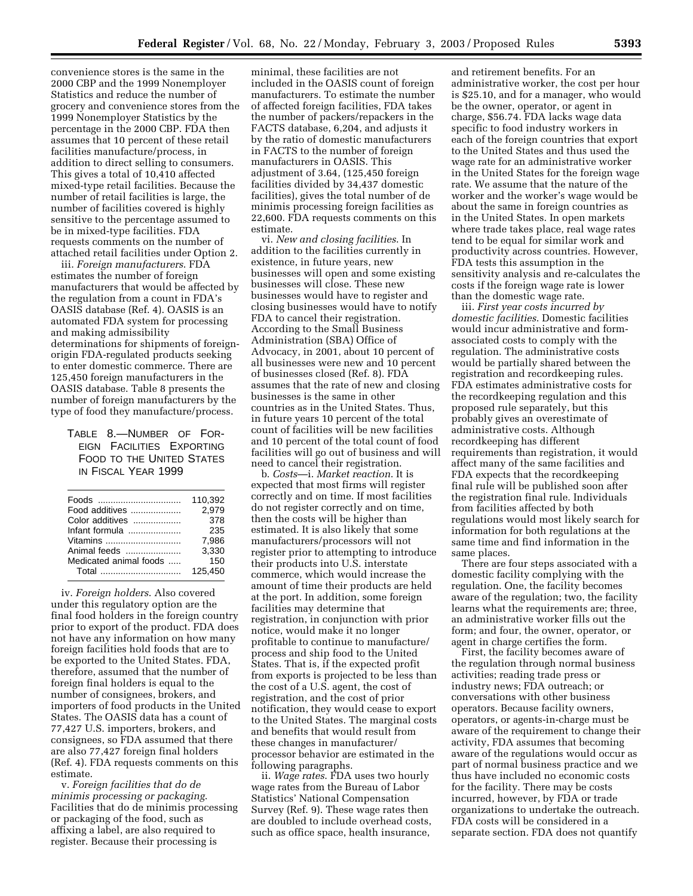convenience stores is the same in the 2000 CBP and the 1999 Nonemployer Statistics and reduce the number of grocery and convenience stores from the 1999 Nonemployer Statistics by the percentage in the 2000 CBP. FDA then assumes that 10 percent of these retail facilities manufacture/process, in addition to direct selling to consumers. This gives a total of 10,410 affected mixed-type retail facilities. Because the number of retail facilities is large, the number of facilities covered is highly sensitive to the percentage assumed to be in mixed-type facilities. FDA requests comments on the number of attached retail facilities under Option 2.

iii. *Foreign manufacturers*. FDA estimates the number of foreign manufacturers that would be affected by the regulation from a count in FDA's OASIS database (Ref. 4). OASIS is an automated FDA system for processing and making admissibility determinations for shipments of foreignorigin FDA-regulated products seeking to enter domestic commerce. There are 125,450 foreign manufacturers in the OASIS database. Table 8 presents the number of foreign manufacturers by the type of food they manufacture/process.

TABLE 8.—NUMBER OF FOR-EIGN FACILITIES EXPORTING FOOD TO THE UNITED STATES IN FISCAL YEAR 1999

|                        | 110.392 |
|------------------------|---------|
| Food additives         | 2.979   |
| Color additives        | 378     |
| Infant formula         | 235     |
| Vitamins               | 7.986   |
| Animal feeds           | 3,330   |
| Medicated animal foods | 150     |
| Total                  | 125.450 |
|                        |         |

iv. *Foreign holders*. Also covered under this regulatory option are the final food holders in the foreign country prior to export of the product. FDA does not have any information on how many foreign facilities hold foods that are to be exported to the United States. FDA, therefore, assumed that the number of foreign final holders is equal to the number of consignees, brokers, and importers of food products in the United States. The OASIS data has a count of 77,427 U.S. importers, brokers, and consignees, so FDA assumed that there are also 77,427 foreign final holders (Ref. 4). FDA requests comments on this estimate.

v. *Foreign facilities that do de minimis processing or packaging*. Facilities that do de minimis processing or packaging of the food, such as affixing a label, are also required to register. Because their processing is

minimal, these facilities are not included in the OASIS count of foreign manufacturers. To estimate the number of affected foreign facilities, FDA takes the number of packers/repackers in the FACTS database, 6,204, and adjusts it by the ratio of domestic manufacturers in FACTS to the number of foreign manufacturers in OASIS. This adjustment of 3.64, (125,450 foreign facilities divided by 34,437 domestic facilities), gives the total number of de minimis processing foreign facilities as 22,600. FDA requests comments on this estimate.

vi. *New and closing facilities*. In addition to the facilities currently in existence, in future years, new businesses will open and some existing businesses will close. These new businesses would have to register and closing businesses would have to notify FDA to cancel their registration. According to the Small Business Administration (SBA) Office of Advocacy, in 2001, about 10 percent of all businesses were new and 10 percent of businesses closed (Ref. 8). FDA assumes that the rate of new and closing businesses is the same in other countries as in the United States. Thus, in future years 10 percent of the total count of facilities will be new facilities and 10 percent of the total count of food facilities will go out of business and will need to cancel their registration.

b. *Costs*—i. *Market reaction*. It is expected that most firms will register correctly and on time. If most facilities do not register correctly and on time, then the costs will be higher than estimated. It is also likely that some manufacturers/processors will not register prior to attempting to introduce their products into U.S. interstate commerce, which would increase the amount of time their products are held at the port. In addition, some foreign facilities may determine that registration, in conjunction with prior notice, would make it no longer profitable to continue to manufacture/ process and ship food to the United States. That is, if the expected profit from exports is projected to be less than the cost of a U.S. agent, the cost of registration, and the cost of prior notification, they would cease to export to the United States. The marginal costs and benefits that would result from these changes in manufacturer/ processor behavior are estimated in the following paragraphs.

ii. *Wage rates*. FDA uses two hourly wage rates from the Bureau of Labor Statistics' National Compensation Survey (Ref. 9). These wage rates then are doubled to include overhead costs, such as office space, health insurance,

and retirement benefits. For an administrative worker, the cost per hour is \$25.10, and for a manager, who would be the owner, operator, or agent in charge, \$56.74. FDA lacks wage data specific to food industry workers in each of the foreign countries that export to the United States and thus used the wage rate for an administrative worker in the United States for the foreign wage rate. We assume that the nature of the worker and the worker's wage would be about the same in foreign countries as in the United States. In open markets where trade takes place, real wage rates tend to be equal for similar work and productivity across countries. However, FDA tests this assumption in the sensitivity analysis and re-calculates the costs if the foreign wage rate is lower than the domestic wage rate.

iii. *First year costs incurred by domestic facilities*. Domestic facilities would incur administrative and formassociated costs to comply with the regulation. The administrative costs would be partially shared between the registration and recordkeeping rules. FDA estimates administrative costs for the recordkeeping regulation and this proposed rule separately, but this probably gives an overestimate of administrative costs. Although recordkeeping has different requirements than registration, it would affect many of the same facilities and FDA expects that the recordkeeping final rule will be published soon after the registration final rule. Individuals from facilities affected by both regulations would most likely search for information for both regulations at the same time and find information in the same places.

There are four steps associated with a domestic facility complying with the regulation. One, the facility becomes aware of the regulation; two, the facility learns what the requirements are; three, an administrative worker fills out the form; and four, the owner, operator, or agent in charge certifies the form.

First, the facility becomes aware of the regulation through normal business activities; reading trade press or industry news; FDA outreach; or conversations with other business operators. Because facility owners, operators, or agents-in-charge must be aware of the requirement to change their activity, FDA assumes that becoming aware of the regulations would occur as part of normal business practice and we thus have included no economic costs for the facility. There may be costs incurred, however, by FDA or trade organizations to undertake the outreach. FDA costs will be considered in a separate section. FDA does not quantify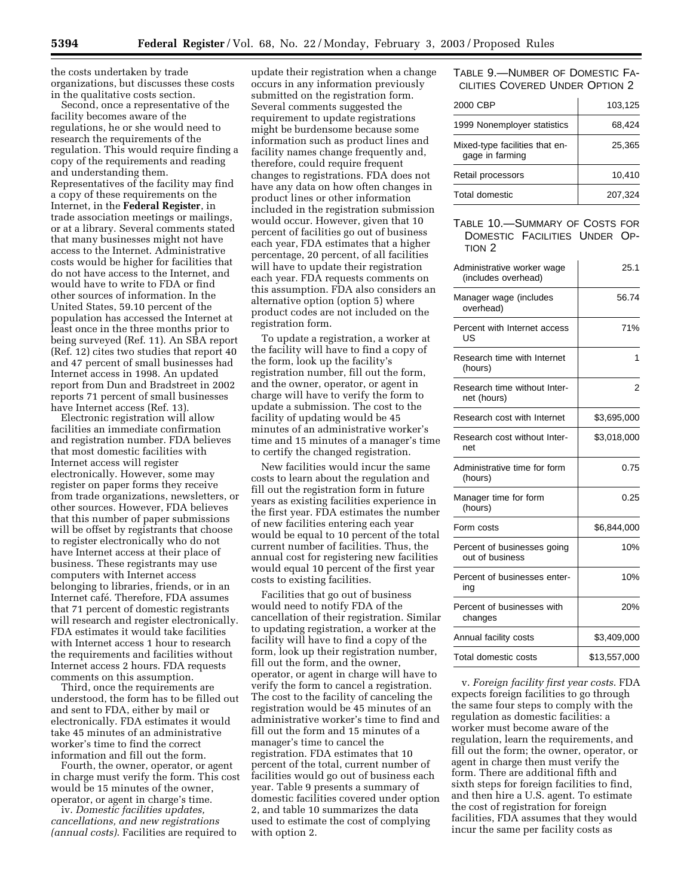the costs undertaken by trade organizations, but discusses these costs in the qualitative costs section.

Second, once a representative of the facility becomes aware of the regulations, he or she would need to research the requirements of the regulation. This would require finding a copy of the requirements and reading and understanding them. Representatives of the facility may find a copy of these requirements on the Internet, in the **Federal Register**, in trade association meetings or mailings, or at a library. Several comments stated that many businesses might not have access to the Internet. Administrative costs would be higher for facilities that do not have access to the Internet, and would have to write to FDA or find other sources of information. In the United States, 59.10 percent of the population has accessed the Internet at least once in the three months prior to being surveyed (Ref. 11). An SBA report (Ref. 12) cites two studies that report 40 and 47 percent of small businesses had Internet access in 1998. An updated report from Dun and Bradstreet in 2002 reports 71 percent of small businesses have Internet access (Ref. 13).

Electronic registration will allow facilities an immediate confirmation and registration number. FDA believes that most domestic facilities with Internet access will register electronically. However, some may register on paper forms they receive from trade organizations, newsletters, or other sources. However, FDA believes that this number of paper submissions will be offset by registrants that choose to register electronically who do not have Internet access at their place of business. These registrants may use computers with Internet access belonging to libraries, friends, or in an Internet cafe´. Therefore, FDA assumes that 71 percent of domestic registrants will research and register electronically. FDA estimates it would take facilities with Internet access 1 hour to research the requirements and facilities without Internet access 2 hours. FDA requests comments on this assumption.

Third, once the requirements are understood, the form has to be filled out and sent to FDA, either by mail or electronically. FDA estimates it would take 45 minutes of an administrative worker's time to find the correct information and fill out the form.

Fourth, the owner, operator, or agent in charge must verify the form. This cost would be 15 minutes of the owner, operator, or agent in charge's time.

iv. *Domestic facilities updates, cancellations, and new registrations (annual costs)*. Facilities are required to

update their registration when a change occurs in any information previously submitted on the registration form. Several comments suggested the requirement to update registrations might be burdensome because some information such as product lines and facility names change frequently and, therefore, could require frequent changes to registrations. FDA does not have any data on how often changes in product lines or other information included in the registration submission would occur. However, given that 10 percent of facilities go out of business each year, FDA estimates that a higher percentage, 20 percent, of all facilities will have to update their registration each year. FDA requests comments on this assumption. FDA also considers an alternative option (option 5) where product codes are not included on the registration form.

To update a registration, a worker at the facility will have to find a copy of the form, look up the facility's registration number, fill out the form, and the owner, operator, or agent in charge will have to verify the form to update a submission. The cost to the facility of updating would be 45 minutes of an administrative worker's time and 15 minutes of a manager's time to certify the changed registration.

New facilities would incur the same costs to learn about the regulation and fill out the registration form in future years as existing facilities experience in the first year. FDA estimates the number of new facilities entering each year would be equal to 10 percent of the total current number of facilities. Thus, the annual cost for registering new facilities would equal 10 percent of the first year costs to existing facilities.

Facilities that go out of business would need to notify FDA of the cancellation of their registration. Similar to updating registration, a worker at the facility will have to find a copy of the form, look up their registration number, fill out the form, and the owner, operator, or agent in charge will have to verify the form to cancel a registration. The cost to the facility of canceling the registration would be 45 minutes of an administrative worker's time to find and fill out the form and 15 minutes of a manager's time to cancel the registration. FDA estimates that 10 percent of the total, current number of facilities would go out of business each year. Table 9 presents a summary of domestic facilities covered under option 2, and table 10 summarizes the data used to estimate the cost of complying with option 2.

## TABLE 9.—NUMBER OF DOMESTIC FA-CILITIES COVERED UNDER OPTION 2

| 2000 CBP                                          | 103,125 |
|---------------------------------------------------|---------|
| 1999 Nonemployer statistics                       | 68.424  |
| Mixed-type facilities that en-<br>gage in farming | 25.365  |
| Retail processors                                 | 10.410  |
| Total domestic                                    | 207,324 |

## TABLE 10.—SUMMARY OF COSTS FOR DOMESTIC FACILITIES UNDER OP-TION 2

| Administrative worker wage<br>(includes overhead) | 25.1           |
|---------------------------------------------------|----------------|
| Manager wage (includes<br>overhead)               | 56.74          |
| Percent with Internet access<br>US                | 71%            |
| Research time with Internet<br>(hours)            | 1              |
| Research time without Inter-<br>net (hours)       | $\overline{2}$ |
| Research cost with Internet                       | \$3,695,000    |
| Research cost without Inter-<br>net               | \$3,018,000    |
| Administrative time for form<br>(hours)           | 0.75           |
| Manager time for form<br>(hours)                  | 0.25           |
| Form costs                                        | \$6,844,000    |
| Percent of businesses going<br>out of business    | 10%            |
| Percent of businesses enter-<br>ing               | 10%            |
| Percent of businesses with<br>changes             | 20%            |
| Annual facility costs                             | \$3,409,000    |
| Total domestic costs                              | \$13,557,000   |

v. *Foreign facility first year costs*. FDA expects foreign facilities to go through the same four steps to comply with the regulation as domestic facilities: a worker must become aware of the regulation, learn the requirements, and fill out the form; the owner, operator, or agent in charge then must verify the form. There are additional fifth and sixth steps for foreign facilities to find, and then hire a U.S. agent. To estimate the cost of registration for foreign facilities, FDA assumes that they would incur the same per facility costs as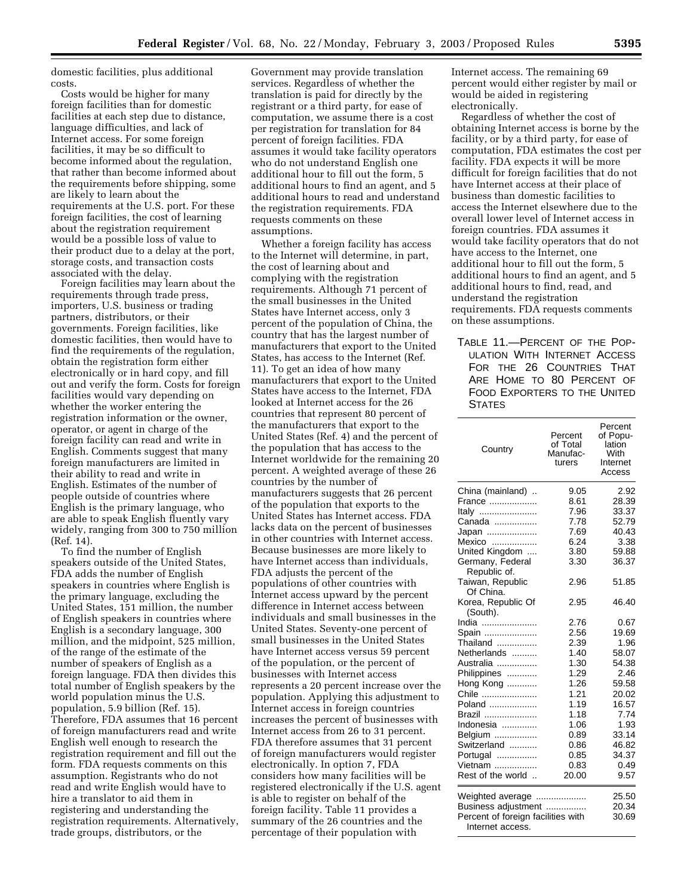domestic facilities, plus additional costs.

Costs would be higher for many foreign facilities than for domestic facilities at each step due to distance, language difficulties, and lack of Internet access. For some foreign facilities, it may be so difficult to become informed about the regulation, that rather than become informed about the requirements before shipping, some are likely to learn about the requirements at the U.S. port. For these foreign facilities, the cost of learning about the registration requirement would be a possible loss of value to their product due to a delay at the port, storage costs, and transaction costs associated with the delay.

Foreign facilities may learn about the requirements through trade press, importers, U.S. business or trading partners, distributors, or their governments. Foreign facilities, like domestic facilities, then would have to find the requirements of the regulation, obtain the registration form either electronically or in hard copy, and fill out and verify the form. Costs for foreign facilities would vary depending on whether the worker entering the registration information or the owner, operator, or agent in charge of the foreign facility can read and write in English. Comments suggest that many foreign manufacturers are limited in their ability to read and write in English. Estimates of the number of people outside of countries where English is the primary language, who are able to speak English fluently vary widely, ranging from 300 to 750 million (Ref. 14).

To find the number of English speakers outside of the United States, FDA adds the number of English speakers in countries where English is the primary language, excluding the United States, 151 million, the number of English speakers in countries where English is a secondary language, 300 million, and the midpoint, 525 million, of the range of the estimate of the number of speakers of English as a foreign language. FDA then divides this total number of English speakers by the world population minus the U.S. population, 5.9 billion (Ref. 15). Therefore, FDA assumes that 16 percent of foreign manufacturers read and write English well enough to research the registration requirement and fill out the form. FDA requests comments on this assumption. Registrants who do not read and write English would have to hire a translator to aid them in registering and understanding the registration requirements. Alternatively, trade groups, distributors, or the

Government may provide translation services. Regardless of whether the translation is paid for directly by the registrant or a third party, for ease of computation, we assume there is a cost per registration for translation for 84 percent of foreign facilities. FDA assumes it would take facility operators who do not understand English one additional hour to fill out the form, 5 additional hours to find an agent, and 5 additional hours to read and understand the registration requirements. FDA requests comments on these assumptions.

Whether a foreign facility has access to the Internet will determine, in part, the cost of learning about and complying with the registration requirements. Although 71 percent of the small businesses in the United States have Internet access, only 3 percent of the population of China, the country that has the largest number of manufacturers that export to the United States, has access to the Internet (Ref. 11). To get an idea of how many manufacturers that export to the United States have access to the Internet, FDA looked at Internet access for the 26 countries that represent 80 percent of the manufacturers that export to the United States (Ref. 4) and the percent of the population that has access to the Internet worldwide for the remaining 20 percent. A weighted average of these 26 countries by the number of manufacturers suggests that 26 percent of the population that exports to the United States has Internet access. FDA lacks data on the percent of businesses in other countries with Internet access. Because businesses are more likely to have Internet access than individuals, FDA adjusts the percent of the populations of other countries with Internet access upward by the percent difference in Internet access between individuals and small businesses in the United States. Seventy-one percent of small businesses in the United States have Internet access versus 59 percent of the population, or the percent of businesses with Internet access represents a 20 percent increase over the population. Applying this adjustment to Internet access in foreign countries increases the percent of businesses with Internet access from 26 to 31 percent. FDA therefore assumes that 31 percent of foreign manufacturers would register electronically. In option 7, FDA considers how many facilities will be registered electronically if the U.S. agent is able to register on behalf of the foreign facility. Table 11 provides a summary of the 26 countries and the percentage of their population with

Internet access. The remaining 69 percent would either register by mail or would be aided in registering electronically.

Regardless of whether the cost of obtaining Internet access is borne by the facility, or by a third party, for ease of computation, FDA estimates the cost per facility. FDA expects it will be more difficult for foreign facilities that do not have Internet access at their place of business than domestic facilities to access the Internet elsewhere due to the overall lower level of Internet access in foreign countries. FDA assumes it would take facility operators that do not have access to the Internet, one additional hour to fill out the form, 5 additional hours to find an agent, and 5 additional hours to find, read, and understand the registration requirements. FDA requests comments on these assumptions.

TABLE 11.—PERCENT OF THE POP-ULATION WITH INTERNET ACCESS FOR THE 26 COUNTRIES THAT ARE HOME TO 80 PERCENT OF FOOD EXPORTERS TO THE UNITED **STATES** 

| Country                            | Percent<br>of Total<br>Manufac-<br>turers | Percent<br>of Popu-<br>lation<br>With<br>Internet<br>Access |
|------------------------------------|-------------------------------------------|-------------------------------------------------------------|
| China (mainland)                   | 9.05                                      | 2.92                                                        |
| France                             | 8.61                                      | 28.39                                                       |
| Italy                              | 7.96                                      | 33.37                                                       |
| Canada                             | 7.78                                      | 52.79                                                       |
| Japan                              | 7.69                                      | 40.43                                                       |
| Mexico                             | 6.24                                      | 3.38                                                        |
| United Kingdom                     | 3.80                                      | 59.88                                                       |
| Germany, Federal                   | 3.30                                      | 36.37                                                       |
| Republic of.<br>Taiwan, Republic   | 2.96                                      | 51.85                                                       |
| Of China.                          |                                           |                                                             |
| Korea, Republic Of<br>(South).     | 2.95                                      | 46.40                                                       |
| India                              | 2.76                                      | 0.67                                                        |
| Spain                              | 2.56                                      | 19.69                                                       |
| Thailand                           | 2.39                                      | 1.96                                                        |
| Netherlands                        | 1.40                                      | 58.07                                                       |
| Australia                          | 1.30                                      | 54.38                                                       |
| Philippines                        | 1.29                                      | 2.46                                                        |
| Hong Kong                          | 1.26                                      | 59.58                                                       |
| Chile                              | 1.21                                      | 20.02                                                       |
| Poland                             | 1.19                                      | 16.57                                                       |
| Brazil                             | 1.18                                      | 7.74                                                        |
| Indonesia                          | 1.06                                      | 1.93                                                        |
| Belgium                            | 0.89                                      | 33.14                                                       |
| Switzerland                        | 0.86                                      | 46.82                                                       |
| Portugal                           | 0.85                                      | 34.37                                                       |
| Vietnam                            | 0.83                                      | 0.49                                                        |
| Rest of the world                  | 20.00                                     | 9.57                                                        |
| Weighted average                   |                                           | 25.50                                                       |
| Business adjustment                |                                           | 20.34                                                       |
| Percent of foreign facilities with |                                           | 30.69                                                       |
| Internet access.                   |                                           |                                                             |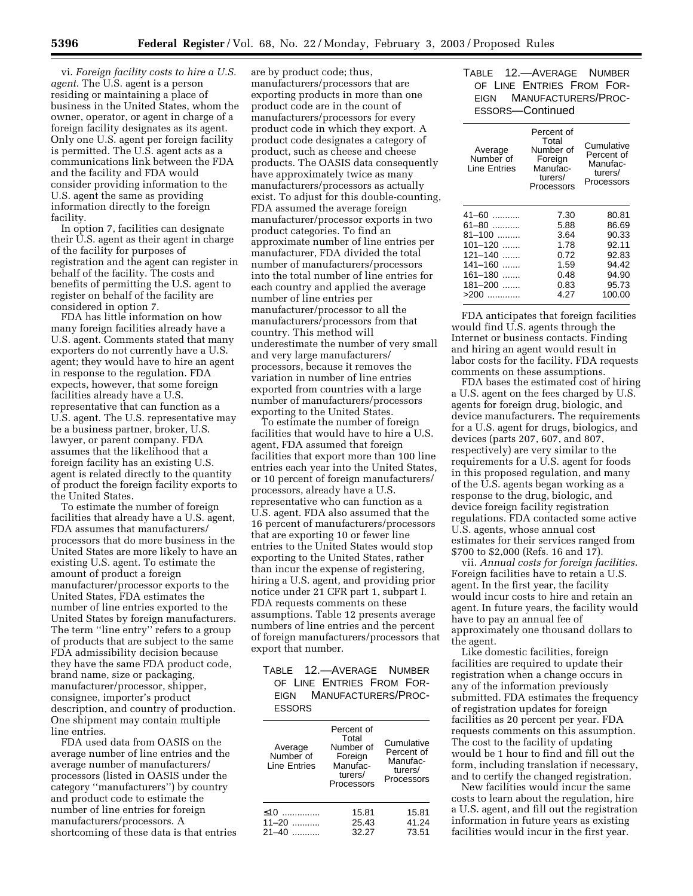vi. *Foreign facility costs to hire a U.S. agent*. The U.S. agent is a person residing or maintaining a place of business in the United States, whom the owner, operator, or agent in charge of a foreign facility designates as its agent. Only one U.S. agent per foreign facility is permitted. The U.S. agent acts as a communications link between the FDA and the facility and FDA would consider providing information to the U.S. agent the same as providing information directly to the foreign facility.

In option 7, facilities can designate their U.S. agent as their agent in charge of the facility for purposes of registration and the agent can register in behalf of the facility. The costs and benefits of permitting the U.S. agent to register on behalf of the facility are considered in option 7.

FDA has little information on how many foreign facilities already have a U.S. agent. Comments stated that many exporters do not currently have a U.S. agent; they would have to hire an agent in response to the regulation. FDA expects, however, that some foreign facilities already have a U.S. representative that can function as a U.S. agent. The U.S. representative may be a business partner, broker, U.S. lawyer, or parent company. FDA assumes that the likelihood that a foreign facility has an existing U.S. agent is related directly to the quantity of product the foreign facility exports to the United States.

To estimate the number of foreign facilities that already have a U.S. agent, FDA assumes that manufacturers/ processors that do more business in the United States are more likely to have an existing U.S. agent. To estimate the amount of product a foreign manufacturer/processor exports to the United States, FDA estimates the number of line entries exported to the United States by foreign manufacturers. The term "line entry" refers to a group of products that are subject to the same FDA admissibility decision because they have the same FDA product code, brand name, size or packaging, manufacturer/processor, shipper, consignee, importer's product description, and country of production. One shipment may contain multiple line entries.

FDA used data from OASIS on the average number of line entries and the average number of manufacturers/ processors (listed in OASIS under the category ''manufacturers'') by country and product code to estimate the number of line entries for foreign manufacturers/processors. A shortcoming of these data is that entries

are by product code; thus, manufacturers/processors that are exporting products in more than one product code are in the count of manufacturers/processors for every product code in which they export. A product code designates a category of product, such as cheese and cheese products. The OASIS data consequently have approximately twice as many manufacturers/processors as actually exist. To adjust for this double-counting, FDA assumed the average foreign manufacturer/processor exports in two product categories. To find an approximate number of line entries per manufacturer, FDA divided the total number of manufacturers/processors into the total number of line entries for each country and applied the average number of line entries per manufacturer/processor to all the manufacturers/processors from that country. This method will underestimate the number of very small and very large manufacturers/ processors, because it removes the variation in number of line entries exported from countries with a large number of manufacturers/processors exporting to the United States.

To estimate the number of foreign facilities that would have to hire a U.S. agent, FDA assumed that foreign facilities that export more than 100 line entries each year into the United States, or 10 percent of foreign manufacturers/ processors, already have a U.S. representative who can function as a U.S. agent. FDA also assumed that the 16 percent of manufacturers/processors that are exporting 10 or fewer line entries to the United States would stop exporting to the United States, rather than incur the expense of registering, hiring a U.S. agent, and providing prior notice under 21 CFR part 1, subpart I. FDA requests comments on these assumptions. Table 12 presents average numbers of line entries and the percent of foreign manufacturers/processors that export that number.

## TABLE 12.—AVERAGE NUMBER OF LINE ENTRIES FROM FOR-EIGN MANUFACTURERS/PROC-ESSORS

| Average<br>Number of<br>Line Entries | Percent of<br>Total<br>Number of<br>Foreign<br>Manufac-<br>turers/<br>Processors | Cumulative<br>Percent of<br>Manufac-<br>turers/<br>Processors |
|--------------------------------------|----------------------------------------------------------------------------------|---------------------------------------------------------------|
| ≤10                                  | 15.81                                                                            | 15.81                                                         |
| $11 - 20$                            | 25.43                                                                            | 41.24                                                         |
| $21 - 40$                            | 32.27                                                                            | 73.51                                                         |

TABLE 12.—AVERAGE NUMBER OF LINE ENTRIES FROM FOR-EIGN MANUFACTURERS/PROC-ESSORS—Continued

| Average<br>Number of<br><b>Line Entries</b> | Percent of<br>Total<br>Number of<br>Foreign<br>Manufac-<br>turers/<br>Processors | Cumulative<br>Percent of<br>Manufac-<br>turers/<br>Processors |
|---------------------------------------------|----------------------------------------------------------------------------------|---------------------------------------------------------------|
| 41-60                                       | 7.30                                                                             | 80.81                                                         |
| 61-80                                       | 5.88                                                                             | 86.69                                                         |
| 81-100                                      | 3.64                                                                             | 90.33                                                         |
| $101 - 120$                                 | 1.78                                                                             | 92.11                                                         |
| 121-140                                     | 0.72                                                                             | 92.83                                                         |
| 141-160<br>$\cdots$                         | 1.59                                                                             | 94.42                                                         |
| 161-180<br>.                                | 0.48                                                                             | 94.90                                                         |
| 181-200                                     | 0.83                                                                             | 95.73                                                         |
| >200                                        | 4.27                                                                             | 100.00                                                        |
|                                             |                                                                                  |                                                               |

FDA anticipates that foreign facilities would find U.S. agents through the Internet or business contacts. Finding and hiring an agent would result in labor costs for the facility. FDA requests comments on these assumptions.

FDA bases the estimated cost of hiring a U.S. agent on the fees charged by U.S. agents for foreign drug, biologic, and device manufacturers. The requirements for a U.S. agent for drugs, biologics, and devices (parts 207, 607, and 807, respectively) are very similar to the requirements for a U.S. agent for foods in this proposed regulation, and many of the U.S. agents began working as a response to the drug, biologic, and device foreign facility registration regulations. FDA contacted some active U.S. agents, whose annual cost estimates for their services ranged from \$700 to \$2,000 (Refs. 16 and 17).

vii. *Annual costs for foreign facilities*. Foreign facilities have to retain a U.S. agent. In the first year, the facility would incur costs to hire and retain an agent. In future years, the facility would have to pay an annual fee of approximately one thousand dollars to the agent.

Like domestic facilities, foreign facilities are required to update their registration when a change occurs in any of the information previously submitted. FDA estimates the frequency of registration updates for foreign facilities as 20 percent per year. FDA requests comments on this assumption. The cost to the facility of updating would be 1 hour to find and fill out the form, including translation if necessary, and to certify the changed registration.

New facilities would incur the same costs to learn about the regulation, hire a U.S. agent, and fill out the registration information in future years as existing facilities would incur in the first year.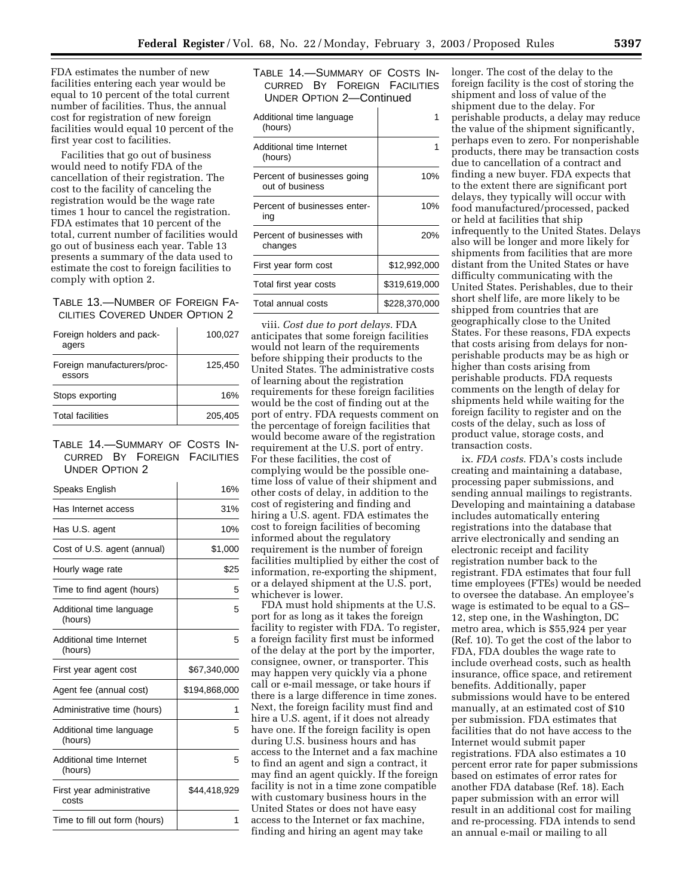FDA estimates the number of new facilities entering each year would be equal to 10 percent of the total current number of facilities. Thus, the annual cost for registration of new foreign facilities would equal 10 percent of the first year cost to facilities.

Facilities that go out of business would need to notify FDA of the cancellation of their registration. The cost to the facility of canceling the registration would be the wage rate times 1 hour to cancel the registration. FDA estimates that 10 percent of the total, current number of facilities would go out of business each year. Table 13 presents a summary of the data used to estimate the cost to foreign facilities to comply with option 2.

TABLE 13.—NUMBER OF FOREIGN FA-CILITIES COVERED UNDER OPTION 2

| Foreign holders and pack-<br>agers    | 100,027 |
|---------------------------------------|---------|
| Foreign manufacturers/proc-<br>essors | 125.450 |
| Stops exporting                       | 16%     |
| <b>Total facilities</b>               | 205.405 |
|                                       |         |

TABLE 14.—SUMMARY OF COSTS IN-CURRED BY FOREIGN FACILITIES UNDER OPTION 2

| Speaks English                      | 16%           |
|-------------------------------------|---------------|
| Has Internet access                 | 31%           |
| Has U.S. agent                      | 10%           |
| Cost of U.S. agent (annual)         | \$1,000       |
| Hourly wage rate                    | \$25          |
| Time to find agent (hours)          | 5             |
| Additional time language<br>(hours) | 5             |
| Additional time Internet<br>(hours) | 5             |
| First year agent cost               | \$67,340,000  |
| Agent fee (annual cost)             | \$194,868,000 |
| Administrative time (hours)         | 1             |
| Additional time language<br>(hours) | 5             |
| Additional time Internet<br>(hours) | 5             |
| First year administrative<br>costs  | \$44,418,929  |
| Time to fill out form (hours)       | 1             |

| TABLE 14. - SUMMARY OF COSTS IN- |  |  |  |
|----------------------------------|--|--|--|
| CURRED BY FOREIGN FACILITIES     |  |  |  |
| UNDER OPTION 2-Continued         |  |  |  |

| Additional time language<br>(hours)            |               |
|------------------------------------------------|---------------|
| Additional time Internet<br>(hours)            |               |
| Percent of businesses going<br>out of business | 10%           |
| Percent of businesses enter-<br>ina            | 10%           |
| Percent of businesses with<br>changes          | 20%           |
| First year form cost                           | \$12,992,000  |
| Total first year costs                         | \$319,619,000 |
| Total annual costs                             | \$228,370,000 |
|                                                |               |

viii. *Cost due to port delays*. FDA anticipates that some foreign facilities would not learn of the requirements before shipping their products to the United States. The administrative costs of learning about the registration requirements for these foreign facilities would be the cost of finding out at the port of entry. FDA requests comment on the percentage of foreign facilities that would become aware of the registration requirement at the U.S. port of entry. For these facilities, the cost of complying would be the possible onetime loss of value of their shipment and other costs of delay, in addition to the cost of registering and finding and hiring a U.S. agent. FDA estimates the cost to foreign facilities of becoming informed about the regulatory requirement is the number of foreign facilities multiplied by either the cost of information, re-exporting the shipment, or a delayed shipment at the U.S. port, whichever is lower.

FDA must hold shipments at the U.S. port for as long as it takes the foreign facility to register with FDA. To register, a foreign facility first must be informed of the delay at the port by the importer, consignee, owner, or transporter. This may happen very quickly via a phone call or e-mail message, or take hours if there is a large difference in time zones. Next, the foreign facility must find and hire a U.S. agent, if it does not already have one. If the foreign facility is open during U.S. business hours and has access to the Internet and a fax machine to find an agent and sign a contract, it may find an agent quickly. If the foreign facility is not in a time zone compatible with customary business hours in the United States or does not have easy access to the Internet or fax machine, finding and hiring an agent may take

longer. The cost of the delay to the foreign facility is the cost of storing the shipment and loss of value of the shipment due to the delay. For perishable products, a delay may reduce the value of the shipment significantly, perhaps even to zero. For nonperishable products, there may be transaction costs due to cancellation of a contract and finding a new buyer. FDA expects that to the extent there are significant port delays, they typically will occur with food manufactured/processed, packed or held at facilities that ship infrequently to the United States. Delays also will be longer and more likely for shipments from facilities that are more distant from the United States or have difficulty communicating with the United States. Perishables, due to their short shelf life, are more likely to be shipped from countries that are geographically close to the United States. For these reasons, FDA expects that costs arising from delays for nonperishable products may be as high or higher than costs arising from perishable products. FDA requests comments on the length of delay for shipments held while waiting for the foreign facility to register and on the costs of the delay, such as loss of product value, storage costs, and transaction costs.

ix. *FDA costs*. FDA's costs include creating and maintaining a database, processing paper submissions, and sending annual mailings to registrants. Developing and maintaining a database includes automatically entering registrations into the database that arrive electronically and sending an electronic receipt and facility registration number back to the registrant. FDA estimates that four full time employees (FTEs) would be needed to oversee the database. An employee's wage is estimated to be equal to a GS– 12, step one, in the Washington, DC metro area, which is \$55,924 per year (Ref. 10). To get the cost of the labor to FDA, FDA doubles the wage rate to include overhead costs, such as health insurance, office space, and retirement benefits. Additionally, paper submissions would have to be entered manually, at an estimated cost of \$10 per submission. FDA estimates that facilities that do not have access to the Internet would submit paper registrations. FDA also estimates a 10 percent error rate for paper submissions based on estimates of error rates for another FDA database (Ref. 18). Each paper submission with an error will result in an additional cost for mailing and re-processing. FDA intends to send an annual e-mail or mailing to all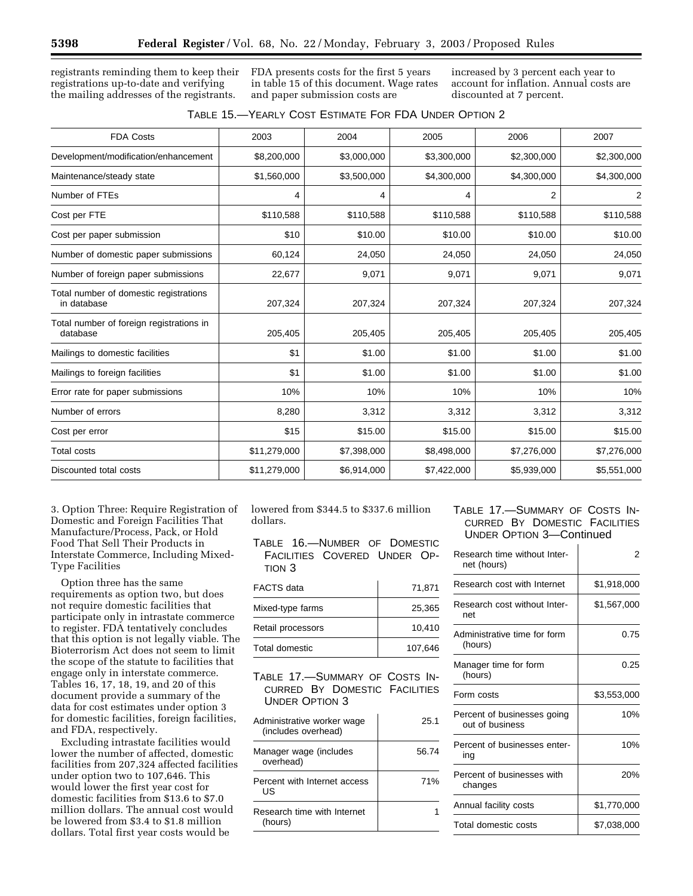registrants reminding them to keep their registrations up-to-date and verifying the mailing addresses of the registrants.

FDA presents costs for the first 5 years in table 15 of this document. Wage rates and paper submission costs are

increased by 3 percent each year to account for inflation. Annual costs are discounted at 7 percent.

| <b>FDA Costs</b>                                      | 2003         | 2004        | 2005        | 2006           | 2007           |
|-------------------------------------------------------|--------------|-------------|-------------|----------------|----------------|
| Development/modification/enhancement                  | \$8,200,000  | \$3,000,000 | \$3,300,000 | \$2,300,000    | \$2,300,000    |
| Maintenance/steady state                              | \$1,560,000  | \$3,500,000 | \$4,300,000 | \$4,300,000    | \$4,300,000    |
| Number of FTEs                                        | 4            | 4           | 4           | $\overline{2}$ | $\overline{2}$ |
| Cost per FTE                                          | \$110,588    | \$110,588   | \$110,588   | \$110,588      | \$110,588      |
| Cost per paper submission                             | \$10         | \$10.00     | \$10.00     | \$10.00        | \$10.00        |
| Number of domestic paper submissions                  | 60,124       | 24,050      | 24,050      | 24,050         | 24,050         |
| Number of foreign paper submissions                   | 22,677       | 9,071       | 9,071       | 9,071          | 9,071          |
| Total number of domestic registrations<br>in database | 207,324      | 207,324     | 207,324     | 207,324        | 207,324        |
| Total number of foreign registrations in<br>database  | 205,405      | 205,405     | 205,405     | 205,405        | 205,405        |
| Mailings to domestic facilities                       | \$1          | \$1.00      | \$1.00      | \$1.00         | \$1.00         |
| Mailings to foreign facilities                        | \$1          | \$1.00      | \$1.00      | \$1.00         | \$1.00         |
| Error rate for paper submissions                      | 10%          | 10%         | 10%         | 10%            | 10%            |
| Number of errors                                      | 8,280        | 3,312       | 3,312       | 3,312          | 3,312          |
| Cost per error                                        | \$15         | \$15.00     | \$15.00     | \$15.00        | \$15.00        |
| <b>Total costs</b>                                    | \$11,279,000 | \$7,398,000 | \$8,498,000 | \$7,276,000    | \$7,276,000    |
| Discounted total costs                                | \$11,279,000 | \$6,914,000 | \$7,422,000 | \$5,939,000    | \$5,551,000    |

3. Option Three: Require Registration of Domestic and Foreign Facilities That Manufacture/Process, Pack, or Hold Food That Sell Their Products in Interstate Commerce, Including Mixed-Type Facilities

Option three has the same requirements as option two, but does not require domestic facilities that participate only in intrastate commerce to register. FDA tentatively concludes that this option is not legally viable. The Bioterrorism Act does not seem to limit the scope of the statute to facilities that engage only in interstate commerce. Tables 16, 17, 18, 19, and 20 of this document provide a summary of the data for cost estimates under option 3 for domestic facilities, foreign facilities, and FDA, respectively.

Excluding intrastate facilities would lower the number of affected, domestic facilities from 207,324 affected facilities under option two to 107,646. This would lower the first year cost for domestic facilities from \$13.6 to \$7.0 million dollars. The annual cost would be lowered from \$3.4 to \$1.8 million dollars. Total first year costs would be

lowered from \$344.5 to \$337.6 million dollars.

TABLE 16.—NUMBER OF DOMESTIC FACILITIES COVERED UNDER OP-TION 3

| <b>FACTS</b> data | 71,871  |
|-------------------|---------|
| Mixed-type farms  | 25,365  |
| Retail processors | 10,410  |
| Total domestic    | 107,646 |

TABLE 17.—SUMMARY OF COSTS IN-CURRED BY DOMESTIC FACILITIES UNDER OPTION 3

| Administrative worker wage<br>(includes overhead) | 25.1  |
|---------------------------------------------------|-------|
| Manager wage (includes<br>overhead)               | 56.74 |
| Percent with Internet access<br>US                | 71%   |
| Research time with Internet<br>(hours)            |       |

## TABLE 17.—SUMMARY OF COSTS IN-CURRED BY DOMESTIC FACILITIES UNDER OPTION 3—Continued

| Research time without Inter-<br>net (hours)    | 2           |
|------------------------------------------------|-------------|
| Research cost with Internet                    | \$1,918,000 |
| Research cost without Inter-<br>net            | \$1,567,000 |
| Administrative time for form<br>(hours)        | 0.75        |
| Manager time for form<br>(hours)               | 0.25        |
| Form costs                                     | \$3,553,000 |
| Percent of businesses going<br>out of business | 10%         |
| Percent of businesses enter-<br>ing            | 10%         |
| Percent of businesses with<br>changes          | 20%         |
| Annual facility costs                          | \$1,770,000 |
| Total domestic costs                           | \$7,038,000 |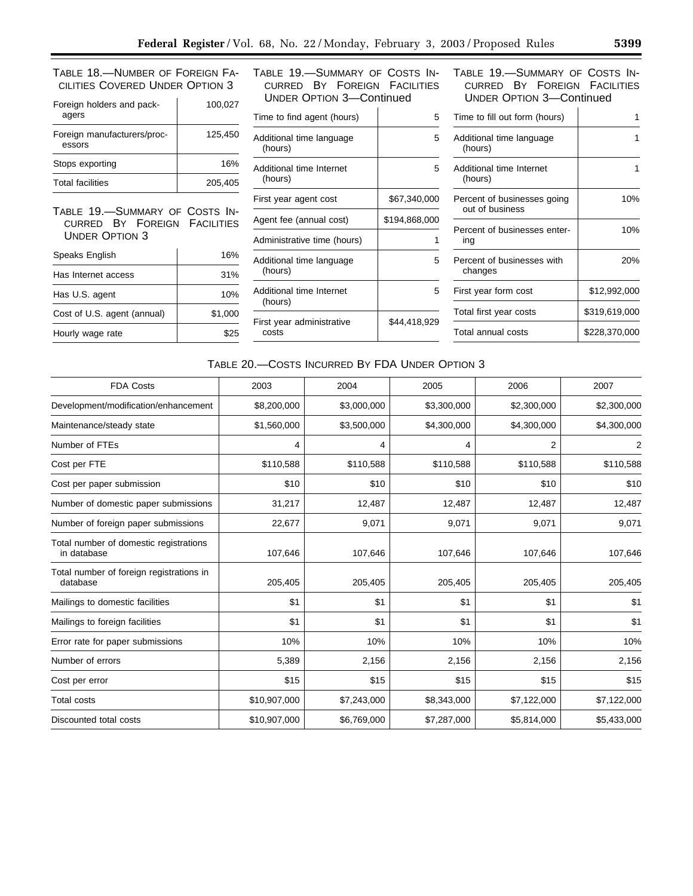TABLE 18.—NUMBER OF FOREIGN FA-CILITIES COVERED UNDER OPTION 3

| Foreign holders and pack-<br>agers    | 100,027 |
|---------------------------------------|---------|
| Foreign manufacturers/proc-<br>essors | 125,450 |
| Stops exporting                       | 16%     |
| <b>Total facilities</b>               | 205.405 |

TABLE 19.—SUMMARY OF COSTS IN-CURRED BY FOREIGN FACILITIES UNDER OPTION 3

| Speaks English              | 16%     |
|-----------------------------|---------|
| Has Internet access         | 31%     |
| Has U.S. agent              | 10%     |
| Cost of U.S. agent (annual) | \$1,000 |
| Hourly wage rate            | \$25    |

TABLE 19.—SUMMARY OF COSTS IN-CURRED BY FOREIGN FACILITIES UNDER OPTION 3—Continued

| Time to find agent (hours)          | 5             |
|-------------------------------------|---------------|
| Additional time language<br>(hours) | 5             |
| Additional time Internet<br>(hours) | 5             |
| First year agent cost               | \$67,340,000  |
| Agent fee (annual cost)             | \$194,868,000 |
| Administrative time (hours)         |               |
| Additional time language<br>(hours) | 5             |
| Additional time Internet<br>(hours) | 5             |
| First year administrative<br>costs  | \$44,418,929  |

TABLE 19.—SUMMARY OF COSTS IN-CURRED BY FOREIGN FACILITIES UNDER OPTION 3—Continued

| Time to fill out form (hours)                  |               |
|------------------------------------------------|---------------|
| Additional time language<br>(hours)            |               |
| Additional time Internet<br>(hours)            |               |
| Percent of businesses going<br>out of business | 10%           |
| Percent of businesses enter-<br>ing            | 10%           |
| Percent of businesses with<br>changes          | 20%           |
| First year form cost                           | \$12,992,000  |
| Total first year costs                         | \$319,619,000 |
| Total annual costs                             | \$228,370,000 |

## TABLE 20.—COSTS INCURRED BY FDA UNDER OPTION 3

| <b>FDA Costs</b>                                      | 2003         | 2004        | 2005        | 2006        | 2007           |
|-------------------------------------------------------|--------------|-------------|-------------|-------------|----------------|
| Development/modification/enhancement                  | \$8,200,000  | \$3,000,000 | \$3,300,000 | \$2,300,000 | \$2,300,000    |
| Maintenance/steady state                              | \$1,560,000  | \$3,500,000 | \$4,300,000 | \$4,300,000 | \$4,300,000    |
| Number of FTEs                                        | 4            | 4           | 4           | 2           | $\overline{2}$ |
| Cost per FTE                                          | \$110,588    | \$110,588   | \$110,588   | \$110,588   | \$110,588      |
| Cost per paper submission                             | \$10         | \$10        | \$10        | \$10        | \$10           |
| Number of domestic paper submissions                  | 31,217       | 12,487      | 12,487      | 12,487      | 12,487         |
| Number of foreign paper submissions                   | 22,677       | 9,071       | 9,071       | 9,071       | 9,071          |
| Total number of domestic registrations<br>in database | 107,646      | 107,646     | 107,646     | 107,646     | 107,646        |
| Total number of foreign registrations in<br>database  | 205,405      | 205,405     | 205,405     | 205,405     | 205,405        |
| Mailings to domestic facilities                       | \$1          | \$1         | \$1         | \$1         | \$1            |
| Mailings to foreign facilities                        | \$1          | \$1         | \$1         | \$1         | \$1            |
| Error rate for paper submissions                      | 10%          | 10%         | 10%         | 10%         | 10%            |
| Number of errors                                      | 5,389        | 2,156       | 2,156       | 2,156       | 2,156          |
| Cost per error                                        | \$15         | \$15        | \$15        | \$15        | \$15           |
| <b>Total costs</b>                                    | \$10,907,000 | \$7,243,000 | \$8,343,000 | \$7,122,000 | \$7,122,000    |
| Discounted total costs                                | \$10,907,000 | \$6,769,000 | \$7,287,000 | \$5,814,000 | \$5,433,000    |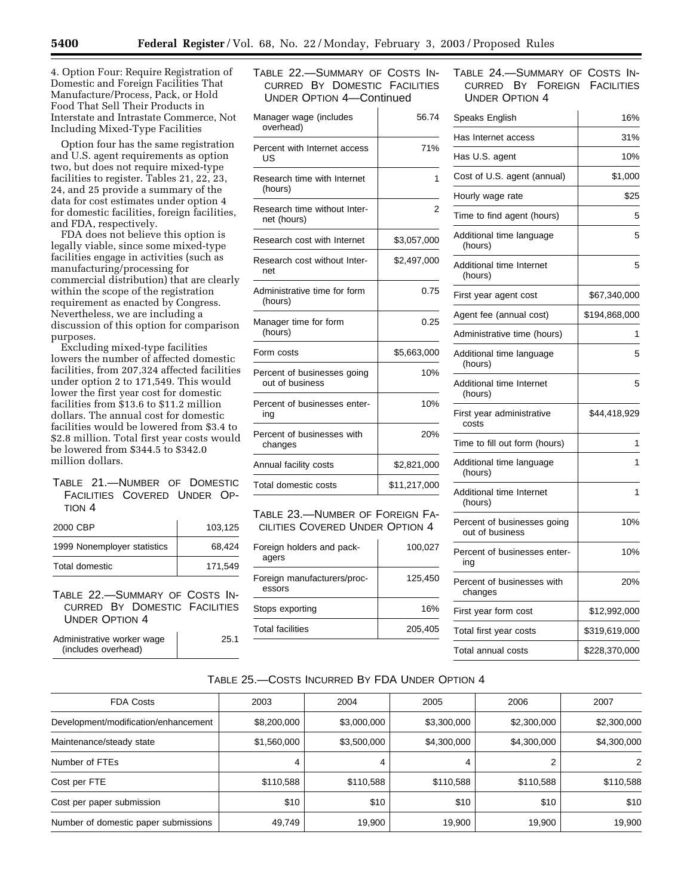4. Option Four: Require Registration of Domestic and Foreign Facilities That Manufacture/Process, Pack, or Hold Food That Sell Their Products in Interstate and Intrastate Commerce, Not Including Mixed-Type Facilities

Option four has the same registration and U.S. agent requirements as option two, but does not require mixed-type facilities to register. Tables 21, 22, 23, 24, and 25 provide a summary of the data for cost estimates under option 4 for domestic facilities, foreign facilities, and FDA, respectively.

FDA does not believe this option is legally viable, since some mixed-type facilities engage in activities (such as manufacturing/processing for commercial distribution) that are clearly within the scope of the registration requirement as enacted by Congress. Nevertheless, we are including a discussion of this option for comparison purposes.

Excluding mixed-type facilities lowers the number of affected domestic facilities, from 207,324 affected facilities under option 2 to 171,549. This would lower the first year cost for domestic facilities from \$13.6 to \$11.2 million dollars. The annual cost for domestic facilities would be lowered from \$3.4 to \$2.8 million. Total first year costs would be lowered from \$344.5 to \$342.0 million dollars.

## TABLE 21.—NUMBER OF DOMESTIC FACILITIES COVERED UNDER OP-TION 4

| 2000 CBP                    | 103.125 |
|-----------------------------|---------|
| 1999 Nonemployer statistics | 68.424  |
| Total domestic              | 171.549 |

TABLE 22.—SUMMARY OF COSTS IN-CURRED BY DOMESTIC FACILITIES UNDER OPTION 4

| Administrative worker wage<br>(includes overhead) | 25.1 |
|---------------------------------------------------|------|
|---------------------------------------------------|------|

TABLE 22.—SUMMARY OF COSTS IN-CURRED BY DOMESTIC FACILITIES UNDER OPTION 4—Continued

| Manager wage (includes<br>overhead)            |              |  |  |  |
|------------------------------------------------|--------------|--|--|--|
| Percent with Internet access<br>US             | 71%          |  |  |  |
| Research time with Internet<br>(hours)         | 1            |  |  |  |
| Research time without Inter-<br>net (hours)    | 2            |  |  |  |
| Research cost with Internet                    | \$3,057,000  |  |  |  |
| Research cost without Inter-<br>net            | \$2,497,000  |  |  |  |
| Administrative time for form<br>(hours)        | 0.75         |  |  |  |
| Manager time for form<br>(hours)               | 0.25         |  |  |  |
| Form costs                                     | \$5,663,000  |  |  |  |
| Percent of businesses going<br>out of business | 10%          |  |  |  |
| Percent of businesses enter-<br>ing            | 10%          |  |  |  |
| Percent of businesses with<br>changes          | 20%          |  |  |  |
| Annual facility costs                          | \$2,821,000  |  |  |  |
| Total domestic costs                           | \$11,217,000 |  |  |  |

## TABLE 23.—NUMBER OF FOREIGN FA-CILITIES COVERED UNDER OPTION 4

| Foreign holders and pack-<br>agers    | 100.027 |
|---------------------------------------|---------|
| Foreign manufacturers/proc-<br>essors | 125,450 |
| Stops exporting                       | 16%     |
| <b>Total facilities</b>               | 205,405 |
|                                       |         |

## TABLE 24.—SUMMARY OF COSTS IN-CURRED BY FOREIGN FACILITIES UNDER OPTION 4

| Speaks English                                 | 16%           |
|------------------------------------------------|---------------|
| Has Internet access                            | 31%           |
| Has U.S. agent                                 | 10%           |
| Cost of U.S. agent (annual)                    | \$1,000       |
| Hourly wage rate                               | \$25          |
| Time to find agent (hours)                     | 5             |
| Additional time language<br>(hours)            | 5             |
| Additional time Internet<br>(hours)            | 5             |
| First year agent cost                          | \$67,340,000  |
| Agent fee (annual cost)                        | \$194,868,000 |
| Administrative time (hours)                    | 1             |
| Additional time language<br>(hours)            | 5             |
| Additional time Internet<br>(hours)            | 5             |
| First year administrative<br>costs             | \$44,418,929  |
| Time to fill out form (hours)                  | 1             |
| Additional time language<br>(hours)            | 1             |
| Additional time Internet<br>(hours)            | 1             |
| Percent of businesses going<br>out of business | 10%           |
| Percent of businesses enter-<br>ing            | 10%           |
| Percent of businesses with<br>changes          | 20%           |
| First year form cost                           | \$12,992,000  |
| Total first year costs                         | \$319,619,000 |
| Total annual costs                             | \$228,370,000 |

## TABLE 25.—COSTS INCURRED BY FDA UNDER OPTION 4

| <b>FDA Costs</b>                     | 2003        | 2004        | 2005        | 2006        | 2007        |
|--------------------------------------|-------------|-------------|-------------|-------------|-------------|
| Development/modification/enhancement | \$8,200,000 | \$3,000,000 | \$3,300,000 | \$2,300,000 | \$2,300,000 |
| Maintenance/steady state             | \$1,560,000 | \$3,500,000 | \$4,300,000 | \$4,300,000 | \$4,300,000 |
| Number of FTEs                       | 4           | 4           |             | 2           | 2           |
| Cost per FTE                         | \$110,588   | \$110,588   | \$110,588   | \$110,588   | \$110,588   |
| Cost per paper submission            | \$10        | \$10        | \$10        | \$10        | \$10        |
| Number of domestic paper submissions | 49,749      | 19,900      | 19,900      | 19,900      | 19,900      |
|                                      |             |             |             |             |             |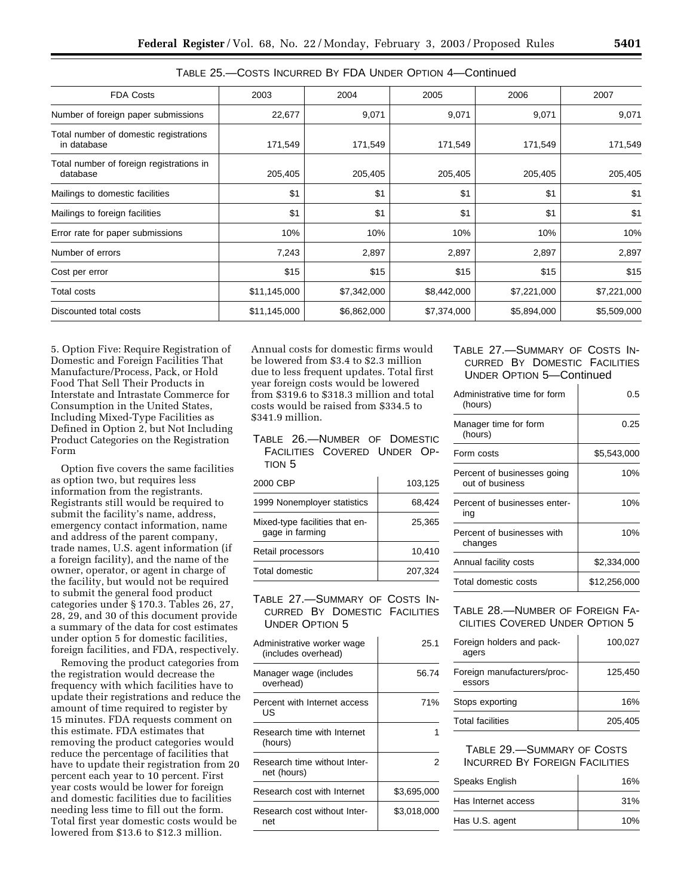| <b>FDA Costs</b>                                      | 2003         | 2004        | 2005        | 2006        | 2007        |
|-------------------------------------------------------|--------------|-------------|-------------|-------------|-------------|
| Number of foreign paper submissions                   | 22,677       | 9,071       | 9,071       | 9,071       | 9,071       |
| Total number of domestic registrations<br>in database | 171,549      | 171,549     | 171,549     | 171,549     | 171,549     |
| Total number of foreign registrations in<br>database  | 205,405      | 205,405     | 205,405     | 205,405     | 205,405     |
| Mailings to domestic facilities                       | \$1          | \$1         | \$1         | \$1         | \$1         |
| Mailings to foreign facilities                        | \$1          | \$1         | \$1         | \$1         | \$1         |
| Error rate for paper submissions                      | 10%          | 10%         | 10%         | 10%         | 10%         |
| Number of errors                                      | 7,243        | 2,897       | 2,897       | 2,897       | 2,897       |
| Cost per error                                        | \$15         | \$15        | \$15        | \$15        | \$15        |
| Total costs                                           | \$11,145,000 | \$7,342,000 | \$8,442,000 | \$7,221,000 | \$7,221,000 |
| Discounted total costs                                | \$11,145,000 | \$6,862,000 | \$7,374,000 | \$5,894,000 | \$5,509,000 |

| TABLE 25.-COSTS INCURRED BY FDA UNDER OPTION 4-Continued |
|----------------------------------------------------------|
|----------------------------------------------------------|

5. Option Five: Require Registration of Domestic and Foreign Facilities That Manufacture/Process, Pack, or Hold Food That Sell Their Products in Interstate and Intrastate Commerce for Consumption in the United States, Including Mixed-Type Facilities as Defined in Option 2, but Not Including Product Categories on the Registration Form

Option five covers the same facilities as option two, but requires less information from the registrants. Registrants still would be required to submit the facility's name, address, emergency contact information, name and address of the parent company, trade names, U.S. agent information (if a foreign facility), and the name of the owner, operator, or agent in charge of the facility, but would not be required to submit the general food product categories under § 170.3. Tables 26, 27, 28, 29, and 30 of this document provide a summary of the data for cost estimates under option 5 for domestic facilities, foreign facilities, and FDA, respectively.

Removing the product categories from the registration would decrease the frequency with which facilities have to update their registrations and reduce the amount of time required to register by 15 minutes. FDA requests comment on this estimate. FDA estimates that removing the product categories would reduce the percentage of facilities that have to update their registration from 20 percent each year to 10 percent. First year costs would be lower for foreign and domestic facilities due to facilities needing less time to fill out the form. Total first year domestic costs would be lowered from \$13.6 to \$12.3 million.

Annual costs for domestic firms would be lowered from \$3.4 to \$2.3 million due to less frequent updates. Total first year foreign costs would be lowered from \$319.6 to \$318.3 million and total costs would be raised from \$334.5 to \$341.9 million.

TABLE 26.—NUMBER OF DOMESTIC FACILITIES COVERED UNDER OP-TION 5

| 2000 CBP                                          | 103,125 |
|---------------------------------------------------|---------|
| 1999 Nonemployer statistics                       | 68,424  |
| Mixed-type facilities that en-<br>gage in farming | 25.365  |
| Retail processors                                 | 10.410  |
| Total domestic                                    | 207.324 |

TABLE 27.—SUMMARY OF COSTS IN-CURRED BY DOMESTIC FACILITIES UNDER OPTION 5

| Administrative worker wage<br>(includes overhead) | 25.1        |
|---------------------------------------------------|-------------|
| Manager wage (includes<br>overhead)               | 56.74       |
| Percent with Internet access<br>US                | 71%         |
| Research time with Internet<br>(hours)            |             |
| Research time without Inter-<br>net (hours)       | 2           |
| Research cost with Internet                       | \$3,695,000 |
| Research cost without Inter-<br>net               | \$3,018,000 |

## TABLE 27.—SUMMARY OF COSTS IN-CURRED BY DOMESTIC FACILITIES UNDER OPTION 5—Continued

| Administrative time for form<br>(hours)        | 0.5          |
|------------------------------------------------|--------------|
| Manager time for form<br>(hours)               | 0.25         |
| Form costs                                     | \$5,543,000  |
| Percent of businesses going<br>out of business | 10%          |
| Percent of businesses enter-<br>ina            | 10%          |
| Percent of businesses with<br>changes          | 10%          |
| Annual facility costs                          | \$2,334,000  |
| Total domestic costs                           | \$12.256.000 |

## TABLE 28.—NUMBER OF FOREIGN FA-CILITIES COVERED UNDER OPTION 5

| Foreign holders and pack-<br>agers    | 100.027 |  |  |
|---------------------------------------|---------|--|--|
| Foreign manufacturers/proc-<br>essors | 125,450 |  |  |
| Stops exporting                       | 16%     |  |  |
| <b>Total facilities</b>               | 205,405 |  |  |

## TABLE 29.—SUMMARY OF COSTS INCURRED BY FOREIGN FACILITIES

| Speaks English      | 16% |
|---------------------|-----|
| Has Internet access | 31% |
| Has U.S. agent      | 10% |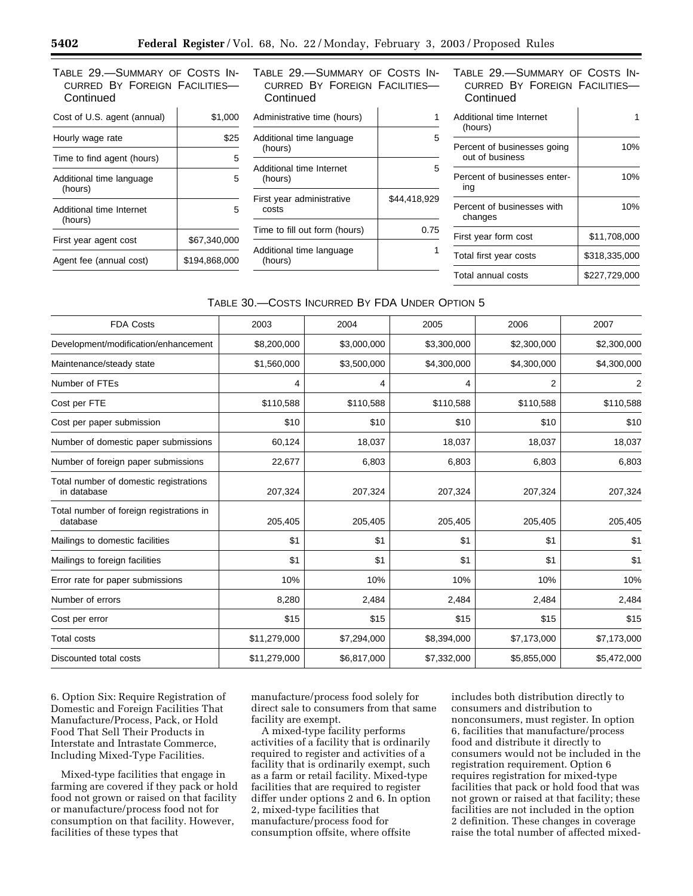TABLE 29.—SUMMARY OF COSTS IN-CURRED BY FOREIGN FACILITIES— **Continued** 

 $\mathbf{I}$ 

| Cost of U.S. agent (annual)         | \$1,000       |
|-------------------------------------|---------------|
| Hourly wage rate                    | \$25          |
| Time to find agent (hours)          | 5             |
| Additional time language<br>(hours) | 5             |
| Additional time Internet<br>(hours) | 5             |
| First year agent cost               | \$67.340.000  |
| Agent fee (annual cost)             | \$194.868.000 |

TABLE 29.—SUMMARY OF COSTS IN-CURRED BY FOREIGN FACILITIES— **Continued** 

| \$44.418.929 |
|--------------|
| 0.75         |
|              |
|              |

TABLE 29.—SUMMARY OF COSTS IN-CURRED BY FOREIGN FACILITIES— **Continued** 

| Additional time Internet<br>(hours)            |               |
|------------------------------------------------|---------------|
| Percent of businesses going<br>out of business | 10%           |
| Percent of businesses enter-<br>ing            | 10%           |
| Percent of businesses with<br>changes          | 10%           |
| First year form cost                           | \$11,708,000  |
| Total first year costs                         | \$318,335,000 |
| Total annual costs                             | \$227.729.000 |

## TABLE 30.—COSTS INCURRED BY FDA UNDER OPTION 5

| <b>FDA Costs</b>                                      | 2003         | 2004        | 2005        | 2006        | 2007        |
|-------------------------------------------------------|--------------|-------------|-------------|-------------|-------------|
| Development/modification/enhancement                  | \$8,200,000  | \$3,000,000 | \$3,300,000 | \$2,300,000 | \$2,300,000 |
| Maintenance/steady state                              | \$1,560,000  | \$3,500,000 | \$4,300,000 | \$4,300,000 | \$4,300,000 |
| Number of FTEs                                        | 4            | 4           | 4           | 2           | 2           |
| Cost per FTE                                          | \$110,588    | \$110,588   | \$110,588   | \$110,588   | \$110,588   |
| Cost per paper submission                             | \$10         | \$10        | \$10        | \$10        | \$10        |
| Number of domestic paper submissions                  | 60,124       | 18,037      | 18,037      | 18,037      | 18,037      |
| Number of foreign paper submissions                   | 22,677       | 6,803       | 6,803       | 6,803       | 6,803       |
| Total number of domestic registrations<br>in database | 207,324      | 207,324     | 207,324     | 207,324     | 207,324     |
| Total number of foreign registrations in<br>database  | 205,405      | 205,405     | 205,405     | 205,405     | 205,405     |
| Mailings to domestic facilities                       | \$1          | \$1         | \$1         | \$1         | \$1         |
| Mailings to foreign facilities                        | \$1          | \$1         | \$1         | \$1         | \$1         |
| Error rate for paper submissions                      | 10%          | 10%         | 10%         | 10%         | 10%         |
| Number of errors                                      | 8,280        | 2,484       | 2,484       | 2,484       | 2,484       |
| Cost per error                                        | \$15         | \$15        | \$15        | \$15        | \$15        |
| <b>Total costs</b>                                    | \$11,279,000 | \$7,294,000 | \$8,394,000 | \$7,173,000 | \$7,173,000 |
| Discounted total costs                                | \$11,279,000 | \$6,817,000 | \$7,332,000 | \$5,855,000 | \$5,472,000 |
|                                                       |              |             |             |             |             |

6. Option Six: Require Registration of Domestic and Foreign Facilities That Manufacture/Process, Pack, or Hold Food That Sell Their Products in Interstate and Intrastate Commerce, Including Mixed-Type Facilities.

Mixed-type facilities that engage in farming are covered if they pack or hold food not grown or raised on that facility or manufacture/process food not for consumption on that facility. However, facilities of these types that

manufacture/process food solely for direct sale to consumers from that same facility are exempt.

A mixed-type facility performs activities of a facility that is ordinarily required to register and activities of a facility that is ordinarily exempt, such as a farm or retail facility. Mixed-type facilities that are required to register differ under options 2 and 6. In option 2, mixed-type facilities that manufacture/process food for consumption offsite, where offsite

includes both distribution directly to consumers and distribution to nonconsumers, must register. In option 6, facilities that manufacture/process food and distribute it directly to consumers would not be included in the registration requirement. Option 6 requires registration for mixed-type facilities that pack or hold food that was not grown or raised at that facility; these facilities are not included in the option 2 definition. These changes in coverage raise the total number of affected mixed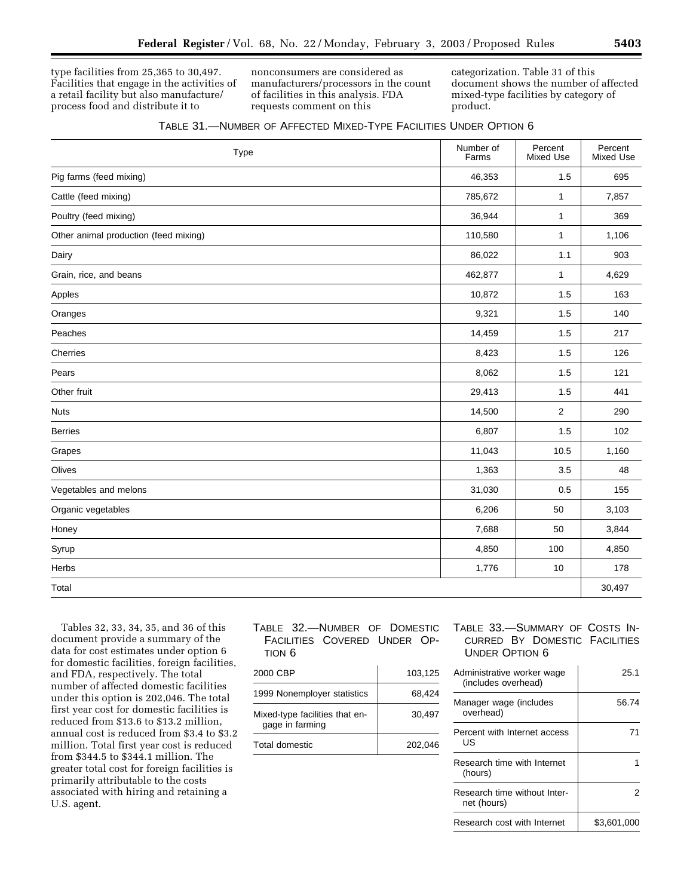type facilities from 25,365 to 30,497. Facilities that engage in the activities of a retail facility but also manufacture/ process food and distribute it to

nonconsumers are considered as manufacturers/processors in the count of facilities in this analysis. FDA requests comment on this

categorization. Table 31 of this document shows the number of affected mixed-type facilities by category of product.

| Type                                  | Number of<br>Farms | Percent<br><b>Mixed Use</b> | Percent<br>Mixed Use |
|---------------------------------------|--------------------|-----------------------------|----------------------|
| Pig farms (feed mixing)               | 46,353             | 1.5                         | 695                  |
| Cattle (feed mixing)                  | 785,672            | 1                           | 7,857                |
| Poultry (feed mixing)                 | 36,944             | 1                           | 369                  |
| Other animal production (feed mixing) | 110,580            | $\mathbf{1}$                | 1,106                |
| Dairy                                 | 86,022             | 1.1                         | 903                  |
| Grain, rice, and beans                | 462,877            | $\mathbf{1}$                | 4,629                |
| Apples                                | 10,872             | 1.5                         | 163                  |
| Oranges                               | 9,321              | 1.5                         | 140                  |
| Peaches                               | 14,459             | 1.5                         | 217                  |
| Cherries                              | 8,423              | 1.5                         | 126                  |
| Pears                                 | 8,062              | 1.5                         | 121                  |
| Other fruit                           | 29,413             | 1.5                         | 441                  |
| <b>Nuts</b>                           | 14,500             | $\overline{2}$              | 290                  |
| <b>Berries</b>                        | 6,807              | 1.5                         | 102                  |
| Grapes                                | 11,043             | 10.5                        | 1,160                |
| Olives                                | 1,363              | 3.5                         | 48                   |
| Vegetables and melons                 | 31,030             | 0.5                         | 155                  |
| Organic vegetables                    | 6,206              | 50                          | 3,103                |
| Honey                                 | 7,688              | 50                          | 3,844                |
| Syrup                                 | 4,850              | 100                         | 4,850                |
| Herbs                                 | 1,776              | 10                          | 178                  |
| Total                                 |                    |                             | 30,497               |

Tables 32, 33, 34, 35, and 36 of this document provide a summary of the data for cost estimates under option 6 for domestic facilities, foreign facilities, and FDA, respectively. The total number of affected domestic facilities under this option is 202,046. The total first year cost for domestic facilities is reduced from \$13.6 to \$13.2 million, annual cost is reduced from \$3.4 to \$3.2 million. Total first year cost is reduced from \$344.5 to \$344.1 million. The greater total cost for foreign facilities is primarily attributable to the costs associated with hiring and retaining a U.S. agent.

TABLE 32.—NUMBER OF DOMESTIC FACILITIES COVERED UNDER OP-TION 6

| 2000 CBP                                          | 103,125 |
|---------------------------------------------------|---------|
| 1999 Nonemployer statistics                       | 68,424  |
| Mixed-type facilities that en-<br>gage in farming | 30.497  |
| Total domestic                                    | 202.046 |

## TABLE 33.—SUMMARY OF COSTS IN-CURRED BY DOMESTIC FACILITIES UNDER OPTION 6

| Administrative worker wage<br>(includes overhead) | 25.1        |
|---------------------------------------------------|-------------|
| Manager wage (includes<br>overhead)               | 56.74       |
| Percent with Internet access<br>IJS               | 71          |
| Research time with Internet<br>(hours)            |             |
| Research time without Inter-<br>net (hours)       |             |
| Research cost with Internet                       | \$3.601.000 |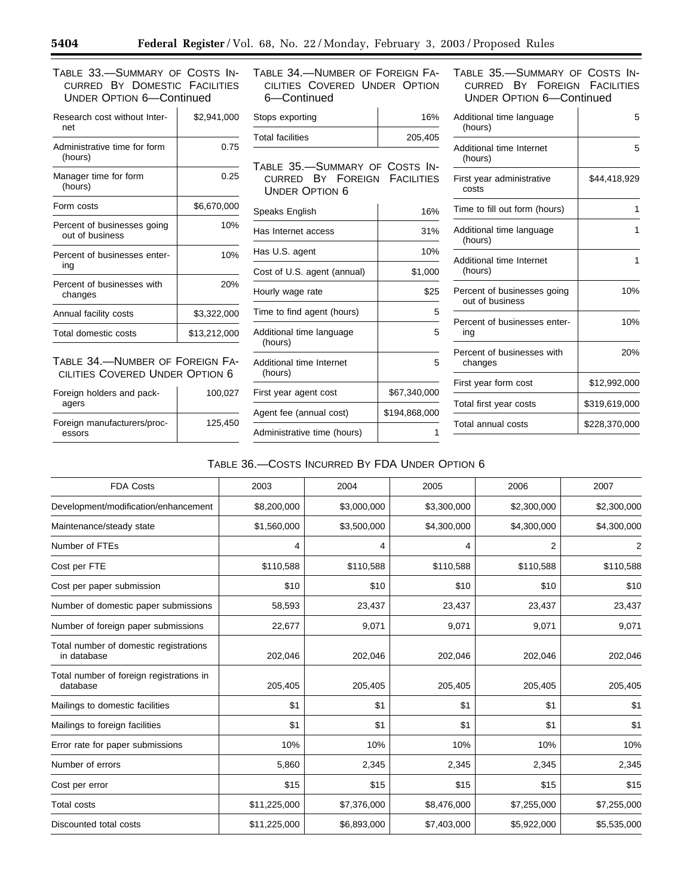CURRED BY DOMESTIC FACILITIES UNDER OPTION 6—Continued

| Research cost without Inter-<br>net            | \$2,941,000  |  |
|------------------------------------------------|--------------|--|
| Administrative time for form<br>(hours)        | 0.75         |  |
| Manager time for form<br>(hours)               | 0.25         |  |
| Form costs                                     | \$6,670,000  |  |
| Percent of businesses going<br>out of business | 10%          |  |
| Percent of businesses enter-<br>ing            | 10%          |  |
| Percent of businesses with<br>changes          | 20%          |  |
| Annual facility costs                          | \$3,322,000  |  |
| Total domestic costs                           | \$13,212,000 |  |
|                                                |              |  |

TABLE 34.—NUMBER OF FOREIGN FA-CILITIES COVERED UNDER OPTION 6

| Foreign holders and pack-<br>agers    | 100.027 |
|---------------------------------------|---------|
| Foreign manufacturers/proc-<br>essors | 125.450 |

TABLE 33.—SUMMARY OF COSTS IN- TABLE 34.—NUMBER OF FOREIGN FA- TABLE 35.—SUMMARY OF COSTS IN-CILITIES COVERED UNDER OPTION 6—Continued

| Stops exporting         | 16%     |
|-------------------------|---------|
| <b>Total facilities</b> | 205,405 |

TABLE 35.—SUMMARY OF COSTS IN-CURRED BY FOREIGN FACILITIES UNDER OPTION 6

| Speaks English                      | 16%           |
|-------------------------------------|---------------|
| Has Internet access                 | 31%           |
| Has U.S. agent                      | 10%           |
| Cost of U.S. agent (annual)         | \$1,000       |
| Hourly wage rate                    | \$25          |
| Time to find agent (hours)          | 5             |
| Additional time language<br>(hours) | 5             |
| Additional time Internet<br>(hours) | 5             |
| First year agent cost               | \$67,340,000  |
| Agent fee (annual cost)             | \$194,868,000 |
| Administrative time (hours)         |               |

CURRED BY FOREIGN FACILITIES UNDER OPTION 6—Continued

| Additional time language<br>(hours)            | 5             |
|------------------------------------------------|---------------|
| Additional time Internet<br>(hours)            | 5             |
| First year administrative<br>costs             | \$44,418,929  |
| Time to fill out form (hours)                  | 1             |
| Additional time language<br>(hours)            | 1             |
| Additional time Internet<br>(hours)            | 1             |
| Percent of businesses going<br>out of business | 10%           |
| Percent of businesses enter-<br>ing            | 10%           |
| Percent of businesses with<br>changes          | 20%           |
| First year form cost                           | \$12,992,000  |
| Total first year costs                         | \$319,619,000 |
| Total annual costs                             | \$228,370,000 |

## TABLE 36.—COSTS INCURRED BY FDA UNDER OPTION 6

| <b>FDA Costs</b>                                      | 2003         | 2004        | 2005        | 2006        | 2007        |
|-------------------------------------------------------|--------------|-------------|-------------|-------------|-------------|
| Development/modification/enhancement                  | \$8,200,000  | \$3,000,000 | \$3,300,000 | \$2,300,000 | \$2,300,000 |
| Maintenance/steady state                              | \$1,560,000  | \$3,500,000 | \$4,300,000 | \$4,300,000 | \$4,300,000 |
| Number of FTEs                                        | 4            | 4           | 4           | 2           | 2           |
| Cost per FTE                                          | \$110,588    | \$110,588   | \$110,588   | \$110,588   | \$110,588   |
| Cost per paper submission                             | \$10         | \$10        | \$10        | \$10        | \$10        |
| Number of domestic paper submissions                  | 58,593       | 23,437      | 23,437      | 23,437      | 23,437      |
| Number of foreign paper submissions                   | 22,677       | 9,071       | 9,071       | 9,071       | 9,071       |
| Total number of domestic registrations<br>in database | 202,046      | 202,046     | 202,046     | 202,046     | 202,046     |
| Total number of foreign registrations in<br>database  | 205,405      | 205,405     | 205,405     | 205,405     | 205,405     |
| Mailings to domestic facilities                       | \$1          | \$1         | \$1         | \$1         | \$1         |
| Mailings to foreign facilities                        | \$1          | \$1         | \$1         | \$1         | \$1         |
| Error rate for paper submissions                      | 10%          | 10%         | 10%         | 10%         | 10%         |
| Number of errors                                      | 5,860        | 2,345       | 2,345       | 2,345       | 2,345       |
| Cost per error                                        | \$15         | \$15        | \$15        | \$15        | \$15        |
| <b>Total costs</b>                                    | \$11,225,000 | \$7,376,000 | \$8,476,000 | \$7,255,000 | \$7,255,000 |
| Discounted total costs                                | \$11,225,000 | \$6,893,000 | \$7,403,000 | \$5,922,000 | \$5,535,000 |

▀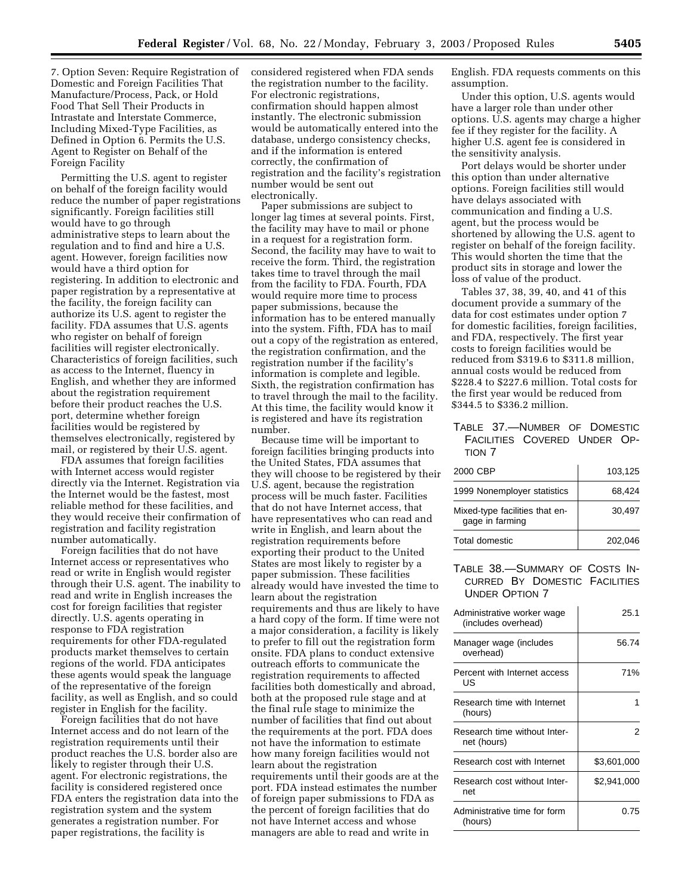7. Option Seven: Require Registration of Domestic and Foreign Facilities That Manufacture/Process, Pack, or Hold Food That Sell Their Products in Intrastate and Interstate Commerce, Including Mixed-Type Facilities, as Defined in Option 6. Permits the U.S. Agent to Register on Behalf of the Foreign Facility

Permitting the U.S. agent to register on behalf of the foreign facility would reduce the number of paper registrations significantly. Foreign facilities still would have to go through administrative steps to learn about the regulation and to find and hire a U.S. agent. However, foreign facilities now would have a third option for registering. In addition to electronic and paper registration by a representative at the facility, the foreign facility can authorize its U.S. agent to register the facility. FDA assumes that U.S. agents who register on behalf of foreign facilities will register electronically. Characteristics of foreign facilities, such as access to the Internet, fluency in English, and whether they are informed about the registration requirement before their product reaches the U.S. port, determine whether foreign facilities would be registered by themselves electronically, registered by mail, or registered by their U.S. agent.

FDA assumes that foreign facilities with Internet access would register directly via the Internet. Registration via the Internet would be the fastest, most reliable method for these facilities, and they would receive their confirmation of registration and facility registration number automatically.

Foreign facilities that do not have Internet access or representatives who read or write in English would register through their U.S. agent. The inability to read and write in English increases the cost for foreign facilities that register directly. U.S. agents operating in response to FDA registration requirements for other FDA-regulated products market themselves to certain regions of the world. FDA anticipates these agents would speak the language of the representative of the foreign facility, as well as English, and so could register in English for the facility.

Foreign facilities that do not have Internet access and do not learn of the registration requirements until their product reaches the U.S. border also are likely to register through their U.S. agent. For electronic registrations, the facility is considered registered once FDA enters the registration data into the registration system and the system generates a registration number. For paper registrations, the facility is

considered registered when FDA sends the registration number to the facility. For electronic registrations, confirmation should happen almost instantly. The electronic submission would be automatically entered into the database, undergo consistency checks, and if the information is entered correctly, the confirmation of registration and the facility's registration number would be sent out electronically.

Paper submissions are subject to longer lag times at several points. First, the facility may have to mail or phone in a request for a registration form. Second, the facility may have to wait to receive the form. Third, the registration takes time to travel through the mail from the facility to FDA. Fourth, FDA would require more time to process paper submissions, because the information has to be entered manually into the system. Fifth, FDA has to mail out a copy of the registration as entered, the registration confirmation, and the registration number if the facility's information is complete and legible. Sixth, the registration confirmation has to travel through the mail to the facility. At this time, the facility would know it is registered and have its registration number.

Because time will be important to foreign facilities bringing products into the United States, FDA assumes that they will choose to be registered by their U.S. agent, because the registration process will be much faster. Facilities that do not have Internet access, that have representatives who can read and write in English, and learn about the registration requirements before exporting their product to the United States are most likely to register by a paper submission. These facilities already would have invested the time to learn about the registration requirements and thus are likely to have a hard copy of the form. If time were not a major consideration, a facility is likely to prefer to fill out the registration form onsite. FDA plans to conduct extensive outreach efforts to communicate the registration requirements to affected facilities both domestically and abroad, both at the proposed rule stage and at the final rule stage to minimize the number of facilities that find out about the requirements at the port. FDA does not have the information to estimate how many foreign facilities would not learn about the registration requirements until their goods are at the port. FDA instead estimates the number of foreign paper submissions to FDA as the percent of foreign facilities that do not have Internet access and whose managers are able to read and write in

English. FDA requests comments on this assumption.

Under this option, U.S. agents would have a larger role than under other options. U.S. agents may charge a higher fee if they register for the facility. A higher U.S. agent fee is considered in the sensitivity analysis.

Port delays would be shorter under this option than under alternative options. Foreign facilities still would have delays associated with communication and finding a U.S. agent, but the process would be shortened by allowing the U.S. agent to register on behalf of the foreign facility. This would shorten the time that the product sits in storage and lower the loss of value of the product.

Tables 37, 38, 39, 40, and 41 of this document provide a summary of the data for cost estimates under option 7 for domestic facilities, foreign facilities, and FDA, respectively. The first year costs to foreign facilities would be reduced from \$319.6 to \$311.8 million, annual costs would be reduced from \$228.4 to \$227.6 million. Total costs for the first year would be reduced from \$344.5 to \$336.2 million.

## TABLE 37.—NUMBER OF DOMESTIC FACILITIES COVERED UNDER OP-TION 7

| 2000 CBP                                          | 103,125 |
|---------------------------------------------------|---------|
| 1999 Nonemployer statistics                       | 68.424  |
| Mixed-type facilities that en-<br>gage in farming | 30.497  |
| Total domestic                                    | 202.046 |

## TABLE 38.—SUMMARY OF COSTS IN-CURRED BY DOMESTIC FACILITIES UNDER OPTION 7

| Administrative worker wage<br>(includes overhead) | 25.1        |
|---------------------------------------------------|-------------|
| Manager wage (includes<br>overhead)               | 56.74       |
| Percent with Internet access<br>US                | 71%         |
| Research time with Internet<br>(hours)            | 1           |
| Research time without Inter-<br>net (hours)       | 2           |
| Research cost with Internet                       | \$3,601,000 |
| Research cost without Inter-<br>net               | \$2,941,000 |
| Administrative time for form<br>(hours)           | 0.75        |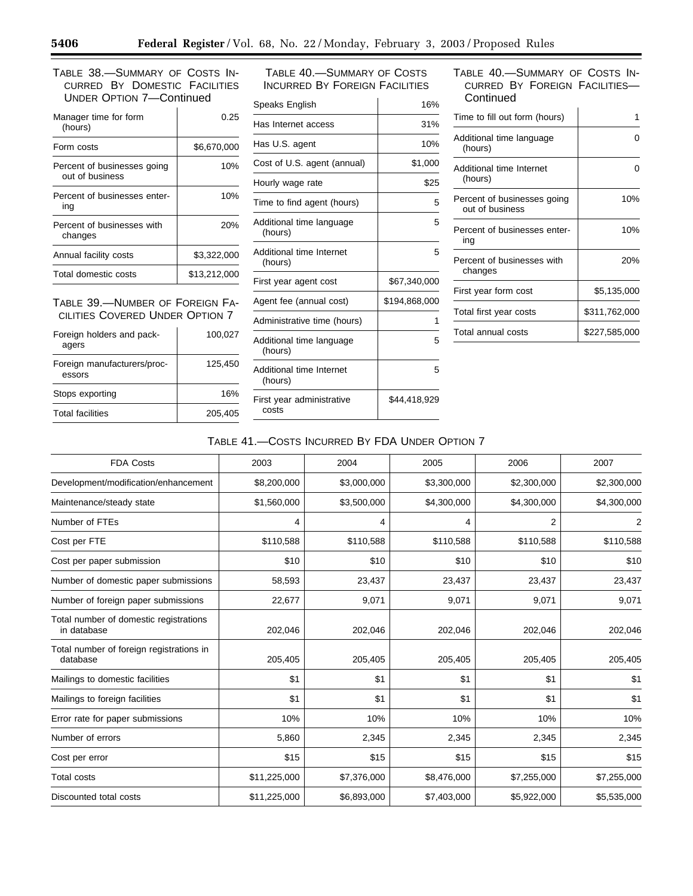TABLE 38.—SUMMARY OF COSTS IN-CURRED BY DOMESTIC FACILITIES UNDER OPTION 7—Continued

| Manager time for form<br>(hours)               | 0.25         |
|------------------------------------------------|--------------|
| Form costs                                     | \$6.670.000  |
| Percent of businesses going<br>out of business | 10%          |
| Percent of businesses enter-<br>ina            | 10%          |
| Percent of businesses with<br>changes          | 20%          |
| Annual facility costs                          | \$3.322.000  |
| Total domestic costs                           | \$13.212.000 |
|                                                |              |

TABLE 39.—NUMBER OF FOREIGN FA-CILITIES COVERED UNDER OPTION 7

| Foreign holders and pack-<br>agers    | 100,027 |
|---------------------------------------|---------|
| Foreign manufacturers/proc-<br>essors | 125,450 |
| Stops exporting                       | 16%     |
| <b>Total facilities</b>               | 205.405 |

TABLE 40.—SUMMARY OF COSTS INCURRED BY FOREIGN FACILITIES

| Speaks English                      | 16%           |
|-------------------------------------|---------------|
| Has Internet access                 | 31%           |
| Has U.S. agent                      | 10%           |
| Cost of U.S. agent (annual)         | \$1,000       |
| Hourly wage rate                    | \$25          |
| Time to find agent (hours)          | 5             |
| Additional time language<br>(hours) | 5             |
| Additional time Internet<br>(hours) | 5             |
| First year agent cost               | \$67,340,000  |
| Agent fee (annual cost)             | \$194,868,000 |
| Administrative time (hours)         | 1             |
| Additional time language<br>(hours) | 5             |
| Additional time Internet<br>(hours) | 5             |
| First year administrative<br>costs  | \$44,418,929  |
|                                     |               |

## TABLE 40.—SUMMARY OF COSTS IN-CURRED BY FOREIGN FACILITIES— **Continued**

| Time to fill out form (hours)                  | 1             |
|------------------------------------------------|---------------|
|                                                |               |
| Additional time language<br>(hours)            | O             |
| Additional time Internet<br>(hours)            | ი             |
| Percent of businesses going<br>out of business | 10%           |
| Percent of businesses enter-<br>ing            | 10%           |
| Percent of businesses with<br>changes          | 20%           |
| First year form cost                           | \$5,135,000   |
| Total first year costs                         | \$311,762,000 |
| Total annual costs                             | \$227.585.000 |

# TABLE 41.—COSTS INCURRED BY FDA UNDER OPTION 7

| <b>FDA Costs</b>                                      | 2003         | 2004        | 2005        | 2006           | 2007           |
|-------------------------------------------------------|--------------|-------------|-------------|----------------|----------------|
| Development/modification/enhancement                  | \$8,200,000  | \$3,000,000 | \$3,300,000 | \$2,300,000    | \$2,300,000    |
| Maintenance/steady state                              | \$1,560,000  | \$3,500,000 | \$4,300,000 | \$4,300,000    | \$4,300,000    |
| Number of FTEs                                        | 4            | 4           | 4           | $\overline{2}$ | $\overline{2}$ |
| Cost per FTE                                          | \$110,588    | \$110,588   | \$110,588   | \$110,588      | \$110,588      |
| Cost per paper submission                             | \$10         | \$10        | \$10        | \$10           | \$10           |
| Number of domestic paper submissions                  | 58,593       | 23,437      | 23,437      | 23,437         | 23,437         |
| Number of foreign paper submissions                   | 22,677       | 9,071       | 9,071       | 9,071          | 9,071          |
| Total number of domestic registrations<br>in database | 202,046      | 202,046     | 202,046     | 202,046        | 202,046        |
| Total number of foreign registrations in<br>database  | 205,405      | 205,405     | 205,405     | 205,405        | 205,405        |
| Mailings to domestic facilities                       | \$1          | \$1         | \$1         | \$1            | \$1            |
| Mailings to foreign facilities                        | \$1          | \$1         | \$1         | \$1            | \$1            |
| Error rate for paper submissions                      | 10%          | 10%         | 10%         | 10%            | 10%            |
| Number of errors                                      | 5,860        | 2,345       | 2,345       | 2,345          | 2,345          |
| Cost per error                                        | \$15         | \$15        | \$15        | \$15           | \$15           |
| <b>Total costs</b>                                    | \$11,225,000 | \$7,376,000 | \$8,476,000 | \$7,255,000    | \$7,255,000    |
| Discounted total costs                                | \$11,225,000 | \$6,893,000 | \$7,403,000 | \$5,922,000    | \$5,535,000    |

-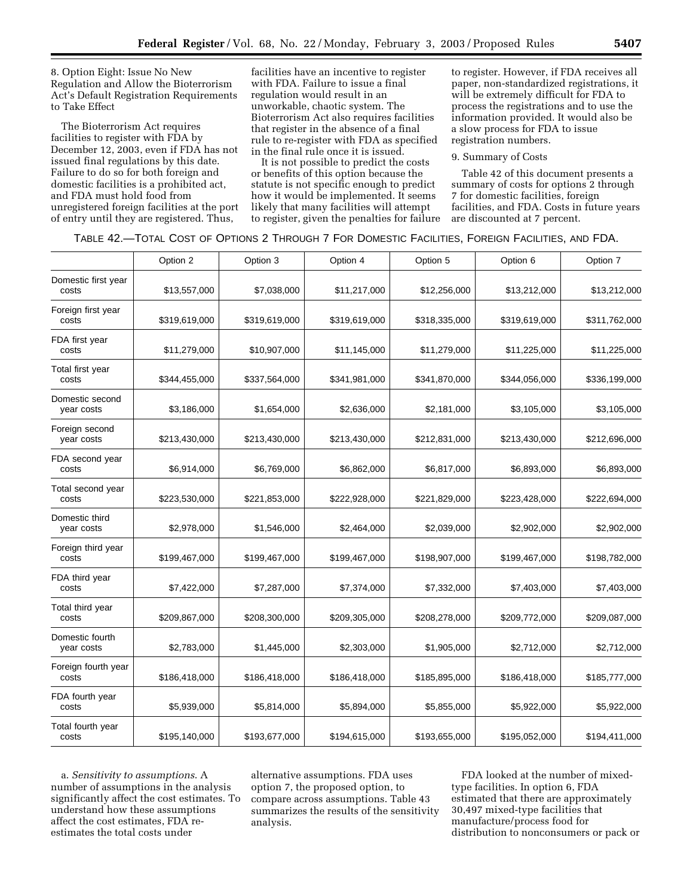8. Option Eight: Issue No New Regulation and Allow the Bioterrorism Act's Default Registration Requirements to Take Effect

The Bioterrorism Act requires facilities to register with FDA by December 12, 2003, even if FDA has not issued final regulations by this date. Failure to do so for both foreign and domestic facilities is a prohibited act, and FDA must hold food from unregistered foreign facilities at the port of entry until they are registered. Thus,

facilities have an incentive to register with FDA. Failure to issue a final regulation would result in an unworkable, chaotic system. The Bioterrorism Act also requires facilities that register in the absence of a final rule to re-register with FDA as specified in the final rule once it is issued.

It is not possible to predict the costs or benefits of this option because the statute is not specific enough to predict how it would be implemented. It seems likely that many facilities will attempt to register, given the penalties for failure

to register. However, if FDA receives all paper, non-standardized registrations, it will be extremely difficult for FDA to process the registrations and to use the information provided. It would also be a slow process for FDA to issue registration numbers.

#### 9. Summary of Costs

Table 42 of this document presents a summary of costs for options 2 through 7 for domestic facilities, foreign facilities, and FDA. Costs in future years are discounted at 7 percent.

|  |  |  | TABLE 42.—TOTAL COST OF OPTIONS 2 THROUGH 7 FOR DOMESTIC FACILITIES, FOREIGN FACILITIES, AND FDA. |  |  |
|--|--|--|---------------------------------------------------------------------------------------------------|--|--|
|--|--|--|---------------------------------------------------------------------------------------------------|--|--|

|                               | Option 2      | Option 3      | Option 4      | Option 5      | Option 6      | Option 7      |
|-------------------------------|---------------|---------------|---------------|---------------|---------------|---------------|
| Domestic first year<br>costs  | \$13,557,000  | \$7,038,000   | \$11,217,000  | \$12,256,000  | \$13,212,000  | \$13,212,000  |
| Foreign first year<br>costs   | \$319,619,000 | \$319,619,000 | \$319,619,000 | \$318,335,000 | \$319,619,000 | \$311,762,000 |
| FDA first year<br>costs       | \$11,279,000  | \$10,907,000  | \$11,145,000  | \$11,279,000  | \$11,225,000  | \$11,225,000  |
| Total first year<br>costs     | \$344,455,000 | \$337,564,000 | \$341,981,000 | \$341,870,000 | \$344,056,000 | \$336,199,000 |
| Domestic second<br>year costs | \$3,186,000   | \$1,654,000   | \$2,636,000   | \$2,181,000   | \$3,105,000   | \$3,105,000   |
| Foreign second<br>year costs  | \$213,430,000 | \$213,430,000 | \$213,430,000 | \$212,831,000 | \$213,430,000 | \$212,696,000 |
| FDA second year<br>costs      | \$6,914,000   | \$6,769,000   | \$6,862,000   | \$6,817,000   | \$6,893,000   | \$6,893,000   |
| Total second year<br>costs    | \$223,530,000 | \$221,853,000 | \$222,928,000 | \$221,829,000 | \$223,428,000 | \$222,694,000 |
| Domestic third<br>year costs  | \$2,978,000   | \$1,546,000   | \$2,464,000   | \$2,039,000   | \$2,902,000   | \$2,902,000   |
| Foreign third year<br>costs   | \$199,467,000 | \$199,467,000 | \$199,467,000 | \$198,907,000 | \$199,467,000 | \$198,782,000 |
| FDA third year<br>costs       | \$7,422,000   | \$7,287,000   | \$7,374,000   | \$7,332,000   | \$7,403,000   | \$7,403,000   |
| Total third year<br>costs     | \$209,867,000 | \$208,300,000 | \$209,305,000 | \$208,278,000 | \$209,772,000 | \$209,087,000 |
| Domestic fourth<br>year costs | \$2,783,000   | \$1,445,000   | \$2,303,000   | \$1,905,000   | \$2,712,000   | \$2,712,000   |
| Foreign fourth year<br>costs  | \$186,418,000 | \$186,418,000 | \$186,418,000 | \$185,895,000 | \$186,418,000 | \$185,777,000 |
| FDA fourth year<br>costs      | \$5,939,000   | \$5,814,000   | \$5,894,000   | \$5,855,000   | \$5,922,000   | \$5,922,000   |
| Total fourth year<br>costs    | \$195,140,000 | \$193,677,000 | \$194,615,000 | \$193,655,000 | \$195,052,000 | \$194,411,000 |

a. *Sensitivity to assumptions*. A number of assumptions in the analysis significantly affect the cost estimates. To understand how these assumptions affect the cost estimates, FDA reestimates the total costs under

alternative assumptions. FDA uses option 7, the proposed option, to compare across assumptions. Table 43 summarizes the results of the sensitivity analysis.

FDA looked at the number of mixedtype facilities. In option 6, FDA estimated that there are approximately 30,497 mixed-type facilities that manufacture/process food for distribution to nonconsumers or pack or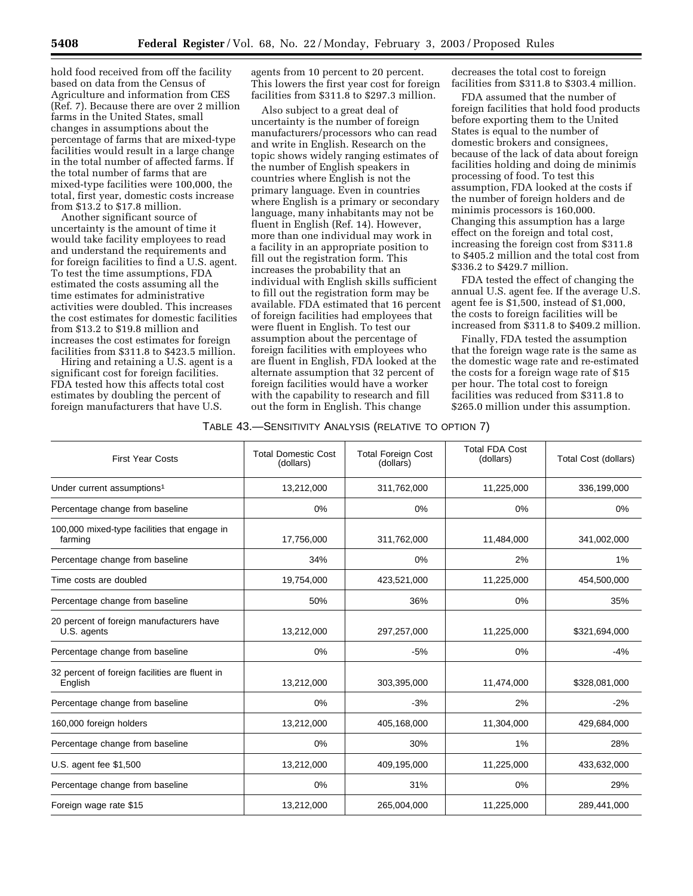hold food received from off the facility based on data from the Census of Agriculture and information from CES (Ref. 7). Because there are over 2 million farms in the United States, small changes in assumptions about the percentage of farms that are mixed-type facilities would result in a large change in the total number of affected farms. If the total number of farms that are mixed-type facilities were 100,000, the total, first year, domestic costs increase from \$13.2 to \$17.8 million.

Another significant source of uncertainty is the amount of time it would take facility employees to read and understand the requirements and for foreign facilities to find a U.S. agent. To test the time assumptions, FDA estimated the costs assuming all the time estimates for administrative activities were doubled. This increases the cost estimates for domestic facilities from \$13.2 to \$19.8 million and increases the cost estimates for foreign facilities from \$311.8 to \$423.5 million.

Hiring and retaining a U.S. agent is a significant cost for foreign facilities. FDA tested how this affects total cost estimates by doubling the percent of foreign manufacturers that have U.S.

agents from 10 percent to 20 percent. This lowers the first year cost for foreign facilities from \$311.8 to \$297.3 million.

Also subject to a great deal of uncertainty is the number of foreign manufacturers/processors who can read and write in English. Research on the topic shows widely ranging estimates of the number of English speakers in countries where English is not the primary language. Even in countries where English is a primary or secondary language, many inhabitants may not be fluent in English (Ref. 14). However, more than one individual may work in a facility in an appropriate position to fill out the registration form. This increases the probability that an individual with English skills sufficient to fill out the registration form may be available. FDA estimated that 16 percent of foreign facilities had employees that were fluent in English. To test our assumption about the percentage of foreign facilities with employees who are fluent in English, FDA looked at the alternate assumption that 32 percent of foreign facilities would have a worker with the capability to research and fill out the form in English. This change

decreases the total cost to foreign facilities from \$311.8 to \$303.4 million.

FDA assumed that the number of foreign facilities that hold food products before exporting them to the United States is equal to the number of domestic brokers and consignees, because of the lack of data about foreign facilities holding and doing de minimis processing of food. To test this assumption, FDA looked at the costs if the number of foreign holders and de minimis processors is 160,000. Changing this assumption has a large effect on the foreign and total cost, increasing the foreign cost from \$311.8 to \$405.2 million and the total cost from \$336.2 to \$429.7 million.

FDA tested the effect of changing the annual U.S. agent fee. If the average U.S. agent fee is \$1,500, instead of \$1,000, the costs to foreign facilities will be increased from \$311.8 to \$409.2 million.

Finally, FDA tested the assumption that the foreign wage rate is the same as the domestic wage rate and re-estimated the costs for a foreign wage rate of \$15 per hour. The total cost to foreign facilities was reduced from \$311.8 to \$265.0 million under this assumption.

#### TABLE 43.—SENSITIVITY ANALYSIS (RELATIVE TO OPTION 7)

| <b>First Year Costs</b>                                   | <b>Total Domestic Cost</b><br>(dollars) | <b>Total Foreign Cost</b><br>(dollars) | <b>Total FDA Cost</b><br>(dollars) | Total Cost (dollars) |
|-----------------------------------------------------------|-----------------------------------------|----------------------------------------|------------------------------------|----------------------|
| Under current assumptions <sup>1</sup>                    | 13,212,000                              | 311,762,000                            | 11,225,000                         | 336,199,000          |
| Percentage change from baseline                           | 0%                                      | 0%                                     | 0%                                 | 0%                   |
| 100,000 mixed-type facilities that engage in<br>farming   | 17,756,000                              | 311,762,000                            | 11,484,000                         | 341,002,000          |
| Percentage change from baseline                           | 34%                                     | $0\%$                                  | 2%                                 | 1%                   |
| Time costs are doubled                                    | 19,754,000                              | 423,521,000                            | 11,225,000                         | 454,500,000          |
| Percentage change from baseline                           | 50%                                     | 36%                                    | 0%                                 | 35%                  |
| 20 percent of foreign manufacturers have<br>U.S. agents   | 13,212,000                              | 297,257,000                            | 11,225,000                         | \$321,694,000        |
| Percentage change from baseline                           | 0%                                      | $-5%$                                  | 0%                                 | $-4%$                |
| 32 percent of foreign facilities are fluent in<br>English | 13,212,000                              | 303,395,000                            | 11,474,000                         | \$328,081,000        |
| Percentage change from baseline                           | 0%                                      | $-3%$                                  | 2%                                 | $-2%$                |
| 160,000 foreign holders                                   | 13,212,000                              | 405,168,000                            | 11,304,000                         | 429,684,000          |
| Percentage change from baseline                           | 0%                                      | 30%                                    | 1%                                 | 28%                  |
| U.S. agent fee \$1,500                                    | 13,212,000                              | 409,195,000                            | 11,225,000                         | 433,632,000          |
| Percentage change from baseline                           | 0%                                      | 31%                                    | 0%                                 | 29%                  |
| Foreign wage rate \$15                                    | 13,212,000                              | 265,004,000                            | 11,225,000                         | 289,441,000          |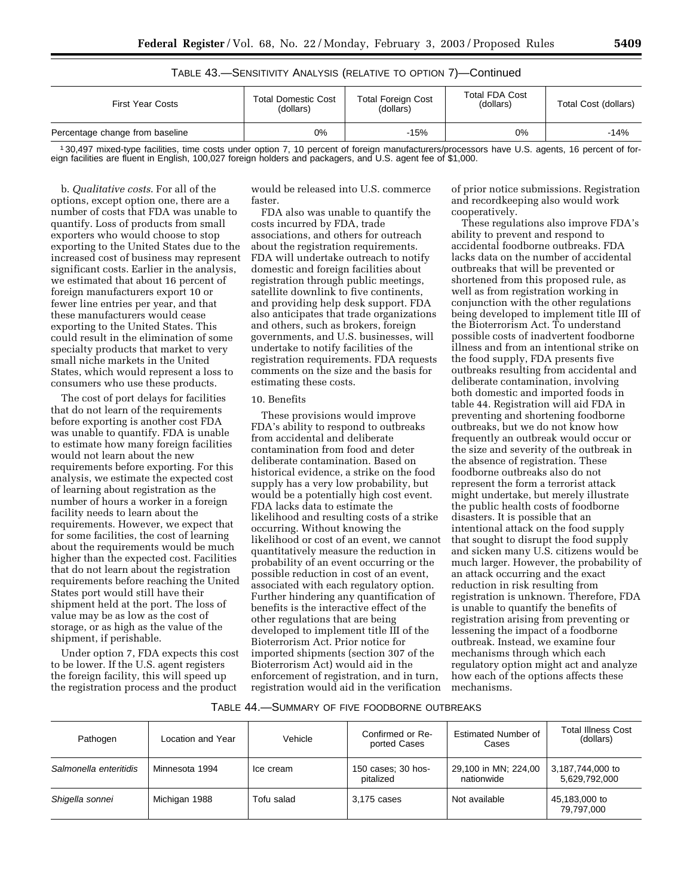| TABLE 43.—SENSITIVITY ANALYSIS (RELATIVE TO OPTION 7)—Continued |  |  |
|-----------------------------------------------------------------|--|--|
|-----------------------------------------------------------------|--|--|

| <b>First Year Costs</b>         | <b>Total Domestic Cost</b><br>(dollars) | <b>Total Foreign Cost</b><br>(dollars) | <b>Total FDA Cost</b><br>(dollars) | Total Cost (dollars) |
|---------------------------------|-----------------------------------------|----------------------------------------|------------------------------------|----------------------|
| Percentage change from baseline | 0%                                      | $-15%$                                 | 0%                                 | $-14%$               |

1 30,497 mixed-type facilities, time costs under option 7, 10 percent of foreign manufacturers/processors have U.S. agents, 16 percent of foreign facilities are fluent in English, 100,027 foreign holders and packagers, and U.S. agent fee of \$1,000.

b. *Qualitative costs*. For all of the options, except option one, there are a number of costs that FDA was unable to quantify. Loss of products from small exporters who would choose to stop exporting to the United States due to the increased cost of business may represent significant costs. Earlier in the analysis, we estimated that about 16 percent of foreign manufacturers export 10 or fewer line entries per year, and that these manufacturers would cease exporting to the United States. This could result in the elimination of some specialty products that market to very small niche markets in the United States, which would represent a loss to consumers who use these products.

The cost of port delays for facilities that do not learn of the requirements before exporting is another cost FDA was unable to quantify. FDA is unable to estimate how many foreign facilities would not learn about the new requirements before exporting. For this analysis, we estimate the expected cost of learning about registration as the number of hours a worker in a foreign facility needs to learn about the requirements. However, we expect that for some facilities, the cost of learning about the requirements would be much higher than the expected cost. Facilities that do not learn about the registration requirements before reaching the United States port would still have their shipment held at the port. The loss of value may be as low as the cost of storage, or as high as the value of the shipment, if perishable.

Under option 7, FDA expects this cost to be lower. If the U.S. agent registers the foreign facility, this will speed up the registration process and the product

would be released into U.S. commerce faster.

FDA also was unable to quantify the costs incurred by FDA, trade associations, and others for outreach about the registration requirements. FDA will undertake outreach to notify domestic and foreign facilities about registration through public meetings, satellite downlink to five continents, and providing help desk support. FDA also anticipates that trade organizations and others, such as brokers, foreign governments, and U.S. businesses, will undertake to notify facilities of the registration requirements. FDA requests comments on the size and the basis for estimating these costs.

#### 10. Benefits

These provisions would improve FDA's ability to respond to outbreaks from accidental and deliberate contamination from food and deter deliberate contamination. Based on historical evidence, a strike on the food supply has a very low probability, but would be a potentially high cost event. FDA lacks data to estimate the likelihood and resulting costs of a strike occurring. Without knowing the likelihood or cost of an event, we cannot quantitatively measure the reduction in probability of an event occurring or the possible reduction in cost of an event, associated with each regulatory option. Further hindering any quantification of benefits is the interactive effect of the other regulations that are being developed to implement title III of the Bioterrorism Act. Prior notice for imported shipments (section 307 of the Bioterrorism Act) would aid in the enforcement of registration, and in turn, registration would aid in the verification of prior notice submissions. Registration and recordkeeping also would work cooperatively.

These regulations also improve FDA's ability to prevent and respond to accidental foodborne outbreaks. FDA lacks data on the number of accidental outbreaks that will be prevented or shortened from this proposed rule, as well as from registration working in conjunction with the other regulations being developed to implement title III of the Bioterrorism Act. To understand possible costs of inadvertent foodborne illness and from an intentional strike on the food supply, FDA presents five outbreaks resulting from accidental and deliberate contamination, involving both domestic and imported foods in table 44. Registration will aid FDA in preventing and shortening foodborne outbreaks, but we do not know how frequently an outbreak would occur or the size and severity of the outbreak in the absence of registration. These foodborne outbreaks also do not represent the form a terrorist attack might undertake, but merely illustrate the public health costs of foodborne disasters. It is possible that an intentional attack on the food supply that sought to disrupt the food supply and sicken many U.S. citizens would be much larger. However, the probability of an attack occurring and the exact reduction in risk resulting from registration is unknown. Therefore, FDA is unable to quantify the benefits of registration arising from preventing or lessening the impact of a foodborne outbreak. Instead, we examine four mechanisms through which each regulatory option might act and analyze how each of the options affects these mechanisms.

## TABLE 44.—SUMMARY OF FIVE FOODBORNE OUTBREAKS

| Pathogen               | Location and Year | Vehicle    | Confirmed or Re-<br>ported Cases | <b>Estimated Number of</b><br>Cases | <b>Total Illness Cost</b><br>(dollars) |
|------------------------|-------------------|------------|----------------------------------|-------------------------------------|----------------------------------------|
| Salmonella enteritidis | Minnesota 1994    | Ice cream  | 150 cases; 30 hos-<br>pitalized  | 29,100 in MN; 224,00<br>nationwide  | 3.187.744.000 to<br>5.629.792.000      |
| Shigella sonnei        | Michigan 1988     | Tofu salad | 3.175 cases                      | Not available                       | 45,183,000 to<br>79,797,000            |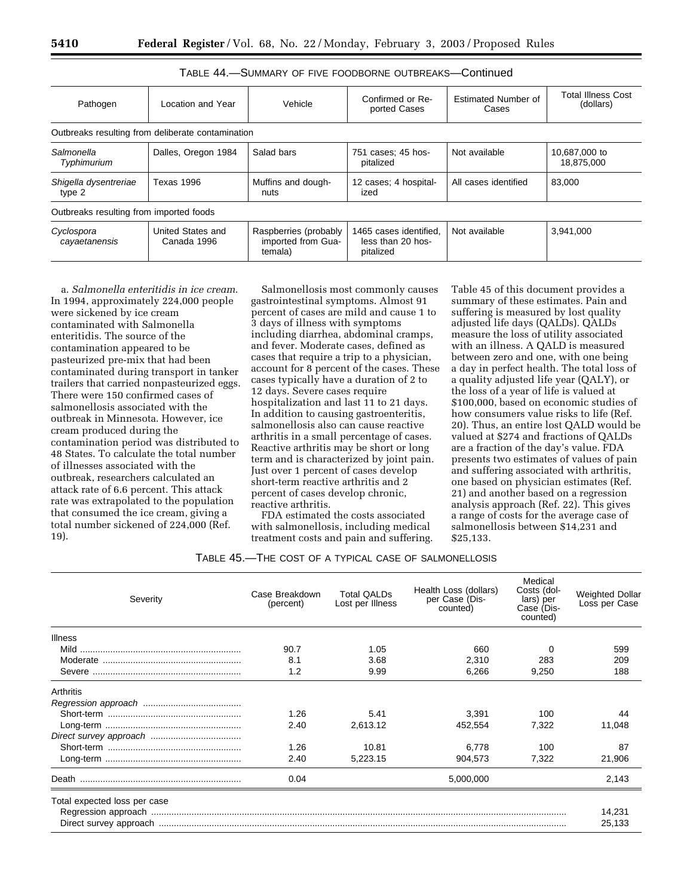| Pathogen                                | Location and Year                                 | Vehicle                                                | Confirmed or Re-<br>ported Cases                         | Estimated Number of<br>Cases | <b>Total Illness Cost</b><br>(dollars) |
|-----------------------------------------|---------------------------------------------------|--------------------------------------------------------|----------------------------------------------------------|------------------------------|----------------------------------------|
|                                         | Outbreaks resulting from deliberate contamination |                                                        |                                                          |                              |                                        |
| Salmonella<br>Typhimurium               | Dalles, Oregon 1984                               | Salad bars                                             | 751 cases; 45 hos-<br>pitalized                          | Not available                | 10,687,000 to<br>18,875,000            |
| Shigella dysentreriae<br>type 2         | <b>Texas 1996</b>                                 | Muffins and dough-<br>nuts                             | 12 cases: 4 hospital-<br>ized                            | All cases identified         | 83,000                                 |
| Outbreaks resulting from imported foods |                                                   |                                                        |                                                          |                              |                                        |
| Cyclospora<br>cayaetanensis             | United States and<br>Canada 1996                  | Raspberries (probably<br>imported from Gua-<br>temala) | 1465 cases identified.<br>less than 20 hos-<br>pitalized | Not available                | 3,941,000                              |

## TABLE 44.—SUMMARY OF FIVE FOODBORNE OUTBREAKS—Continued

a. *Salmonella enteritidis in ice cream*. In 1994, approximately 224,000 people were sickened by ice cream contaminated with Salmonella enteritidis. The source of the contamination appeared to be pasteurized pre-mix that had been contaminated during transport in tanker trailers that carried nonpasteurized eggs. There were 150 confirmed cases of salmonellosis associated with the outbreak in Minnesota. However, ice cream produced during the contamination period was distributed to 48 States. To calculate the total number of illnesses associated with the outbreak, researchers calculated an attack rate of 6.6 percent. This attack rate was extrapolated to the population that consumed the ice cream, giving a total number sickened of 224,000 (Ref. 19).

Salmonellosis most commonly causes gastrointestinal symptoms. Almost 91 percent of cases are mild and cause 1 to 3 days of illness with symptoms including diarrhea, abdominal cramps, and fever. Moderate cases, defined as cases that require a trip to a physician, account for 8 percent of the cases. These cases typically have a duration of 2 to 12 days. Severe cases require hospitalization and last 11 to 21 days. In addition to causing gastroenteritis, salmonellosis also can cause reactive arthritis in a small percentage of cases. Reactive arthritis may be short or long term and is characterized by joint pain. Just over 1 percent of cases develop short-term reactive arthritis and 2 percent of cases develop chronic, reactive arthritis.

FDA estimated the costs associated with salmonellosis, including medical treatment costs and pain and suffering.

Table 45 of this document provides a summary of these estimates. Pain and suffering is measured by lost quality adjusted life days (QALDs). QALDs measure the loss of utility associated with an illness. A QALD is measured between zero and one, with one being a day in perfect health. The total loss of a quality adjusted life year (QALY), or the loss of a year of life is valued at \$100,000, based on economic studies of how consumers value risks to life (Ref. 20). Thus, an entire lost QALD would be valued at \$274 and fractions of QALDs are a fraction of the day's value. FDA presents two estimates of values of pain and suffering associated with arthritis, one based on physician estimates (Ref. 21) and another based on a regression analysis approach (Ref. 22). This gives a range of costs for the average case of salmonellosis between \$14,231 and \$25,133.

| TABLE 45.—THE COST OF A TYPICAL CASE OF SALMONELLOSIS |  |  |  |
|-------------------------------------------------------|--|--|--|
|-------------------------------------------------------|--|--|--|

| Severity                     | Case Breakdown<br>(percent) | <b>Total QALDs</b><br>Lost per Illness | Health Loss (dollars)<br>per Case (Dis-<br>counted) | Medical<br>Costs (dol-<br>lars) per<br>Case (Dis-<br>counted) | <b>Weighted Dollar</b><br>Loss per Case |
|------------------------------|-----------------------------|----------------------------------------|-----------------------------------------------------|---------------------------------------------------------------|-----------------------------------------|
| Illness                      |                             |                                        |                                                     |                                                               |                                         |
|                              | 90.7                        | 1.05                                   | 660                                                 | 0                                                             | 599                                     |
|                              | 8.1                         | 3.68                                   | 2,310                                               | 283                                                           | 209                                     |
|                              | 1.2                         | 9.99                                   | 6,266                                               | 9,250                                                         | 188                                     |
| Arthritis                    |                             |                                        |                                                     |                                                               |                                         |
|                              |                             |                                        |                                                     |                                                               |                                         |
|                              | 1.26                        | 5.41                                   | 3.391                                               | 100                                                           | 44                                      |
|                              | 2.40                        | 2,613.12                               | 452,554                                             | 7,322                                                         | 11,048                                  |
|                              |                             |                                        |                                                     |                                                               |                                         |
|                              | 1.26                        | 10.81                                  | 6,778                                               | 100                                                           | 87                                      |
|                              | 2.40                        | 5,223.15                               | 904,573                                             | 7,322                                                         | 21,906                                  |
| Death                        | 0.04                        |                                        | 5,000,000                                           |                                                               | 2,143                                   |
| Total expected loss per case |                             |                                        |                                                     |                                                               |                                         |
|                              |                             |                                        |                                                     |                                                               | 14,231                                  |
|                              |                             |                                        |                                                     |                                                               | 25,133                                  |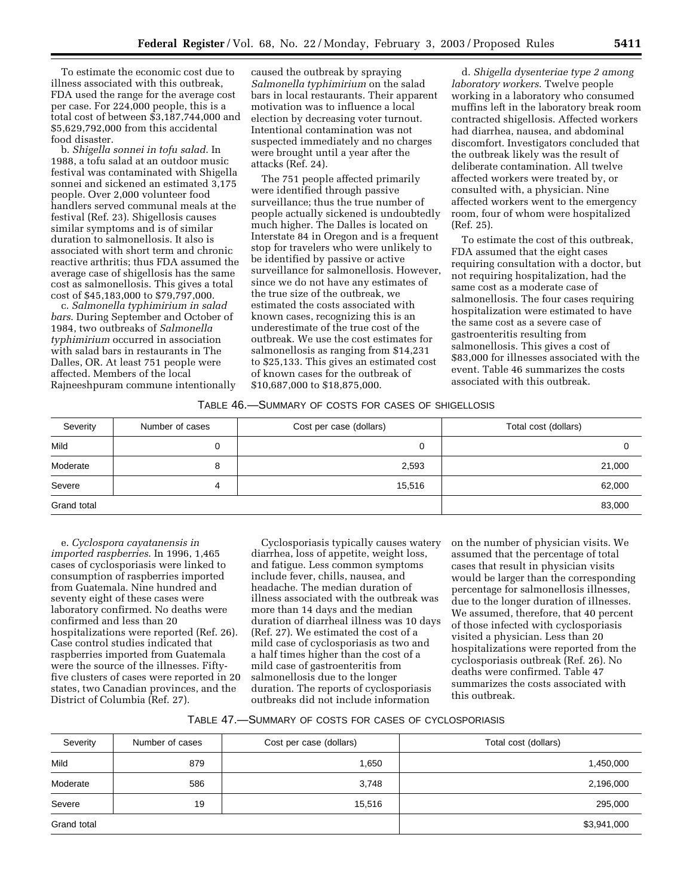To estimate the economic cost due to illness associated with this outbreak, FDA used the range for the average cost per case. For 224,000 people, this is a total cost of between \$3,187,744,000 and \$5,629,792,000 from this accidental food disaster.

b. *Shigella sonnei in tofu salad*. In 1988, a tofu salad at an outdoor music festival was contaminated with Shigella sonnei and sickened an estimated 3,175 people. Over 2,000 volunteer food handlers served communal meals at the festival (Ref. 23). Shigellosis causes similar symptoms and is of similar duration to salmonellosis. It also is associated with short term and chronic reactive arthritis; thus FDA assumed the average case of shigellosis has the same cost as salmonellosis. This gives a total cost of \$45,183,000 to \$79,797,000.

c. *Salmonella typhimirium in salad bars*. During September and October of 1984, two outbreaks of *Salmonella typhimirium* occurred in association with salad bars in restaurants in The Dalles, OR. At least 751 people were affected. Members of the local Rajneeshpuram commune intentionally

caused the outbreak by spraying *Salmonella typhimirium* on the salad bars in local restaurants. Their apparent motivation was to influence a local election by decreasing voter turnout. Intentional contamination was not suspected immediately and no charges were brought until a year after the attacks (Ref. 24).

The 751 people affected primarily were identified through passive surveillance; thus the true number of people actually sickened is undoubtedly much higher. The Dalles is located on Interstate 84 in Oregon and is a frequent stop for travelers who were unlikely to be identified by passive or active surveillance for salmonellosis. However, since we do not have any estimates of the true size of the outbreak, we estimated the costs associated with known cases, recognizing this is an underestimate of the true cost of the outbreak. We use the cost estimates for salmonellosis as ranging from \$14,231 to \$25,133. This gives an estimated cost of known cases for the outbreak of \$10,687,000 to \$18,875,000.

d. *Shigella dysenteriae type 2 among laboratory workers*. Twelve people working in a laboratory who consumed muffins left in the laboratory break room contracted shigellosis. Affected workers had diarrhea, nausea, and abdominal discomfort. Investigators concluded that the outbreak likely was the result of deliberate contamination. All twelve affected workers were treated by, or consulted with, a physician. Nine affected workers went to the emergency room, four of whom were hospitalized (Ref. 25).

To estimate the cost of this outbreak, FDA assumed that the eight cases requiring consultation with a doctor, but not requiring hospitalization, had the same cost as a moderate case of salmonellosis. The four cases requiring hospitalization were estimated to have the same cost as a severe case of gastroenteritis resulting from salmonellosis. This gives a cost of \$83,000 for illnesses associated with the event. Table 46 summarizes the costs associated with this outbreak.

#### TABLE 46.—SUMMARY OF COSTS FOR CASES OF SHIGELLOSIS

| Severity    | Number of cases | Cost per case (dollars) | Total cost (dollars) |
|-------------|-----------------|-------------------------|----------------------|
| Mild        |                 |                         |                      |
| Moderate    |                 | 2,593                   | 21,000               |
| Severe      | 4               | 15,516                  | 62,000               |
| Grand total |                 |                         | 83,000               |

e. *Cyclospora cayatanensis in imported raspberries*. In 1996, 1,465 cases of cyclosporiasis were linked to consumption of raspberries imported from Guatemala. Nine hundred and seventy eight of these cases were laboratory confirmed. No deaths were confirmed and less than 20 hospitalizations were reported (Ref. 26). Case control studies indicated that raspberries imported from Guatemala were the source of the illnesses. Fiftyfive clusters of cases were reported in 20 states, two Canadian provinces, and the District of Columbia (Ref. 27).

Cyclosporiasis typically causes watery diarrhea, loss of appetite, weight loss, and fatigue. Less common symptoms include fever, chills, nausea, and headache. The median duration of illness associated with the outbreak was more than 14 days and the median duration of diarrheal illness was 10 days (Ref. 27). We estimated the cost of a mild case of cyclosporiasis as two and a half times higher than the cost of a mild case of gastroenteritis from salmonellosis due to the longer duration. The reports of cyclosporiasis outbreaks did not include information

on the number of physician visits. We assumed that the percentage of total cases that result in physician visits would be larger than the corresponding percentage for salmonellosis illnesses, due to the longer duration of illnesses. We assumed, therefore, that 40 percent of those infected with cyclosporiasis visited a physician. Less than 20 hospitalizations were reported from the cyclosporiasis outbreak (Ref. 26). No deaths were confirmed. Table 47 summarizes the costs associated with this outbreak.

| TABLE 47. - SUMMARY OF COSTS FOR CASES OF CYCLOSPORIASIS |  |  |  |  |  |
|----------------------------------------------------------|--|--|--|--|--|
|----------------------------------------------------------|--|--|--|--|--|

| Severity    | Number of cases | Cost per case (dollars) | Total cost (dollars) |
|-------------|-----------------|-------------------------|----------------------|
| Mild        | 879             | 1,650                   | 1,450,000            |
| Moderate    | 586             | 3,748                   | 2,196,000            |
| Severe      | 19              | 15,516                  | 295,000              |
| Grand total |                 |                         | \$3,941,000          |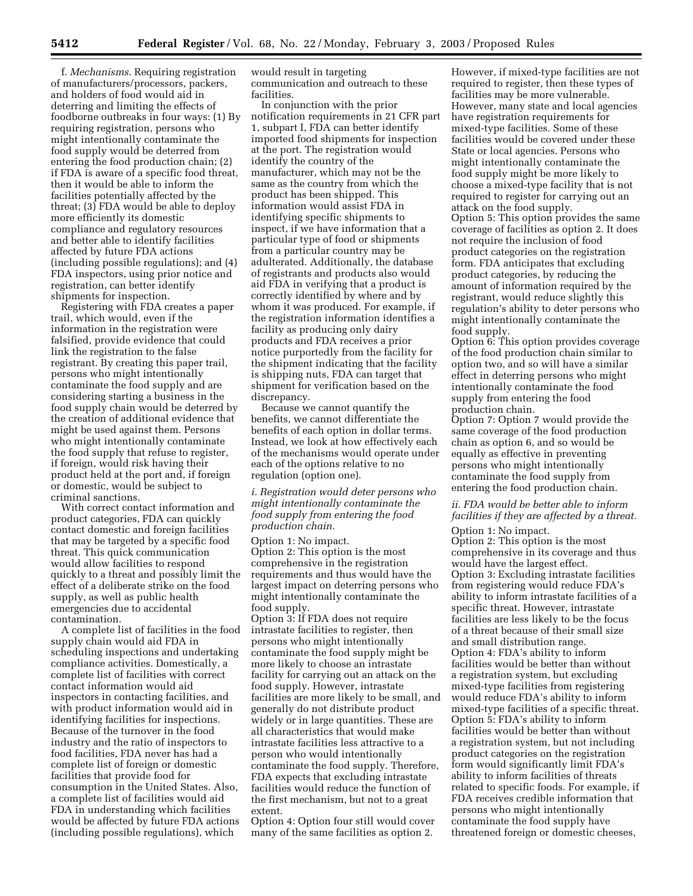f. *Mechanisms*. Requiring registration of manufacturers/processors, packers, and holders of food would aid in deterring and limiting the effects of foodborne outbreaks in four ways: (1) By requiring registration, persons who might intentionally contaminate the food supply would be deterred from entering the food production chain; (2) if FDA is aware of a specific food threat, then it would be able to inform the facilities potentially affected by the threat; (3) FDA would be able to deploy more efficiently its domestic compliance and regulatory resources and better able to identify facilities affected by future FDA actions (including possible regulations); and (4) FDA inspectors, using prior notice and registration, can better identify shipments for inspection.

Registering with FDA creates a paper trail, which would, even if the information in the registration were falsified, provide evidence that could link the registration to the false registrant. By creating this paper trail, persons who might intentionally contaminate the food supply and are considering starting a business in the food supply chain would be deterred by the creation of additional evidence that might be used against them. Persons who might intentionally contaminate the food supply that refuse to register, if foreign, would risk having their product held at the port and, if foreign or domestic, would be subject to criminal sanctions.

With correct contact information and product categories, FDA can quickly contact domestic and foreign facilities that may be targeted by a specific food threat. This quick communication would allow facilities to respond quickly to a threat and possibly limit the effect of a deliberate strike on the food supply, as well as public health emergencies due to accidental contamination.

A complete list of facilities in the food supply chain would aid FDA in scheduling inspections and undertaking compliance activities. Domestically, a complete list of facilities with correct contact information would aid inspectors in contacting facilities, and with product information would aid in identifying facilities for inspections. Because of the turnover in the food industry and the ratio of inspectors to food facilities, FDA never has had a complete list of foreign or domestic facilities that provide food for consumption in the United States. Also, a complete list of facilities would aid FDA in understanding which facilities would be affected by future FDA actions (including possible regulations), which

would result in targeting communication and outreach to these facilities.

In conjunction with the prior notification requirements in 21 CFR part 1, subpart I, FDA can better identify imported food shipments for inspection at the port. The registration would identify the country of the manufacturer, which may not be the same as the country from which the product has been shipped. This information would assist FDA in identifying specific shipments to inspect, if we have information that a particular type of food or shipments from a particular country may be adulterated. Additionally, the database of registrants and products also would aid FDA in verifying that a product is correctly identified by where and by whom it was produced. For example, if the registration information identifies a facility as producing only dairy products and FDA receives a prior notice purportedly from the facility for the shipment indicating that the facility is shipping nuts, FDA can target that shipment for verification based on the discrepancy.

Because we cannot quantify the benefits, we cannot differentiate the benefits of each option in dollar terms. Instead, we look at how effectively each of the mechanisms would operate under each of the options relative to no regulation (option one).

*i. Registration would deter persons who might intentionally contaminate the food supply from entering the food production chain.*

Option 1: No impact. Option 2: This option is the most comprehensive in the registration requirements and thus would have the largest impact on deterring persons who might intentionally contaminate the food supply.

Option 3: If FDA does not require intrastate facilities to register, then persons who might intentionally contaminate the food supply might be more likely to choose an intrastate facility for carrying out an attack on the food supply. However, intrastate facilities are more likely to be small, and generally do not distribute product widely or in large quantities. These are all characteristics that would make intrastate facilities less attractive to a person who would intentionally contaminate the food supply. Therefore, FDA expects that excluding intrastate facilities would reduce the function of the first mechanism, but not to a great extent.

Option 4: Option four still would cover many of the same facilities as option 2.

However, if mixed-type facilities are not required to register, then these types of facilities may be more vulnerable. However, many state and local agencies have registration requirements for mixed-type facilities. Some of these facilities would be covered under these State or local agencies. Persons who might intentionally contaminate the food supply might be more likely to choose a mixed-type facility that is not required to register for carrying out an attack on the food supply. Option 5: This option provides the same coverage of facilities as option 2. It does not require the inclusion of food product categories on the registration form. FDA anticipates that excluding product categories, by reducing the amount of information required by the registrant, would reduce slightly this regulation's ability to deter persons who might intentionally contaminate the food supply.

Option 6: This option provides coverage of the food production chain similar to option two, and so will have a similar effect in deterring persons who might intentionally contaminate the food supply from entering the food production chain.

Option 7: Option 7 would provide the same coverage of the food production chain as option 6, and so would be equally as effective in preventing persons who might intentionally contaminate the food supply from entering the food production chain.

#### *ii. FDA would be better able to inform facilities if they are affected by a threat.*

Option 1: No impact. Option 2: This option is the most comprehensive in its coverage and thus would have the largest effect. Option 3: Excluding intrastate facilities from registering would reduce FDA's ability to inform intrastate facilities of a specific threat. However, intrastate facilities are less likely to be the focus of a threat because of their small size and small distribution range. Option 4: FDA's ability to inform facilities would be better than without a registration system, but excluding mixed-type facilities from registering would reduce FDA's ability to inform mixed-type facilities of a specific threat. Option 5: FDA's ability to inform facilities would be better than without a registration system, but not including product categories on the registration form would significantly limit FDA's ability to inform facilities of threats related to specific foods. For example, if FDA receives credible information that persons who might intentionally contaminate the food supply have threatened foreign or domestic cheeses,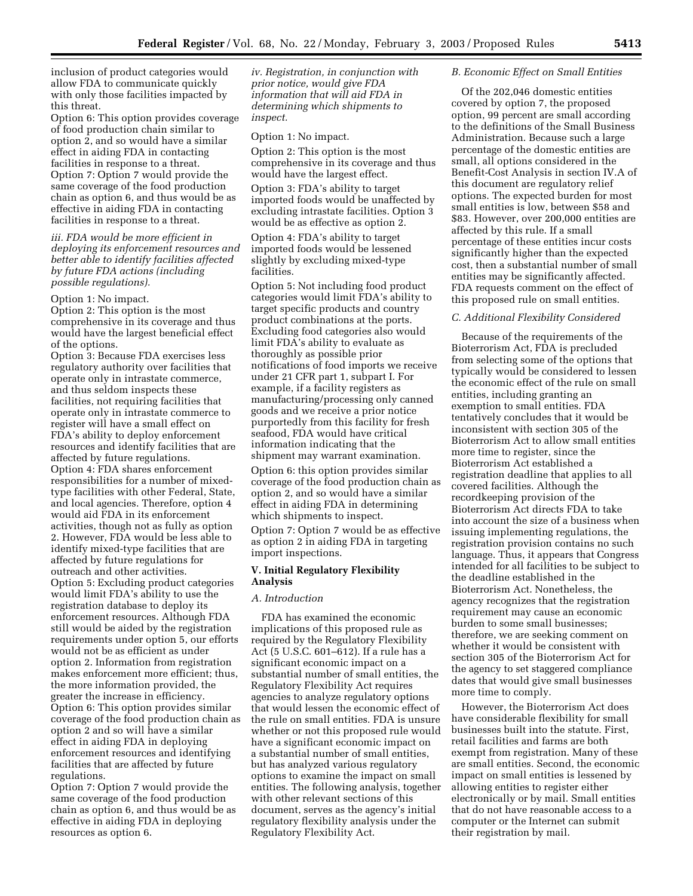inclusion of product categories would allow FDA to communicate quickly with only those facilities impacted by this threat.

Option 6: This option provides coverage of food production chain similar to option 2, and so would have a similar effect in aiding FDA in contacting facilities in response to a threat. Option 7: Option 7 would provide the same coverage of the food production chain as option 6, and thus would be as effective in aiding FDA in contacting facilities in response to a threat.

*iii. FDA would be more efficient in deploying its enforcement resources and better able to identify facilities affected by future FDA actions (including possible regulations).*

Option 1: No impact.

Option 2: This option is the most comprehensive in its coverage and thus would have the largest beneficial effect of the options.

Option 3: Because FDA exercises less regulatory authority over facilities that operate only in intrastate commerce, and thus seldom inspects these facilities, not requiring facilities that operate only in intrastate commerce to register will have a small effect on FDA's ability to deploy enforcement resources and identify facilities that are affected by future regulations. Option 4: FDA shares enforcement responsibilities for a number of mixedtype facilities with other Federal, State, and local agencies. Therefore, option 4 would aid FDA in its enforcement activities, though not as fully as option 2. However, FDA would be less able to identify mixed-type facilities that are affected by future regulations for outreach and other activities. Option 5: Excluding product categories would limit FDA's ability to use the registration database to deploy its enforcement resources. Although FDA still would be aided by the registration requirements under option 5, our efforts would not be as efficient as under option 2. Information from registration makes enforcement more efficient; thus, the more information provided, the greater the increase in efficiency. Option 6: This option provides similar coverage of the food production chain as option 2 and so will have a similar effect in aiding FDA in deploying enforcement resources and identifying facilities that are affected by future regulations.

Option 7: Option 7 would provide the same coverage of the food production chain as option 6, and thus would be as effective in aiding FDA in deploying resources as option 6.

*iv. Registration, in conjunction with prior notice, would give FDA information that will aid FDA in determining which shipments to inspect.*

Option 1: No impact.

Option 2: This option is the most comprehensive in its coverage and thus would have the largest effect.

Option 3: FDA's ability to target imported foods would be unaffected by excluding intrastate facilities. Option 3 would be as effective as option 2.

Option 4: FDA's ability to target imported foods would be lessened slightly by excluding mixed-type facilities.

Option 5: Not including food product categories would limit FDA's ability to target specific products and country product combinations at the ports. Excluding food categories also would limit FDA's ability to evaluate as thoroughly as possible prior notifications of food imports we receive under 21 CFR part 1, subpart I. For example, if a facility registers as manufacturing/processing only canned goods and we receive a prior notice purportedly from this facility for fresh seafood, FDA would have critical information indicating that the shipment may warrant examination.

Option 6: this option provides similar coverage of the food production chain as option 2, and so would have a similar effect in aiding FDA in determining which shipments to inspect.

Option 7: Option 7 would be as effective as option 2 in aiding FDA in targeting import inspections.

## **V. Initial Regulatory Flexibility Analysis**

#### *A. Introduction*

FDA has examined the economic implications of this proposed rule as required by the Regulatory Flexibility Act (5 U.S.C. 601–612). If a rule has a significant economic impact on a substantial number of small entities, the Regulatory Flexibility Act requires agencies to analyze regulatory options that would lessen the economic effect of the rule on small entities. FDA is unsure whether or not this proposed rule would have a significant economic impact on a substantial number of small entities, but has analyzed various regulatory options to examine the impact on small entities. The following analysis, together with other relevant sections of this document, serves as the agency's initial regulatory flexibility analysis under the Regulatory Flexibility Act.

#### *B. Economic Effect on Small Entities*

Of the 202,046 domestic entities covered by option 7, the proposed option, 99 percent are small according to the definitions of the Small Business Administration. Because such a large percentage of the domestic entities are small, all options considered in the Benefit-Cost Analysis in section IV.A of this document are regulatory relief options. The expected burden for most small entities is low, between \$58 and \$83. However, over 200,000 entities are affected by this rule. If a small percentage of these entities incur costs significantly higher than the expected cost, then a substantial number of small entities may be significantly affected. FDA requests comment on the effect of this proposed rule on small entities.

#### *C. Additional Flexibility Considered*

Because of the requirements of the Bioterrorism Act, FDA is precluded from selecting some of the options that typically would be considered to lessen the economic effect of the rule on small entities, including granting an exemption to small entities. FDA tentatively concludes that it would be inconsistent with section 305 of the Bioterrorism Act to allow small entities more time to register, since the Bioterrorism Act established a registration deadline that applies to all covered facilities. Although the recordkeeping provision of the Bioterrorism Act directs FDA to take into account the size of a business when issuing implementing regulations, the registration provision contains no such language. Thus, it appears that Congress intended for all facilities to be subject to the deadline established in the Bioterrorism Act. Nonetheless, the agency recognizes that the registration requirement may cause an economic burden to some small businesses; therefore, we are seeking comment on whether it would be consistent with section 305 of the Bioterrorism Act for the agency to set staggered compliance dates that would give small businesses more time to comply.

However, the Bioterrorism Act does have considerable flexibility for small businesses built into the statute. First, retail facilities and farms are both exempt from registration. Many of these are small entities. Second, the economic impact on small entities is lessened by allowing entities to register either electronically or by mail. Small entities that do not have reasonable access to a computer or the Internet can submit their registration by mail.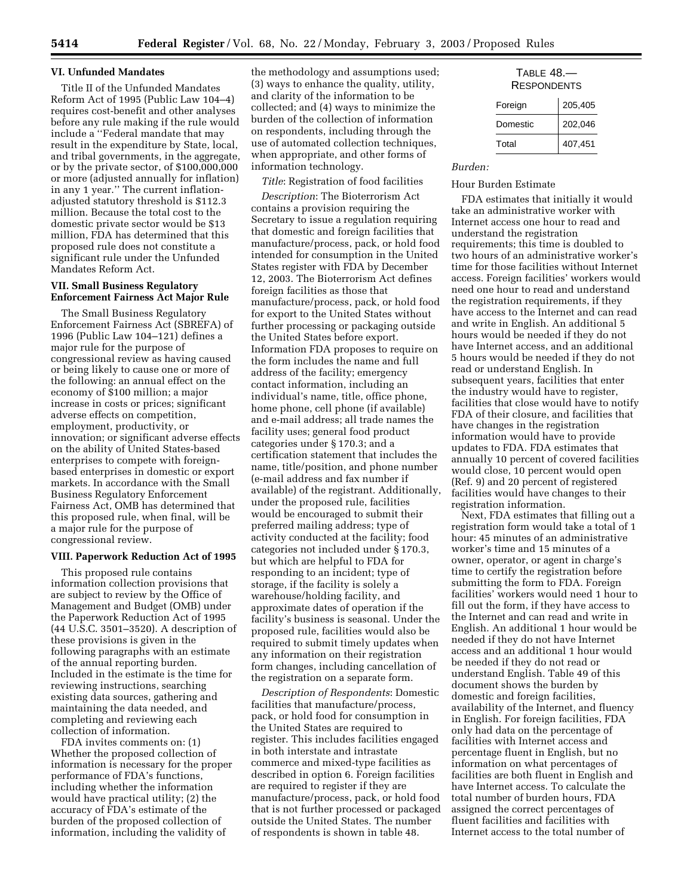#### **VI. Unfunded Mandates**

Title II of the Unfunded Mandates Reform Act of 1995 (Public Law 104–4) requires cost-benefit and other analyses before any rule making if the rule would include a ''Federal mandate that may result in the expenditure by State, local, and tribal governments, in the aggregate, or by the private sector, of \$100,000,000 or more (adjusted annually for inflation) in any 1 year.'' The current inflationadjusted statutory threshold is \$112.3 million. Because the total cost to the domestic private sector would be \$13 million, FDA has determined that this proposed rule does not constitute a significant rule under the Unfunded Mandates Reform Act.

## **VII. Small Business Regulatory Enforcement Fairness Act Major Rule**

The Small Business Regulatory Enforcement Fairness Act (SBREFA) of 1996 (Public Law 104–121) defines a major rule for the purpose of congressional review as having caused or being likely to cause one or more of the following: an annual effect on the economy of \$100 million; a major increase in costs or prices; significant adverse effects on competition, employment, productivity, or innovation; or significant adverse effects on the ability of United States-based enterprises to compete with foreignbased enterprises in domestic or export markets. In accordance with the Small Business Regulatory Enforcement Fairness Act, OMB has determined that this proposed rule, when final, will be a major rule for the purpose of congressional review.

#### **VIII. Paperwork Reduction Act of 1995**

This proposed rule contains information collection provisions that are subject to review by the Office of Management and Budget (OMB) under the Paperwork Reduction Act of 1995 (44 U.S.C. 3501–3520). A description of these provisions is given in the following paragraphs with an estimate of the annual reporting burden. Included in the estimate is the time for reviewing instructions, searching existing data sources, gathering and maintaining the data needed, and completing and reviewing each collection of information.

FDA invites comments on: (1) Whether the proposed collection of information is necessary for the proper performance of FDA's functions, including whether the information would have practical utility; (2) the accuracy of FDA's estimate of the burden of the proposed collection of information, including the validity of

the methodology and assumptions used; (3) ways to enhance the quality, utility, and clarity of the information to be collected; and (4) ways to minimize the burden of the collection of information on respondents, including through the use of automated collection techniques, when appropriate, and other forms of information technology.

## *Title*: Registration of food facilities

*Description*: The Bioterrorism Act contains a provision requiring the Secretary to issue a regulation requiring that domestic and foreign facilities that manufacture/process, pack, or hold food intended for consumption in the United States register with FDA by December 12, 2003. The Bioterrorism Act defines foreign facilities as those that manufacture/process, pack, or hold food for export to the United States without further processing or packaging outside the United States before export. Information FDA proposes to require on the form includes the name and full address of the facility; emergency contact information, including an individual's name, title, office phone, home phone, cell phone (if available) and e-mail address; all trade names the facility uses; general food product categories under § 170.3; and a certification statement that includes the name, title/position, and phone number (e-mail address and fax number if available) of the registrant. Additionally, under the proposed rule, facilities would be encouraged to submit their preferred mailing address; type of activity conducted at the facility; food categories not included under § 170.3, but which are helpful to FDA for responding to an incident; type of storage, if the facility is solely a warehouse/holding facility, and approximate dates of operation if the facility's business is seasonal. Under the proposed rule, facilities would also be required to submit timely updates when any information on their registration form changes, including cancellation of the registration on a separate form.

*Description of Respondents*: Domestic facilities that manufacture/process, pack, or hold food for consumption in the United States are required to register. This includes facilities engaged in both interstate and intrastate commerce and mixed-type facilities as described in option 6. Foreign facilities are required to register if they are manufacture/process, pack, or hold food that is not further processed or packaged outside the United States. The number of respondents is shown in table 48.

| $TABLE 48.$ —<br><b>RESPONDENTS</b> |         |  |  |  |
|-------------------------------------|---------|--|--|--|
| Foreign                             | 205,405 |  |  |  |
| Domestic                            | 202,046 |  |  |  |
|                                     |         |  |  |  |

Total 407,451

#### *Burden:*

#### Hour Burden Estimate

FDA estimates that initially it would take an administrative worker with Internet access one hour to read and understand the registration requirements; this time is doubled to two hours of an administrative worker's time for those facilities without Internet access. Foreign facilities' workers would need one hour to read and understand the registration requirements, if they have access to the Internet and can read and write in English. An additional 5 hours would be needed if they do not have Internet access, and an additional 5 hours would be needed if they do not read or understand English. In subsequent years, facilities that enter the industry would have to register, facilities that close would have to notify FDA of their closure, and facilities that have changes in the registration information would have to provide updates to FDA. FDA estimates that annually 10 percent of covered facilities would close, 10 percent would open (Ref. 9) and 20 percent of registered facilities would have changes to their registration information.

Next, FDA estimates that filling out a registration form would take a total of 1 hour: 45 minutes of an administrative worker's time and 15 minutes of a owner, operator, or agent in charge's time to certify the registration before submitting the form to FDA. Foreign facilities' workers would need 1 hour to fill out the form, if they have access to the Internet and can read and write in English. An additional 1 hour would be needed if they do not have Internet access and an additional 1 hour would be needed if they do not read or understand English. Table 49 of this document shows the burden by domestic and foreign facilities, availability of the Internet, and fluency in English. For foreign facilities, FDA only had data on the percentage of facilities with Internet access and percentage fluent in English, but no information on what percentages of facilities are both fluent in English and have Internet access. To calculate the total number of burden hours, FDA assigned the correct percentages of fluent facilities and facilities with Internet access to the total number of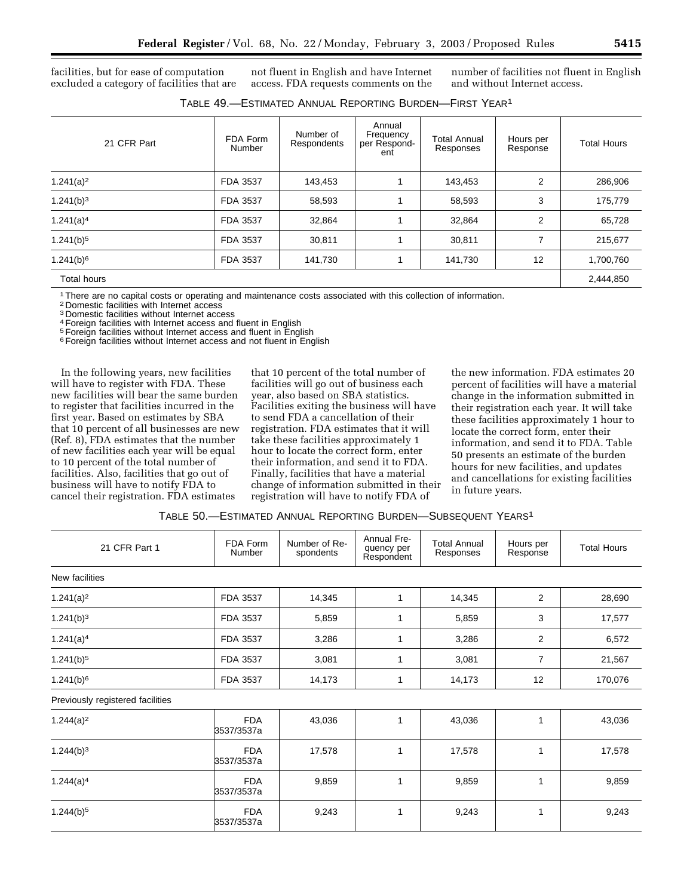facilities, but for ease of computation excluded a category of facilities that are

not fluent in English and have Internet access. FDA requests comments on the number of facilities not fluent in English and without Internet access.

| 21 CFR Part           | FDA Form<br>Number | Number of<br>Respondents | Annual<br>Frequency<br>per Respond-<br>ent | <b>Total Annual</b><br>Responses | Hours per<br>Response | <b>Total Hours</b> |
|-----------------------|--------------------|--------------------------|--------------------------------------------|----------------------------------|-----------------------|--------------------|
| $1.241(a)^2$          | FDA 3537           | 143,453                  |                                            | 143,453                          | 2                     | 286,906            |
| 1.241(b) <sup>3</sup> | FDA 3537           | 58,593                   |                                            | 58,593                           | 3                     | 175,779            |
| 1.241(a) <sup>4</sup> | FDA 3537           | 32,864                   |                                            | 32,864                           | $\overline{2}$        | 65,728             |
| $1.241(b)^5$          | FDA 3537           | 30,811                   |                                            | 30,811                           | 7                     | 215,677            |
| $1.241(b)^6$          | FDA 3537           | 141,730                  | 1                                          | 141,730                          | 12                    | 1,700,760          |
| Total hours           |                    |                          |                                            |                                  |                       | 2,444,850          |

1There are no capital costs or operating and maintenance costs associated with this collection of information.

2 Domestic facilities with Internet access

3 Domestic facilities without Internet access

4Foreign facilities with Internet access and fluent in English 5Foreign facilities without Internet access and fluent in English

<sup>6</sup> Foreign facilities without Internet access and not fluent in English

In the following years, new facilities will have to register with FDA. These new facilities will bear the same burden to register that facilities incurred in the first year. Based on estimates by SBA that 10 percent of all businesses are new (Ref. 8), FDA estimates that the number of new facilities each year will be equal to 10 percent of the total number of facilities. Also, facilities that go out of business will have to notify FDA to cancel their registration. FDA estimates

that 10 percent of the total number of facilities will go out of business each year, also based on SBA statistics. Facilities exiting the business will have to send FDA a cancellation of their registration. FDA estimates that it will take these facilities approximately 1 hour to locate the correct form, enter their information, and send it to FDA. Finally, facilities that have a material change of information submitted in their registration will have to notify FDA of

the new information. FDA estimates 20 percent of facilities will have a material change in the information submitted in their registration each year. It will take these facilities approximately 1 hour to locate the correct form, enter their information, and send it to FDA. Table 50 presents an estimate of the burden hours for new facilities, and updates and cancellations for existing facilities in future years.

| Table 50.—Estimated Annual Reporting Burden—Subsequent Years <sup>1</sup> |
|---------------------------------------------------------------------------|
|---------------------------------------------------------------------------|

| 21 CFR Part 1                    | FDA Form<br>Number       | Number of Re-<br>spondents | Annual Fre-<br>quency per<br>Respondent | <b>Total Annual</b><br>Responses | Hours per<br>Response | <b>Total Hours</b> |
|----------------------------------|--------------------------|----------------------------|-----------------------------------------|----------------------------------|-----------------------|--------------------|
| New facilities                   |                          |                            |                                         |                                  |                       |                    |
| $1.241(a)^2$                     | FDA 3537                 | 14,345                     | 1                                       | 14,345                           | 2                     | 28,690             |
| 1.241(b) <sup>3</sup>            | FDA 3537                 | 5,859                      | 1                                       | 5,859                            | 3                     | 17,577             |
| 1.241(a) <sup>4</sup>            | FDA 3537                 | 3,286                      | 1                                       | 3,286                            | 2                     | 6,572              |
| $1.241(b)^5$                     | FDA 3537                 | 3,081                      | 1                                       | 3,081                            | $\overline{7}$        | 21,567             |
| $1.241(b)^6$                     | FDA 3537                 | 14,173                     | 1                                       | 14,173                           | 12                    | 170,076            |
| Previously registered facilities |                          |                            |                                         |                                  |                       |                    |
| $1.244(a)^2$                     | <b>FDA</b><br>3537/3537a | 43,036                     | 1                                       | 43,036                           | 1                     | 43,036             |
| 1.244(b) <sup>3</sup>            | <b>FDA</b><br>3537/3537a | 17,578                     | 1                                       | 17,578                           | 1                     | 17,578             |
| 1.244(a) <sup>4</sup>            | <b>FDA</b><br>3537/3537a | 9,859                      | 1                                       | 9,859                            | 1                     | 9,859              |
| $1.244(b)^5$                     | <b>FDA</b><br>3537/3537a | 9,243                      | 1                                       | 9,243                            | 1                     | 9,243              |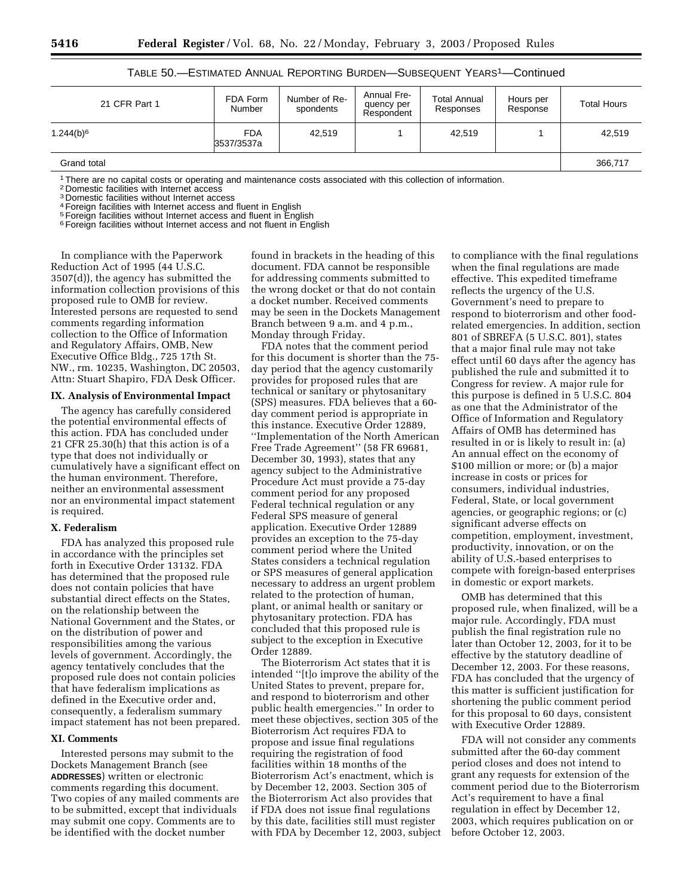| 21 CFR Part 1           | FDA Form<br>Number       | Number of Re-<br>spondents | Annual Fre-<br>quency per<br>Respondent | Total Annual<br>Responses | Hours per<br>Response | <b>Total Hours</b> |
|-------------------------|--------------------------|----------------------------|-----------------------------------------|---------------------------|-----------------------|--------------------|
| $1.244(b)$ <sup>6</sup> | <b>FDA</b><br>3537/3537a | 42.519                     |                                         | 42,519                    |                       | 42,519             |
| Grand total             |                          |                            |                                         |                           |                       | 366,717            |

## TABLE 50.—ESTIMATED ANNUAL REPORTING BURDEN—SUBSEQUENT YEARS1—Continued

1There are no capital costs or operating and maintenance costs associated with this collection of information.

2 Domestic facilities with Internet access

3 Domestic facilities without Internet access

4Foreign facilities with Internet access and fluent in English

5Foreign facilities without Internet access and fluent in English

<sup>6</sup> Foreign facilities without Internet access and not fluent in English

In compliance with the Paperwork Reduction Act of 1995 (44 U.S.C. 3507(d)), the agency has submitted the information collection provisions of this proposed rule to OMB for review. Interested persons are requested to send comments regarding information collection to the Office of Information and Regulatory Affairs, OMB, New Executive Office Bldg., 725 17th St. NW., rm. 10235, Washington, DC 20503, Attn: Stuart Shapiro, FDA Desk Officer.

#### **IX. Analysis of Environmental Impact**

The agency has carefully considered the potential environmental effects of this action. FDA has concluded under 21 CFR 25.30(h) that this action is of a type that does not individually or cumulatively have a significant effect on the human environment. Therefore, neither an environmental assessment nor an environmental impact statement is required.

#### **X. Federalism**

FDA has analyzed this proposed rule in accordance with the principles set forth in Executive Order 13132. FDA has determined that the proposed rule does not contain policies that have substantial direct effects on the States, on the relationship between the National Government and the States, or on the distribution of power and responsibilities among the various levels of government. Accordingly, the agency tentatively concludes that the proposed rule does not contain policies that have federalism implications as defined in the Executive order and, consequently, a federalism summary impact statement has not been prepared.

#### **XI. Comments**

Interested persons may submit to the Dockets Management Branch (see **ADDRESSES**) written or electronic comments regarding this document. Two copies of any mailed comments are to be submitted, except that individuals may submit one copy. Comments are to be identified with the docket number

found in brackets in the heading of this document. FDA cannot be responsible for addressing comments submitted to the wrong docket or that do not contain a docket number. Received comments may be seen in the Dockets Management Branch between 9 a.m. and 4 p.m., Monday through Friday.

FDA notes that the comment period for this document is shorter than the 75 day period that the agency customarily provides for proposed rules that are technical or sanitary or phytosanitary (SPS) measures. FDA believes that a 60 day comment period is appropriate in this instance. Executive Order 12889, ''Implementation of the North American Free Trade Agreement'' (58 FR 69681, December 30, 1993), states that any agency subject to the Administrative Procedure Act must provide a 75-day comment period for any proposed Federal technical regulation or any Federal SPS measure of general application. Executive Order 12889 provides an exception to the 75-day comment period where the United States considers a technical regulation or SPS measures of general application necessary to address an urgent problem related to the protection of human, plant, or animal health or sanitary or phytosanitary protection. FDA has concluded that this proposed rule is subject to the exception in Executive Order 12889.

The Bioterrorism Act states that it is intended ''[t]o improve the ability of the United States to prevent, prepare for, and respond to bioterrorism and other public health emergencies.'' In order to meet these objectives, section 305 of the Bioterrorism Act requires FDA to propose and issue final regulations requiring the registration of food facilities within 18 months of the Bioterrorism Act's enactment, which is by December 12, 2003. Section 305 of the Bioterrorism Act also provides that if FDA does not issue final regulations by this date, facilities still must register with FDA by December 12, 2003, subject

to compliance with the final regulations when the final regulations are made effective. This expedited timeframe reflects the urgency of the U.S. Government's need to prepare to respond to bioterrorism and other foodrelated emergencies. In addition, section 801 of SBREFA (5 U.S.C. 801), states that a major final rule may not take effect until 60 days after the agency has published the rule and submitted it to Congress for review. A major rule for this purpose is defined in 5 U.S.C. 804 as one that the Administrator of the Office of Information and Regulatory Affairs of OMB has determined has resulted in or is likely to result in: (a) An annual effect on the economy of \$100 million or more; or (b) a major increase in costs or prices for consumers, individual industries, Federal, State, or local government agencies, or geographic regions; or (c) significant adverse effects on competition, employment, investment, productivity, innovation, or on the ability of U.S.-based enterprises to compete with foreign-based enterprises in domestic or export markets.

OMB has determined that this proposed rule, when finalized, will be a major rule. Accordingly, FDA must publish the final registration rule no later than October 12, 2003, for it to be effective by the statutory deadline of December 12, 2003. For these reasons, FDA has concluded that the urgency of this matter is sufficient justification for shortening the public comment period for this proposal to 60 days, consistent with Executive Order 12889.

FDA will not consider any comments submitted after the 60-day comment period closes and does not intend to grant any requests for extension of the comment period due to the Bioterrorism Act's requirement to have a final regulation in effect by December 12, 2003, which requires publication on or before October 12, 2003.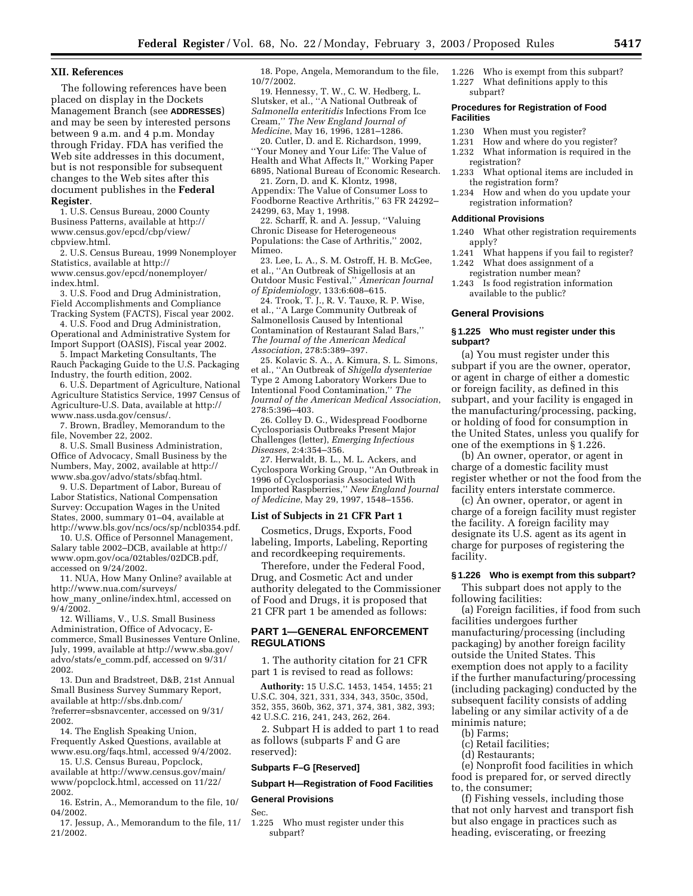#### **XII. References**

The following references have been placed on display in the Dockets Management Branch (see **ADDRESSES**) and may be seen by interested persons between 9 a.m. and 4 p.m. Monday through Friday. FDA has verified the Web site addresses in this document, but is not responsible for subsequent changes to the Web sites after this document publishes in the **Federal Register**.

1. U.S. Census Bureau, 2000 County Business Patterns, available at http:// www.census.gov/epcd/cbp/view/ cbpview.html.

2. U.S. Census Bureau, 1999 Nonemployer Statistics, available at http:// www.census.gov/epcd/nonemployer/ index.html.

3. U.S. Food and Drug Administration, Field Accomplishments and Compliance Tracking System (FACTS), Fiscal year 2002.

4. U.S. Food and Drug Administration, Operational and Administrative System for Import Support (OASIS), Fiscal year 2002.

5. Impact Marketing Consultants, The Rauch Packaging Guide to the U.S. Packaging Industry, the fourth edition, 2002.

6. U.S. Department of Agriculture, National Agriculture Statistics Service, 1997 Census of Agriculture-U.S. Data, available at http:// www.nass.usda.gov/census/.

7. Brown, Bradley, Memorandum to the file, November 22, 2002.

8. U.S. Small Business Administration, Office of Advocacy, Small Business by the Numbers, May, 2002, available at http:// www.sba.gov/advo/stats/sbfaq.html.

9. U.S. Department of Labor, Bureau of Labor Statistics, National Compensation Survey: Occupation Wages in the United States, 2000, summary 01–04, available at http://www.bls.gov/ncs/ocs/sp/ncbl0354.pdf.

10. U.S. Office of Personnel Management, Salary table 2002–DCB, available at http:// www.opm.gov/oca/02tables/02DCB.pdf, accessed on 9/24/2002.

11. NUA, How Many Online? available at http://www.nua.com/surveys/ how many online/index.html, accessed on

 $9/4/\overline{2}002$ . 12. Williams, V., U.S. Small Business Administration, Office of Advocacy, Ecommerce, Small Businesses Venture Online, July, 1999, available at http://www.sba.gov/ advo/stats/e\_comm.pdf, accessed on 9/31/ 2002.

13. Dun and Bradstreet, D&B, 21st Annual Small Business Survey Summary Report, available at http://sbs.dnb.com/ ?referrer=sbsnavcenter, accessed on 9/31/ 2002.

14. The English Speaking Union, Frequently Asked Questions, available at www.esu.org/faqs.html, accessed 9/4/2002.

15. U.S. Census Bureau, Popclock, available at http://www.census.gov/main/ www/popclock.html, accessed on 11/22/ 2002.

16. Estrin, A., Memorandum to the file, 10/ 04/2002.

17. Jessup, A., Memorandum to the file, 11/ 21/2002.

18. Pope, Angela, Memorandum to the file, 10/7/2002.

19. Hennessy, T. W., C. W. Hedberg, L. Slutsker, et al., ''A National Outbreak of *Salmonella enteritidis* Infections From Ice Cream,'' *The New England Journal of Medicine*, May 16, 1996, 1281–1286.

20. Cutler, D. and E. Richardson, 1999, ''Your Money and Your Life: The Value of Health and What Affects It,'' Working Paper 6895, National Bureau of Economic Research.

21. Zorn, D. and K. Klontz, 1998, Appendix: The Value of Consumer Loss to Foodborne Reactive Arthritis,'' 63 FR 24292– 24299, 63, May 1, 1998.

22. Scharff, R. and A. Jessup, ''Valuing Chronic Disease for Heterogeneous Populations: the Case of Arthritis,'' 2002, Mimeo.

23. Lee, L. A., S. M. Ostroff, H. B. McGee, et al., ''An Outbreak of Shigellosis at an Outdoor Music Festival,'' *American Journal of Epidemiology*, 133:6:608–615.

24. Trook, T. J., R. V. Tauxe, R. P. Wise, et al., ''A Large Community Outbreak of Salmonellosis Caused by Intentional Contamination of Restaurant Salad Bars,'' *The Journal of the American Medical Association*, 278:5:389–397.

25. Kolavic S. A., A. Kimura, S. L. Simons, et al., ''An Outbreak of *Shigella dysenteriae* Type 2 Among Laboratory Workers Due to Intentional Food Contamination,'' *The Journal of the American Medical Association*, 278:5:396–403.

26. Colley D. G., Widespread Foodborne Cyclosporiasis Outbreaks Present Major Challenges (letter), *Emerging Infectious Diseases*, 2:4:354–356.

27. Herwaldt, B. L., M. L. Ackers, and Cyclospora Working Group, ''An Outbreak in 1996 of Cyclosporiasis Associated With Imported Raspberries,'' *New England Journal of Medicine*, May 29, 1997, 1548–1556.

#### **List of Subjects in 21 CFR Part 1**

Cosmetics, Drugs, Exports, Food labeling, Imports, Labeling, Reporting and recordkeeping requirements.

Therefore, under the Federal Food, Drug, and Cosmetic Act and under authority delegated to the Commissioner of Food and Drugs, it is proposed that 21 CFR part 1 be amended as follows:

#### **PART 1—GENERAL ENFORCEMENT REGULATIONS**

1. The authority citation for 21 CFR part 1 is revised to read as follows:

**Authority:** 15 U.S.C. 1453, 1454, 1455; 21 U.S.C. 304, 321, 331, 334, 343, 350c, 350d, 352, 355, 360b, 362, 371, 374, 381, 382, 393; 42 U.S.C. 216, 241, 243, 262, 264.

2. Subpart H is added to part 1 to read as follows (subparts F and G are reserved):

#### **Subparts F–G [Reserved]**

## **Subpart H—Registration of Food Facilities**

#### **General Provisions**

Sec.

1.225 Who must register under this subpart?

1.226 Who is exempt from this subpart? What definitions apply to this subpart?

#### **Procedures for Registration of Food Facilities**

- 1.230 When must you register?
- 1.231 How and where do you register?
- 1.232 What information is required in the registration?
- 1.233 What optional items are included in the registration form?
- 1.234 How and when do you update your registration information?

#### **Additional Provisions**

1.240 What other registration requirements apply?

- 1.241 What happens if you fail to register? 1.242 What does assignment of a
- registration number mean? 1.243 Is food registration information

available to the public?

#### **General Provisions**

#### **§ 1.225 Who must register under this subpart?**

(a) You must register under this subpart if you are the owner, operator, or agent in charge of either a domestic or foreign facility, as defined in this subpart, and your facility is engaged in the manufacturing/processing, packing, or holding of food for consumption in the United States, unless you qualify for one of the exemptions in § 1.226.

(b) An owner, operator, or agent in charge of a domestic facility must register whether or not the food from the facility enters interstate commerce.

(c) An owner, operator, or agent in charge of a foreign facility must register the facility. A foreign facility may designate its U.S. agent as its agent in charge for purposes of registering the facility.

#### **§ 1.226 Who is exempt from this subpart?**

This subpart does not apply to the following facilities:

(a) Foreign facilities, if food from such facilities undergoes further manufacturing/processing (including packaging) by another foreign facility outside the United States. This exemption does not apply to a facility if the further manufacturing/processing (including packaging) conducted by the subsequent facility consists of adding labeling or any similar activity of a de minimis nature;

- (b) Farms;
- (c) Retail facilities;
- (d) Restaurants;

(e) Nonprofit food facilities in which food is prepared for, or served directly to, the consumer;

(f) Fishing vessels, including those that not only harvest and transport fish but also engage in practices such as heading, eviscerating, or freezing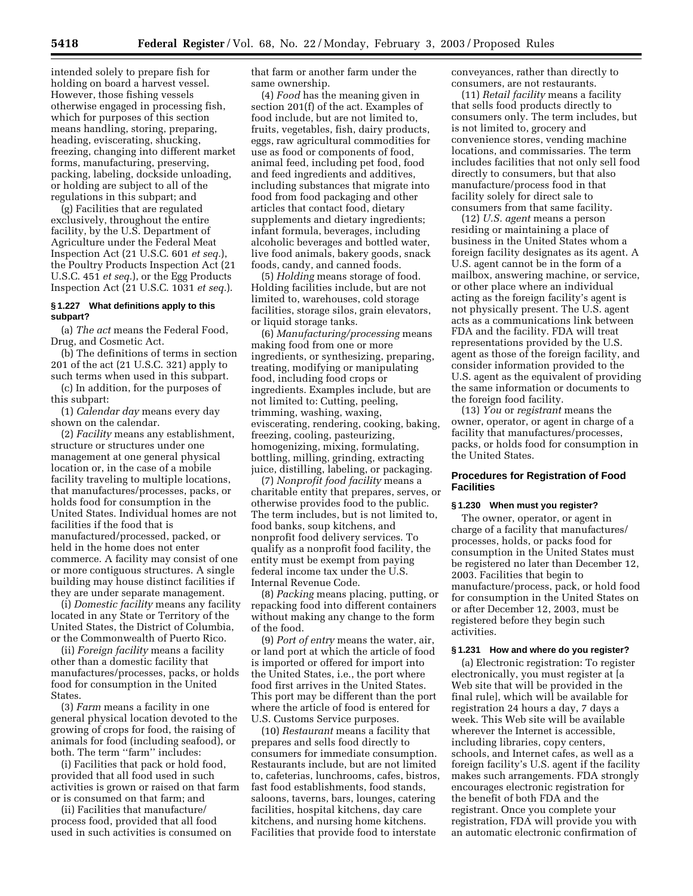intended solely to prepare fish for holding on board a harvest vessel. However, those fishing vessels otherwise engaged in processing fish, which for purposes of this section means handling, storing, preparing, heading, eviscerating, shucking, freezing, changing into different market forms, manufacturing, preserving, packing, labeling, dockside unloading, or holding are subject to all of the regulations in this subpart; and

(g) Facilities that are regulated exclusively, throughout the entire facility, by the U.S. Department of Agriculture under the Federal Meat Inspection Act (21 U.S.C. 601 *et seq.*), the Poultry Products Inspection Act (21 U.S.C. 451 *et seq.*), or the Egg Products Inspection Act (21 U.S.C. 1031 *et seq.*).

#### **§ 1.227 What definitions apply to this subpart?**

(a) *The act* means the Federal Food, Drug, and Cosmetic Act.

(b) The definitions of terms in section 201 of the act (21 U.S.C. 321) apply to such terms when used in this subpart.

(c) In addition, for the purposes of this subpart:

(1) *Calendar day* means every day shown on the calendar.

(2) *Facility* means any establishment, structure or structures under one management at one general physical location or, in the case of a mobile facility traveling to multiple locations, that manufactures/processes, packs, or holds food for consumption in the United States. Individual homes are not facilities if the food that is manufactured/processed, packed, or held in the home does not enter commerce. A facility may consist of one or more contiguous structures. A single building may house distinct facilities if they are under separate management.

(i) *Domestic facility* means any facility located in any State or Territory of the United States, the District of Columbia, or the Commonwealth of Puerto Rico.

(ii) *Foreign facility* means a facility other than a domestic facility that manufactures/processes, packs, or holds food for consumption in the United States.

(3) *Farm* means a facility in one general physical location devoted to the growing of crops for food, the raising of animals for food (including seafood), or both. The term ''farm'' includes:

(i) Facilities that pack or hold food, provided that all food used in such activities is grown or raised on that farm or is consumed on that farm; and

(ii) Facilities that manufacture/ process food, provided that all food used in such activities is consumed on that farm or another farm under the same ownership.

(4) *Food* has the meaning given in section 201(f) of the act. Examples of food include, but are not limited to, fruits, vegetables, fish, dairy products, eggs, raw agricultural commodities for use as food or components of food, animal feed, including pet food, food and feed ingredients and additives, including substances that migrate into food from food packaging and other articles that contact food, dietary supplements and dietary ingredients; infant formula, beverages, including alcoholic beverages and bottled water, live food animals, bakery goods, snack foods, candy, and canned foods.

(5) *Holding* means storage of food. Holding facilities include, but are not limited to, warehouses, cold storage facilities, storage silos, grain elevators, or liquid storage tanks.

(6) *Manufacturing/processing* means making food from one or more ingredients, or synthesizing, preparing, treating, modifying or manipulating food, including food crops or ingredients. Examples include, but are not limited to: Cutting, peeling, trimming, washing, waxing, eviscerating, rendering, cooking, baking, freezing, cooling, pasteurizing, homogenizing, mixing, formulating, bottling, milling, grinding, extracting juice, distilling, labeling, or packaging.

(7) *Nonprofit food facility* means a charitable entity that prepares, serves, or otherwise provides food to the public. The term includes, but is not limited to, food banks, soup kitchens, and nonprofit food delivery services. To qualify as a nonprofit food facility, the entity must be exempt from paying federal income tax under the U.S. Internal Revenue Code.

(8) *Packing* means placing, putting, or repacking food into different containers without making any change to the form of the food.

(9) *Port of entry* means the water, air, or land port at which the article of food is imported or offered for import into the United States, i.e., the port where food first arrives in the United States. This port may be different than the port where the article of food is entered for U.S. Customs Service purposes.

(10) *Restaurant* means a facility that prepares and sells food directly to consumers for immediate consumption. Restaurants include, but are not limited to, cafeterias, lunchrooms, cafes, bistros, fast food establishments, food stands, saloons, taverns, bars, lounges, catering facilities, hospital kitchens, day care kitchens, and nursing home kitchens. Facilities that provide food to interstate

conveyances, rather than directly to consumers, are not restaurants.

(11) *Retail facility* means a facility that sells food products directly to consumers only. The term includes, but is not limited to, grocery and convenience stores, vending machine locations, and commissaries. The term includes facilities that not only sell food directly to consumers, but that also manufacture/process food in that facility solely for direct sale to consumers from that same facility.

(12) *U.S. agent* means a person residing or maintaining a place of business in the United States whom a foreign facility designates as its agent. A U.S. agent cannot be in the form of a mailbox, answering machine, or service, or other place where an individual acting as the foreign facility's agent is not physically present. The U.S. agent acts as a communications link between FDA and the facility. FDA will treat representations provided by the U.S. agent as those of the foreign facility, and consider information provided to the U.S. agent as the equivalent of providing the same information or documents to the foreign food facility.

(13) *You* or *registrant* means the owner, operator, or agent in charge of a facility that manufactures/processes, packs, or holds food for consumption in the United States.

## **Procedures for Registration of Food Facilities**

#### **§ 1.230 When must you register?**

The owner, operator, or agent in charge of a facility that manufactures/ processes, holds, or packs food for consumption in the United States must be registered no later than December 12, 2003. Facilities that begin to manufacture/process, pack, or hold food for consumption in the United States on or after December 12, 2003, must be registered before they begin such activities.

#### **§ 1.231 How and where do you register?**

(a) Electronic registration: To register electronically, you must register at [a Web site that will be provided in the final rule], which will be available for registration 24 hours a day, 7 days a week. This Web site will be available wherever the Internet is accessible, including libraries, copy centers, schools, and Internet cafes, as well as a foreign facility's U.S. agent if the facility makes such arrangements. FDA strongly encourages electronic registration for the benefit of both FDA and the registrant. Once you complete your registration, FDA will provide you with an automatic electronic confirmation of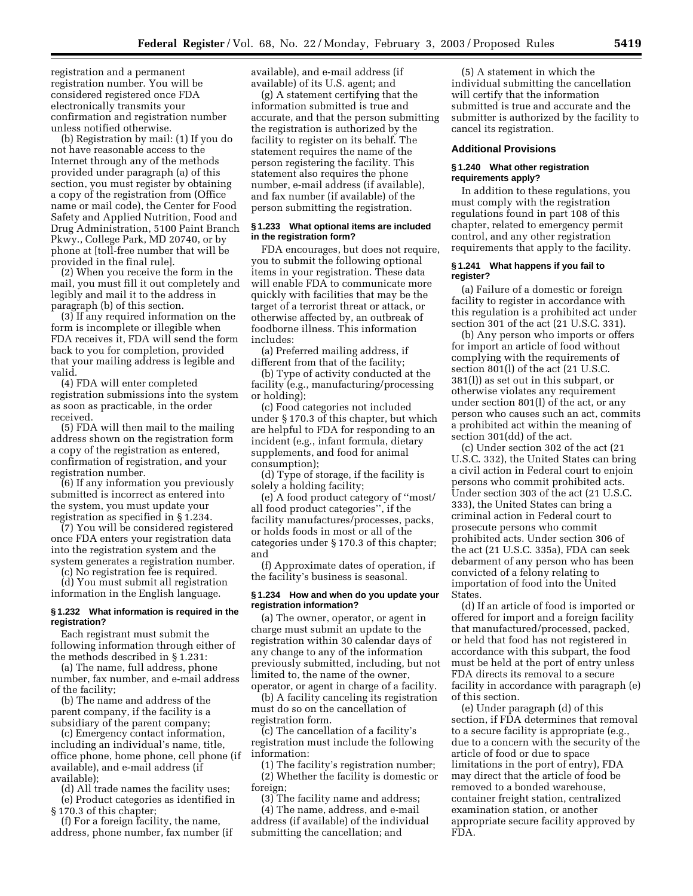registration and a permanent registration number. You will be considered registered once FDA electronically transmits your confirmation and registration number unless notified otherwise.

(b) Registration by mail: (1) If you do not have reasonable access to the Internet through any of the methods provided under paragraph (a) of this section, you must register by obtaining a copy of the registration from (Office name or mail code), the Center for Food Safety and Applied Nutrition, Food and Drug Administration, 5100 Paint Branch Pkwy., College Park, MD 20740, or by phone at [toll-free number that will be provided in the final rule].

(2) When you receive the form in the mail, you must fill it out completely and legibly and mail it to the address in paragraph (b) of this section.

(3) If any required information on the form is incomplete or illegible when FDA receives it, FDA will send the form back to you for completion, provided that your mailing address is legible and valid.

(4) FDA will enter completed registration submissions into the system as soon as practicable, in the order received.

(5) FDA will then mail to the mailing address shown on the registration form a copy of the registration as entered, confirmation of registration, and your registration number.

(6) If any information you previously submitted is incorrect as entered into the system, you must update your registration as specified in § 1.234.

(7) You will be considered registered once FDA enters your registration data into the registration system and the system generates a registration number.

(c) No registration fee is required. (d) You must submit all registration

information in the English language.

#### **§ 1.232 What information is required in the registration?**

Each registrant must submit the following information through either of the methods described in § 1.231:

(a) The name, full address, phone number, fax number, and e-mail address of the facility;

(b) The name and address of the parent company, if the facility is a subsidiary of the parent company;

(c) Emergency contact information, including an individual's name, title, office phone, home phone, cell phone (if available), and e-mail address (if available);

(d) All trade names the facility uses; (e) Product categories as identified in

§ 170.3 of this chapter;

(f) For a foreign facility, the name, address, phone number, fax number (if available), and e-mail address (if available) of its U.S. agent; and

(g) A statement certifying that the information submitted is true and accurate, and that the person submitting the registration is authorized by the facility to register on its behalf. The statement requires the name of the person registering the facility. This statement also requires the phone number, e-mail address (if available), and fax number (if available) of the person submitting the registration.

#### **§ 1.233 What optional items are included in the registration form?**

FDA encourages, but does not require, you to submit the following optional items in your registration. These data will enable FDA to communicate more quickly with facilities that may be the target of a terrorist threat or attack, or otherwise affected by, an outbreak of foodborne illness. This information includes:

(a) Preferred mailing address, if different from that of the facility;

(b) Type of activity conducted at the facility (e.g., manufacturing/processing or holding);

(c) Food categories not included under § 170.3 of this chapter, but which are helpful to FDA for responding to an incident (e.g., infant formula, dietary supplements, and food for animal consumption);

(d) Type of storage, if the facility is solely a holding facility;

(e) A food product category of ''most/ all food product categories'', if the facility manufactures/processes, packs, or holds foods in most or all of the categories under § 170.3 of this chapter; and

(f) Approximate dates of operation, if the facility's business is seasonal.

## **§ 1.234 How and when do you update your registration information?**

(a) The owner, operator, or agent in charge must submit an update to the registration within 30 calendar days of any change to any of the information previously submitted, including, but not limited to, the name of the owner, operator, or agent in charge of a facility.

(b) A facility canceling its registration must do so on the cancellation of registration form.

(c) The cancellation of a facility's registration must include the following information:

(1) The facility's registration number; (2) Whether the facility is domestic or foreign;

(3) The facility name and address;

(4) The name, address, and e-mail address (if available) of the individual submitting the cancellation; and

(5) A statement in which the individual submitting the cancellation will certify that the information submitted is true and accurate and the submitter is authorized by the facility to cancel its registration.

#### **Additional Provisions**

#### **§ 1.240 What other registration requirements apply?**

In addition to these regulations, you must comply with the registration regulations found in part 108 of this chapter, related to emergency permit control, and any other registration requirements that apply to the facility.

#### **§ 1.241 What happens if you fail to register?**

(a) Failure of a domestic or foreign facility to register in accordance with this regulation is a prohibited act under section 301 of the act (21 U.S.C. 331).

(b) Any person who imports or offers for import an article of food without complying with the requirements of section 801(l) of the act (21 U.S.C. 381(l)) as set out in this subpart, or otherwise violates any requirement under section 801(l) of the act, or any person who causes such an act, commits a prohibited act within the meaning of section 301(dd) of the act.

(c) Under section 302 of the act (21 U.S.C. 332), the United States can bring a civil action in Federal court to enjoin persons who commit prohibited acts. Under section 303 of the act (21 U.S.C. 333), the United States can bring a criminal action in Federal court to prosecute persons who commit prohibited acts. Under section 306 of the act (21 U.S.C. 335a), FDA can seek debarment of any person who has been convicted of a felony relating to importation of food into the United **States** 

(d) If an article of food is imported or offered for import and a foreign facility that manufactured/processed, packed, or held that food has not registered in accordance with this subpart, the food must be held at the port of entry unless FDA directs its removal to a secure facility in accordance with paragraph (e) of this section.

(e) Under paragraph (d) of this section, if FDA determines that removal to a secure facility is appropriate (e.g., due to a concern with the security of the article of food or due to space limitations in the port of entry), FDA may direct that the article of food be removed to a bonded warehouse, container freight station, centralized examination station, or another appropriate secure facility approved by FDA.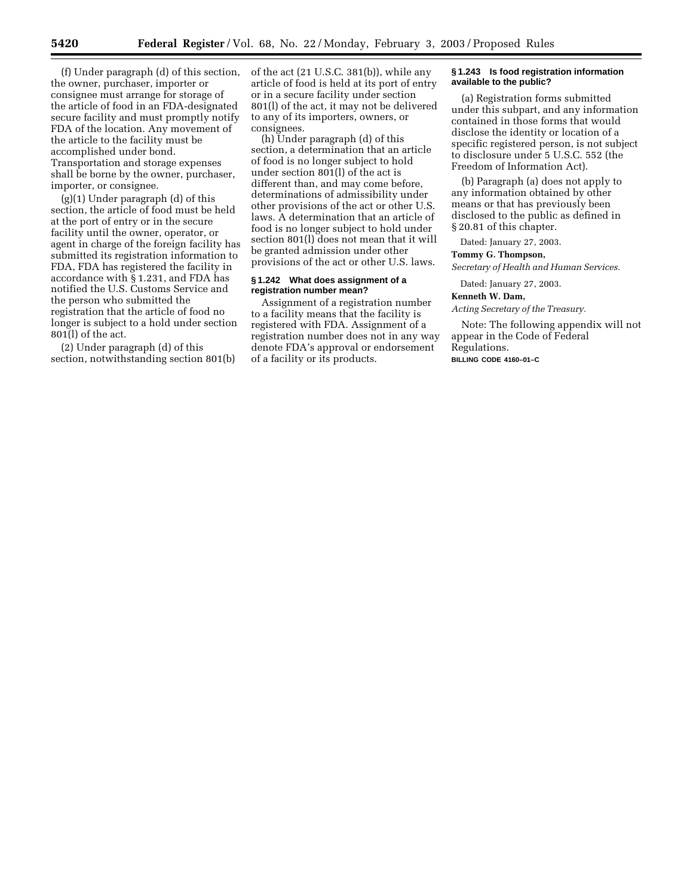(f) Under paragraph (d) of this section, the owner, purchaser, importer or consignee must arrange for storage of the article of food in an FDA-designated secure facility and must promptly notify FDA of the location. Any movement of the article to the facility must be accomplished under bond. Transportation and storage expenses shall be borne by the owner, purchaser, importer, or consignee.

(g)(1) Under paragraph (d) of this section, the article of food must be held at the port of entry or in the secure facility until the owner, operator, or agent in charge of the foreign facility has submitted its registration information to FDA, FDA has registered the facility in accordance with  $\S$  1.231, and FDA has notified the U.S. Customs Service and the person who submitted the registration that the article of food no longer is subject to a hold under section 801(l) of the act.

(2) Under paragraph (d) of this section, notwithstanding section 801(b) of the act (21 U.S.C. 381(b)), while any article of food is held at its port of entry or in a secure facility under section 801(l) of the act, it may not be delivered to any of its importers, owners, or consignees.

(h) Under paragraph (d) of this section, a determination that an article of food is no longer subject to hold under section 801(l) of the act is different than, and may come before, determinations of admissibility under other provisions of the act or other U.S. laws. A determination that an article of food is no longer subject to hold under section 801(l) does not mean that it will be granted admission under other provisions of the act or other U.S. laws.

#### **§ 1.242 What does assignment of a registration number mean?**

Assignment of a registration number to a facility means that the facility is registered with FDA. Assignment of a registration number does not in any way denote FDA's approval or endorsement of a facility or its products.

#### **§ 1.243 Is food registration information available to the public?**

(a) Registration forms submitted under this subpart, and any information contained in those forms that would disclose the identity or location of a specific registered person, is not subject to disclosure under 5 U.S.C. 552 (the Freedom of Information Act).

(b) Paragraph (a) does not apply to any information obtained by other means or that has previously been disclosed to the public as defined in § 20.81 of this chapter.

Dated: January 27, 2003.

## **Tommy G. Thompson,**

*Secretary of Health and Human Services.*

Dated: January 27, 2003.

## **Kenneth W. Dam,**

*Acting Secretary of the Treasury.*

Note: The following appendix will not appear in the Code of Federal Regulations. **BILLING CODE 4160–01–C**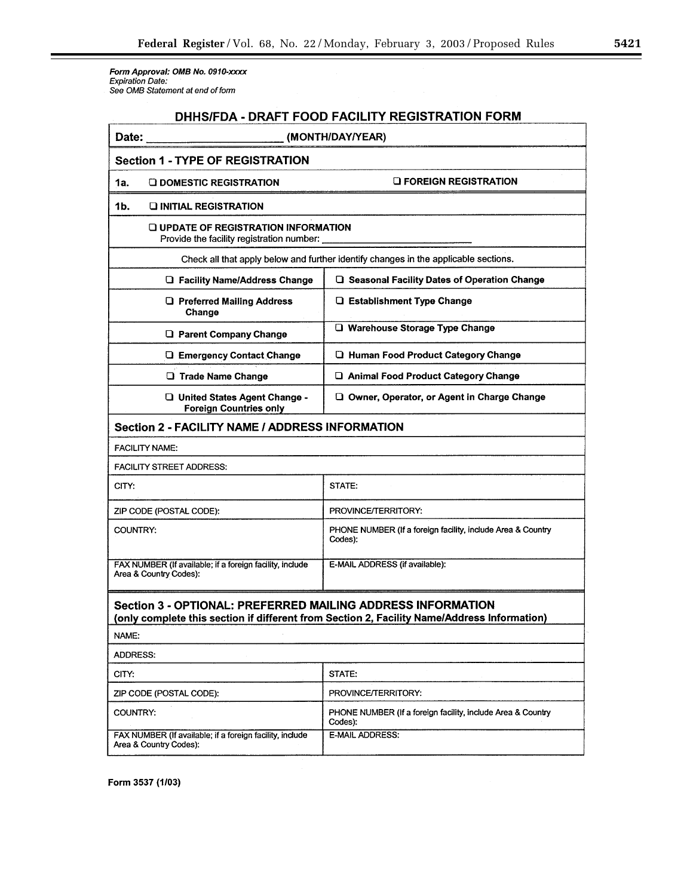Form Approval: OMB No. 0910-xxxx<br>Expiration Date:<br>See OMB Statement at end of form

# DHHS/FDA - DRAFT FOOD FACILITY REGISTRATION FORM

| Date:                                                                                    | (MONTH/DAY/YEAR)                                                                            |  |  |  |  |
|------------------------------------------------------------------------------------------|---------------------------------------------------------------------------------------------|--|--|--|--|
| <b>Section 1 - TYPE OF REGISTRATION</b>                                                  |                                                                                             |  |  |  |  |
| <b>O DOMESTIC REGISTRATION</b><br>1a.                                                    | <b>O FOREIGN REGISTRATION</b>                                                               |  |  |  |  |
| 1b.<br><b>DINITIAL REGISTRATION</b>                                                      |                                                                                             |  |  |  |  |
| <b>Q UPDATE OF REGISTRATION INFORMATION</b><br>Provide the facility registration number: |                                                                                             |  |  |  |  |
| Check all that apply below and further identify changes in the applicable sections.      |                                                                                             |  |  |  |  |
| <b>Q</b> Facility Name/Address Change                                                    | □ Seasonal Facility Dates of Operation Change                                               |  |  |  |  |
| <b>Q</b> Preferred Mailing Address<br>Change                                             | <b>Q</b> Establishment Type Change                                                          |  |  |  |  |
| <b>Q</b> Parent Company Change                                                           | O Warehouse Storage Type Change                                                             |  |  |  |  |
| <b>LI Emergency Contact Change</b>                                                       | <b>Q Human Food Product Category Change</b>                                                 |  |  |  |  |
| <b>Q</b> Trade Name Change                                                               | □ Animal Food Product Category Change                                                       |  |  |  |  |
| United States Agent Change -<br><b>Foreign Countries only</b>                            | O Owner, Operator, or Agent in Charge Change                                                |  |  |  |  |
| Section 2 - FACILITY NAME / ADDRESS INFORMATION                                          |                                                                                             |  |  |  |  |
| <b>FACILITY NAME:</b>                                                                    |                                                                                             |  |  |  |  |
| <b>FACILITY STREET ADDRESS:</b>                                                          |                                                                                             |  |  |  |  |
| CITY:                                                                                    | STATE:                                                                                      |  |  |  |  |
| ZIP CODE (POSTAL CODE):                                                                  | PROVINCE/TERRITORY:                                                                         |  |  |  |  |
| COUNTRY:                                                                                 | PHONE NUMBER (If a foreign facility, include Area & Country<br>Codes):                      |  |  |  |  |
| FAX NUMBER (If available; if a foreign facility, include<br>Area & Country Codes):       | E-MAIL ADDRESS (if available):                                                              |  |  |  |  |
| Section 3 - OPTIONAL: PREFERRED MAILING ADDRESS INFORMATION                              | (only complete this section if different from Section 2, Facility Name/Address Information) |  |  |  |  |
| NAME:                                                                                    |                                                                                             |  |  |  |  |
| <b>ADDRESS:</b>                                                                          |                                                                                             |  |  |  |  |
| CITY:                                                                                    | STATE:                                                                                      |  |  |  |  |
| ZIP CODE (POSTAL CODE):                                                                  | PROVINCE/TERRITORY:                                                                         |  |  |  |  |
| COUNTRY:                                                                                 | PHONE NUMBER (If a foreign facility, include Area & Country<br>Codes):                      |  |  |  |  |
| FAX NUMBER (If available; if a foreign facility, include<br>Area & Country Codes):       | E-MAIL ADDRESS:                                                                             |  |  |  |  |
|                                                                                          |                                                                                             |  |  |  |  |

Form 3537 (1/03)

▀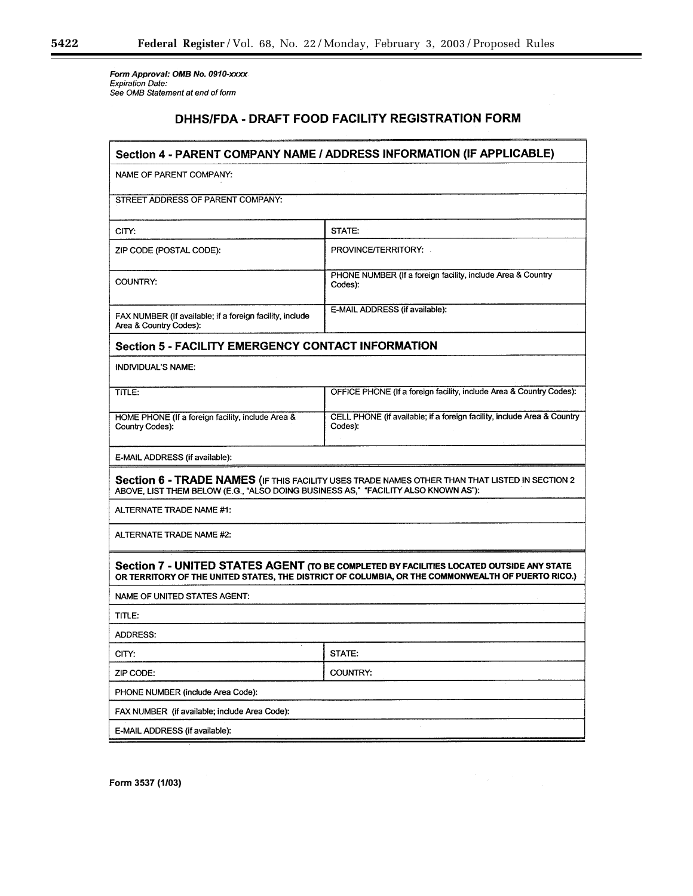۲

Form Approval: OMB No. 0910-xxxx<br>Expiration Date:<br>See OMB Statement at end of form

# DHHS/FDA - DRAFT FOOD FACILITY REGISTRATION FORM

| NAME OF PARENT COMPANY:<br>STREET ADDRESS OF PARENT COMPANY:<br>STATE:<br>CITY:<br>PROVINCE/TERRITORY:<br>ZIP CODE (POSTAL CODE):<br>PHONE NUMBER (If a foreign facility, include Area & Country<br>COUNTRY:<br>Codes):<br>E-MAIL ADDRESS (if available):<br>FAX NUMBER (If available; if a foreign facility, include<br>Area & Country Codes):<br>Section 5 - FACILITY EMERGENCY CONTACT INFORMATION<br><b>INDIVIDUAL'S NAME:</b><br>OFFICE PHONE (If a foreign facility, include Area & Country Codes):<br>TITLE:<br>CELL PHONE (if available; if a foreign facility, include Area & Country<br>HOME PHONE (If a foreign facility, include Area &<br>Country Codes):<br>Codes):<br>E-MAIL ADDRESS (if available):<br>Section 6 - TRADE NAMES (IF THIS FACILITY USES TRADE NAMES OTHER THAN THAT LISTED IN SECTION 2<br>ABOVE, LIST THEM BELOW (E.G., "ALSO DOING BUSINESS AS," "FACILITY ALSO KNOWN AS"):<br>ALTERNATE TRADE NAME #1:<br>ALTERNATE TRADE NAME #2:<br>Section 7 - UNITED STATES AGENT (TO BE COMPLETED BY FACILITIES LOCATED OUTSIDE ANY STATE<br>OR TERRITORY OF THE UNITED STATES, THE DISTRICT OF COLUMBIA, OR THE COMMONWEALTH OF PUERTO RICO.)<br>NAME OF UNITED STATES AGENT:<br>TITLE:<br><b>ADDRESS:</b><br>STATE:<br>CITY:<br><b>COUNTRY:</b><br>ZIP CODE:<br>PHONE NUMBER (include Area Code):<br>FAX NUMBER (if available; include Area Code):<br>E-MAIL ADDRESS (if available): | Section 4 - PARENT COMPANY NAME / ADDRESS INFORMATION (IF APPLICABLE) |  |  |  |  |  |
|--------------------------------------------------------------------------------------------------------------------------------------------------------------------------------------------------------------------------------------------------------------------------------------------------------------------------------------------------------------------------------------------------------------------------------------------------------------------------------------------------------------------------------------------------------------------------------------------------------------------------------------------------------------------------------------------------------------------------------------------------------------------------------------------------------------------------------------------------------------------------------------------------------------------------------------------------------------------------------------------------------------------------------------------------------------------------------------------------------------------------------------------------------------------------------------------------------------------------------------------------------------------------------------------------------------------------------------------------------------------------------------------------------------|-----------------------------------------------------------------------|--|--|--|--|--|
|                                                                                                                                                                                                                                                                                                                                                                                                                                                                                                                                                                                                                                                                                                                                                                                                                                                                                                                                                                                                                                                                                                                                                                                                                                                                                                                                                                                                              |                                                                       |  |  |  |  |  |
|                                                                                                                                                                                                                                                                                                                                                                                                                                                                                                                                                                                                                                                                                                                                                                                                                                                                                                                                                                                                                                                                                                                                                                                                                                                                                                                                                                                                              |                                                                       |  |  |  |  |  |
|                                                                                                                                                                                                                                                                                                                                                                                                                                                                                                                                                                                                                                                                                                                                                                                                                                                                                                                                                                                                                                                                                                                                                                                                                                                                                                                                                                                                              |                                                                       |  |  |  |  |  |
|                                                                                                                                                                                                                                                                                                                                                                                                                                                                                                                                                                                                                                                                                                                                                                                                                                                                                                                                                                                                                                                                                                                                                                                                                                                                                                                                                                                                              |                                                                       |  |  |  |  |  |
|                                                                                                                                                                                                                                                                                                                                                                                                                                                                                                                                                                                                                                                                                                                                                                                                                                                                                                                                                                                                                                                                                                                                                                                                                                                                                                                                                                                                              |                                                                       |  |  |  |  |  |
|                                                                                                                                                                                                                                                                                                                                                                                                                                                                                                                                                                                                                                                                                                                                                                                                                                                                                                                                                                                                                                                                                                                                                                                                                                                                                                                                                                                                              |                                                                       |  |  |  |  |  |
|                                                                                                                                                                                                                                                                                                                                                                                                                                                                                                                                                                                                                                                                                                                                                                                                                                                                                                                                                                                                                                                                                                                                                                                                                                                                                                                                                                                                              |                                                                       |  |  |  |  |  |
|                                                                                                                                                                                                                                                                                                                                                                                                                                                                                                                                                                                                                                                                                                                                                                                                                                                                                                                                                                                                                                                                                                                                                                                                                                                                                                                                                                                                              |                                                                       |  |  |  |  |  |
|                                                                                                                                                                                                                                                                                                                                                                                                                                                                                                                                                                                                                                                                                                                                                                                                                                                                                                                                                                                                                                                                                                                                                                                                                                                                                                                                                                                                              |                                                                       |  |  |  |  |  |
|                                                                                                                                                                                                                                                                                                                                                                                                                                                                                                                                                                                                                                                                                                                                                                                                                                                                                                                                                                                                                                                                                                                                                                                                                                                                                                                                                                                                              |                                                                       |  |  |  |  |  |
|                                                                                                                                                                                                                                                                                                                                                                                                                                                                                                                                                                                                                                                                                                                                                                                                                                                                                                                                                                                                                                                                                                                                                                                                                                                                                                                                                                                                              |                                                                       |  |  |  |  |  |
|                                                                                                                                                                                                                                                                                                                                                                                                                                                                                                                                                                                                                                                                                                                                                                                                                                                                                                                                                                                                                                                                                                                                                                                                                                                                                                                                                                                                              |                                                                       |  |  |  |  |  |
|                                                                                                                                                                                                                                                                                                                                                                                                                                                                                                                                                                                                                                                                                                                                                                                                                                                                                                                                                                                                                                                                                                                                                                                                                                                                                                                                                                                                              |                                                                       |  |  |  |  |  |
|                                                                                                                                                                                                                                                                                                                                                                                                                                                                                                                                                                                                                                                                                                                                                                                                                                                                                                                                                                                                                                                                                                                                                                                                                                                                                                                                                                                                              |                                                                       |  |  |  |  |  |
|                                                                                                                                                                                                                                                                                                                                                                                                                                                                                                                                                                                                                                                                                                                                                                                                                                                                                                                                                                                                                                                                                                                                                                                                                                                                                                                                                                                                              |                                                                       |  |  |  |  |  |
|                                                                                                                                                                                                                                                                                                                                                                                                                                                                                                                                                                                                                                                                                                                                                                                                                                                                                                                                                                                                                                                                                                                                                                                                                                                                                                                                                                                                              |                                                                       |  |  |  |  |  |
|                                                                                                                                                                                                                                                                                                                                                                                                                                                                                                                                                                                                                                                                                                                                                                                                                                                                                                                                                                                                                                                                                                                                                                                                                                                                                                                                                                                                              |                                                                       |  |  |  |  |  |
|                                                                                                                                                                                                                                                                                                                                                                                                                                                                                                                                                                                                                                                                                                                                                                                                                                                                                                                                                                                                                                                                                                                                                                                                                                                                                                                                                                                                              |                                                                       |  |  |  |  |  |
|                                                                                                                                                                                                                                                                                                                                                                                                                                                                                                                                                                                                                                                                                                                                                                                                                                                                                                                                                                                                                                                                                                                                                                                                                                                                                                                                                                                                              |                                                                       |  |  |  |  |  |
|                                                                                                                                                                                                                                                                                                                                                                                                                                                                                                                                                                                                                                                                                                                                                                                                                                                                                                                                                                                                                                                                                                                                                                                                                                                                                                                                                                                                              |                                                                       |  |  |  |  |  |
|                                                                                                                                                                                                                                                                                                                                                                                                                                                                                                                                                                                                                                                                                                                                                                                                                                                                                                                                                                                                                                                                                                                                                                                                                                                                                                                                                                                                              |                                                                       |  |  |  |  |  |
|                                                                                                                                                                                                                                                                                                                                                                                                                                                                                                                                                                                                                                                                                                                                                                                                                                                                                                                                                                                                                                                                                                                                                                                                                                                                                                                                                                                                              |                                                                       |  |  |  |  |  |
|                                                                                                                                                                                                                                                                                                                                                                                                                                                                                                                                                                                                                                                                                                                                                                                                                                                                                                                                                                                                                                                                                                                                                                                                                                                                                                                                                                                                              |                                                                       |  |  |  |  |  |
|                                                                                                                                                                                                                                                                                                                                                                                                                                                                                                                                                                                                                                                                                                                                                                                                                                                                                                                                                                                                                                                                                                                                                                                                                                                                                                                                                                                                              |                                                                       |  |  |  |  |  |

Form 3537 (1/03)

Ξ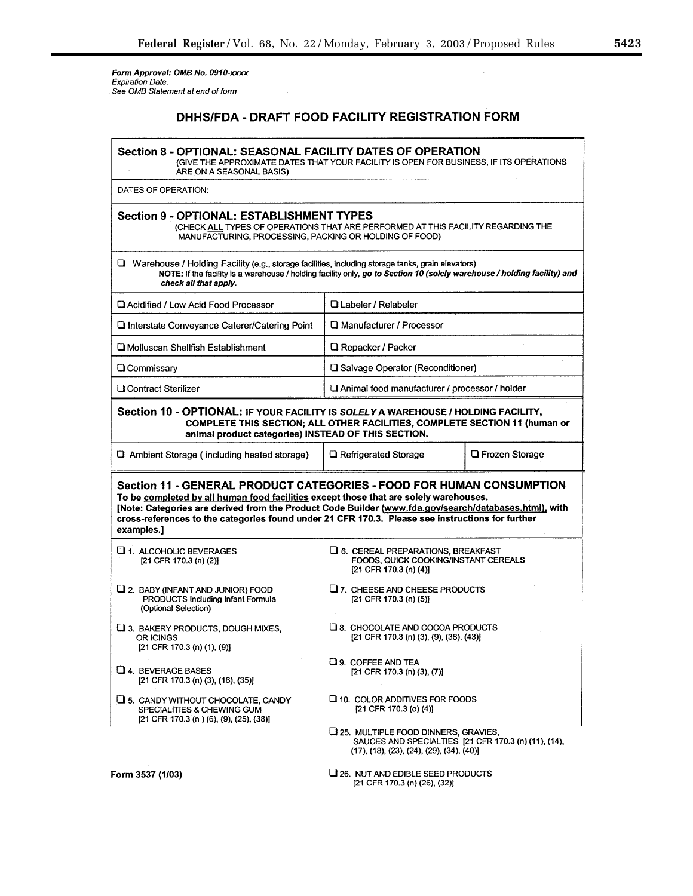Form Approval: OMB No. 0910-xxxx<br>Expiration Date:<br>See OMB Statement at end of form

# DHHS/FDA - DRAFT FOOD FACILITY REGISTRATION FORM

| Section 8 - OPTIONAL: SEASONAL FACILITY DATES OF OPERATION<br>(GIVE THE APPROXIMATE DATES THAT YOUR FACILITY IS OPEN FOR BUSINESS, IF ITS OPERATIONS<br>ARE ON A SEASONAL BASIS)                                                                                                                                                                                                         |                                                                                                                                                                  |                          |  |  |  |
|------------------------------------------------------------------------------------------------------------------------------------------------------------------------------------------------------------------------------------------------------------------------------------------------------------------------------------------------------------------------------------------|------------------------------------------------------------------------------------------------------------------------------------------------------------------|--------------------------|--|--|--|
| DATES OF OPERATION:                                                                                                                                                                                                                                                                                                                                                                      |                                                                                                                                                                  |                          |  |  |  |
| Section 9 - OPTIONAL: ESTABLISHMENT TYPES<br>(CHECK ALL TYPES OF OPERATIONS THAT ARE PERFORMED AT THIS FACILITY REGARDING THE<br>MANUFACTURING, PROCESSING, PACKING OR HOLDING OF FOOD)                                                                                                                                                                                                  |                                                                                                                                                                  |                          |  |  |  |
| $\Box$ Warehouse / Holding Facility (e.g., storage facilities, including storage tanks, grain elevators)<br>NOTE: If the facility is a warehouse / holding facility only, go to Section 10 (solely warehouse / holding facility) and<br>check all that apply.                                                                                                                            |                                                                                                                                                                  |                          |  |  |  |
| La Acidified / Low Acid Food Processor                                                                                                                                                                                                                                                                                                                                                   | Labeler / Relabeler                                                                                                                                              |                          |  |  |  |
| □ Interstate Conveyance Caterer/Catering Point                                                                                                                                                                                                                                                                                                                                           | □ Manufacturer / Processor                                                                                                                                       |                          |  |  |  |
| <b>Q Molluscan Shellfish Establishment</b>                                                                                                                                                                                                                                                                                                                                               | □ Repacker / Packer                                                                                                                                              |                          |  |  |  |
| <b>Q</b> Commissary                                                                                                                                                                                                                                                                                                                                                                      | <b>Q</b> Salvage Operator (Reconditioner)                                                                                                                        |                          |  |  |  |
| □ Contract Sterilizer                                                                                                                                                                                                                                                                                                                                                                    | □ Animal food manufacturer / processor / holder                                                                                                                  |                          |  |  |  |
| Section 10 - OPTIONAL: IF YOUR FACILITY IS SOLELY A WAREHOUSE / HOLDING FACILITY,<br>animal product categories) INSTEAD OF THIS SECTION.<br>$\Box$ Ambient Storage (including heated storage)                                                                                                                                                                                            | COMPLETE THIS SECTION; ALL OTHER FACILITIES, COMPLETE SECTION 11 (human or<br><b>Q</b> Refrigerated Storage                                                      | <b>La Frozen Storage</b> |  |  |  |
| Section 11 - GENERAL PRODUCT CATEGORIES - FOOD FOR HUMAN CONSUMPTION<br>To be completed by all human food facilities except those that are solely warehouses.<br>[Note: Categories are derived from the Product Code Builder (www.fda.gov/search/databases.html), with<br>cross-references to the categories found under 21 CFR 170.3. Please see instructions for further<br>examples.] |                                                                                                                                                                  |                          |  |  |  |
| 1. ALCOHOLIC BEVERAGES<br>[21 CFR 170.3 (n) (2)]                                                                                                                                                                                                                                                                                                                                         | $\Box$ 6. CEREAL PREPARATIONS, BREAKFAST<br>FOODS, QUICK COOKING/INSTANT CEREALS<br>[21 CFR 170.3 (n) (4)]                                                       |                          |  |  |  |
| $\Box$ 2. BABY (INFANT AND JUNIOR) FOOD<br>PRODUCTS Including Infant Formula<br>(Optional Selection)                                                                                                                                                                                                                                                                                     | $\Box$ 7. CHEESE AND CHEESE PRODUCTS<br>[21 CFR 170.3 (n) (5)]                                                                                                   |                          |  |  |  |
| 13. BAKERY PRODUCTS, DOUGH MIXES,<br>OR ICINGS<br>[21 CFR 170.3 (n) (1), (9)]                                                                                                                                                                                                                                                                                                            | □ 8. CHOCOLATE AND COCOA PRODUCTS<br>[21 CFR 170.3 (n) (3), (9), (38), (43)]                                                                                     |                          |  |  |  |
| $\Box$ 4. BEVERAGE BASES<br>[21 CFR 170.3 (n) (3), (16), (35)]                                                                                                                                                                                                                                                                                                                           | Q 9. COFFEE AND TEA<br>[21 CFR 170.3 (n) (3), (7)]                                                                                                               |                          |  |  |  |
| U 5. CANDY WITHOUT CHOCOLATE, CANDY<br>SPECIALITIES & CHEWING GUM<br>[21 CFR 170.3 (n) (6), (9), (25), (38)]                                                                                                                                                                                                                                                                             | $\Box$ 10. COLOR ADDITIVES FOR FOODS<br>[21 CFR 170.3 (o) (4)]                                                                                                   |                          |  |  |  |
|                                                                                                                                                                                                                                                                                                                                                                                          | LI 25. MULTIPLE FOOD DINNERS, GRAVIES,<br>SAUCES AND SPECIALTIES [21 CFR 170.3 (n) (11), (14),<br>$(17)$ , $(18)$ , $(23)$ , $(24)$ , $(29)$ , $(34)$ , $(40)$ ] |                          |  |  |  |
| Form 3537 (1/03)                                                                                                                                                                                                                                                                                                                                                                         | LI 26. NUT AND EDIBLE SEED PRODUCTS<br>[21 CFR 170.3 (n) (26), (32)]                                                                                             |                          |  |  |  |

▀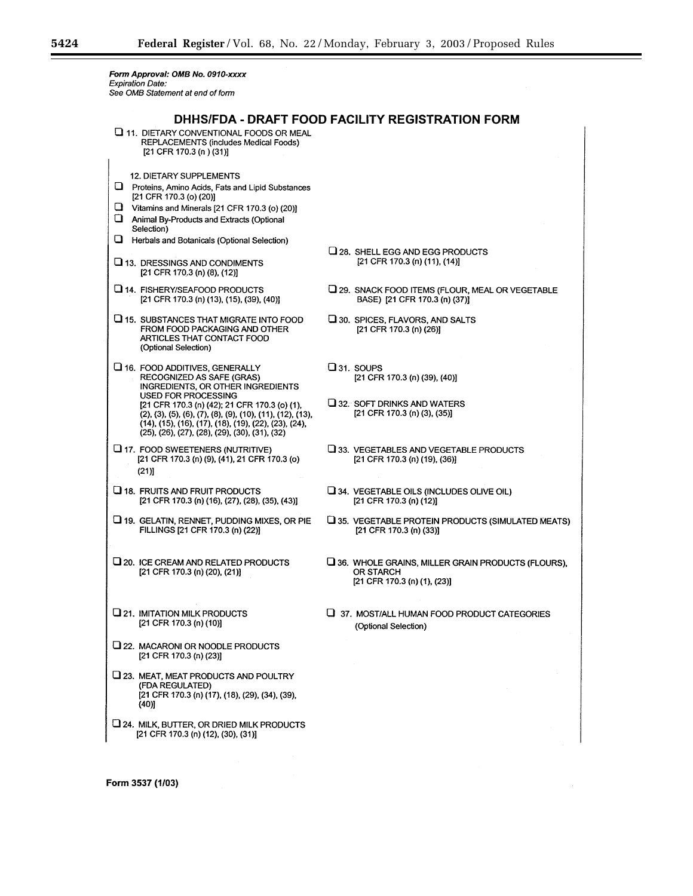÷.

Form Approval: OMB No. 0910-xxxx<br>Expiration Date:<br>See OMB Statement at end of form

| DHHS/FDA - DRAFT FOOD FACILITY REGISTRATION FORM                                                                                                                                                                                    |                                                                                                                 |  |
|-------------------------------------------------------------------------------------------------------------------------------------------------------------------------------------------------------------------------------------|-----------------------------------------------------------------------------------------------------------------|--|
| 11. DIETARY CONVENTIONAL FOODS OR MEAL<br>REPLACEMENTS (includes Medical Foods)<br>[21 CFR 170.3 (n) (31)]                                                                                                                          |                                                                                                                 |  |
| <b>12. DIETARY SUPPLEMENTS</b><br>Proteins, Amino Acids, Fats and Lipid Substances<br>[21 CFR 170.3 (o) (20)]<br>u<br>Vitamins and Minerals [21 CFR 170.3 (o) (20)]<br>О<br>Animal By-Products and Extracts (Optional<br>Selection) |                                                                                                                 |  |
| Herbals and Botanicals (Optional Selection)<br>⊔<br>$\square$ 13. DRESSINGS AND CONDIMENTS<br>[21 CFR 170.3 (n) (8), (12)]                                                                                                          | $Q$ 28. SHELL EGG AND EGG PRODUCTS<br>[21 CFR 170.3 (n) (11), (14)]                                             |  |
| 14. FISHERY/SEAFOOD PRODUCTS<br>[21 CFR 170.3 (n) (13), (15), (39), (40)]                                                                                                                                                           | 29. SNACK FOOD ITEMS (FLOUR, MEAL OR VEGETABLE<br>BASE) [21 CFR 170.3 (n) (37)]                                 |  |
| 15. SUBSTANCES THAT MIGRATE INTO FOOD<br>FROM FOOD PACKAGING AND OTHER<br>ARTICLES THAT CONTACT FOOD<br>(Optional Selection)                                                                                                        | 130. SPICES, FLAVORS, AND SALTS<br>[21 CFR 170.3 (n) (26)]                                                      |  |
| L 16. FOOD ADDITIVES, GENERALLY<br><b>RECOGNIZED AS SAFE (GRAS)</b><br>INGREDIENTS, OR OTHER INGREDIENTS<br>USED FOR PROCESSING                                                                                                     | $\square$ 31. SOUPS<br>[21 CFR 170.3 (n) (39), (40)]                                                            |  |
| [21 CFR 170.3 (n) (42); 21 CFR 170.3 (o) (1),<br>$(2), (3), (5), (6), (7), (8), (9), (10), (11), (12), (13),$<br>(14), (15), (16), (17), (18), (19), (22), (23), (24),<br>(25), (26), (27), (28), (29), (30), (31), (32)            | $\square$ 32. SOFT DRINKS AND WATERS<br>[21 CFR 170.3 (n) (3), (35)]                                            |  |
| LI 17. FOOD SWEETENERS (NUTRITIVE)<br>[21 CFR 170.3 (n) (9), (41), 21 CFR 170.3 (o)<br>(21)                                                                                                                                         | U 33. VEGETABLES AND VEGETABLE PRODUCTS<br>[21 CFR 170.3 (n) (19), (36)]                                        |  |
| <b>LI</b> 18. FRUITS AND FRUIT PRODUCTS<br>[21 CFR 170.3 (n) (16), (27), (28), (35), (43)]                                                                                                                                          | $\sqcup$ 34. VEGETABLE OILS (INCLUDES OLIVE OIL)<br>[21 CFR 170.3 (n) $(12)$ ]                                  |  |
| <b>□ 19. GELATIN, RENNET, PUDDING MIXES, OR PIE</b><br>FILLINGS [21 CFR 170.3 (n) (22)]                                                                                                                                             | $\square$ 35. VEGETABLE PROTEIN PRODUCTS (SIMULATED MEATS)<br>[21 CFR 170.3 (n) (33)]                           |  |
| $\square$ 20. ICE CREAM AND RELATED PRODUCTS<br>[21 CFR 170.3 (n) (20), (21)]                                                                                                                                                       | $\square$ 36. WHOLE GRAINS, MILLER GRAIN PRODUCTS (FLOURS),<br><b>OR STARCH</b><br>[21 CFR 170.3 (n) (1), (23)] |  |
| U 21. IMITATION MILK PRODUCTS<br>[21 CFR 170.3 (n) (10)]                                                                                                                                                                            | 37. MOST/ALL HUMAN FOOD PRODUCT CATEGORIES<br>(Optional Selection)                                              |  |
| 22. MACARONI OR NOODLE PRODUCTS<br>[21 CFR 170.3 (n) (23)]                                                                                                                                                                          |                                                                                                                 |  |
| 123. MEAT, MEAT PRODUCTS AND POULTRY<br>(FDA REGULATED)<br>[21 CFR 170.3 (n) (17), (18), (29), (34), (39),<br>(40)]                                                                                                                 |                                                                                                                 |  |
| 24. MILK, BUTTER, OR DRIED MILK PRODUCTS<br>[21 CFR 170.3 (n) (12), (30), (31)]                                                                                                                                                     |                                                                                                                 |  |

Form 3537 (1/03)

۳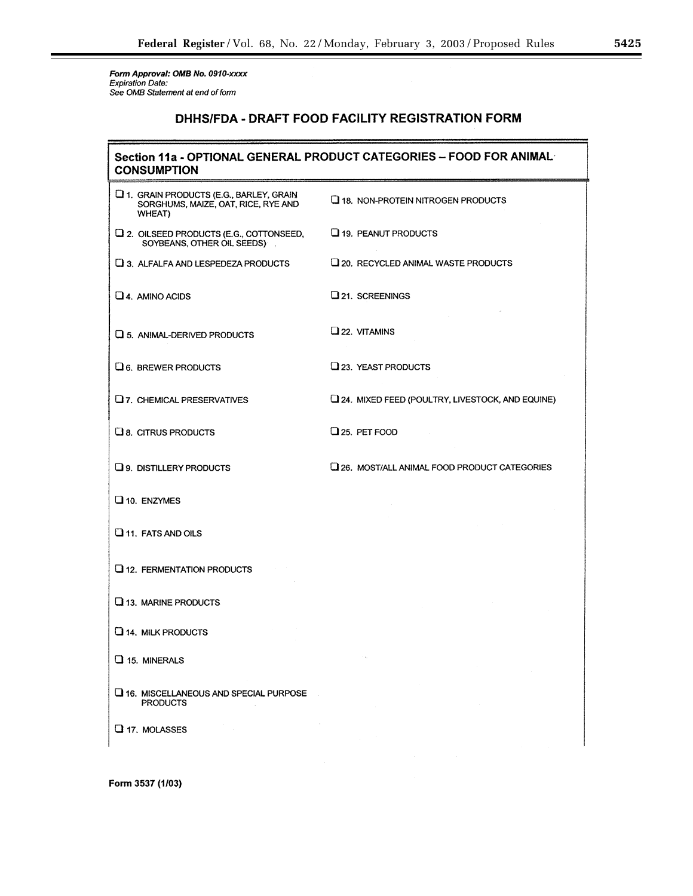Form Approval: OMB No. 0910-xxxx<br>Expiration Date:<br>See OMB Statement at end of form

# DHHS/FDA - DRAFT FOOD FACILITY REGISTRATION FORM

| Section 11a - OPTIONAL GENERAL PRODUCT CATEGORIES - FOOD FOR ANIMAL<br><b>CONSUMPTION</b> |                                                  |  |
|-------------------------------------------------------------------------------------------|--------------------------------------------------|--|
| 1. GRAIN PRODUCTS (E.G., BARLEY, GRAIN<br>SORGHUMS, MAIZE, OAT, RICE, RYE AND<br>WHEAT)   | 18. NON-PROTEIN NITROGEN PRODUCTS                |  |
| 12. OILSEED PRODUCTS (E.G., COTTONSEED,<br>SOYBEANS, OTHER OIL SEEDS)                     | 19. PEANUT PRODUCTS                              |  |
| 13. ALFALFA AND LESPEDEZA PRODUCTS                                                        | 120. RECYCLED ANIMAL WASTE PRODUCTS              |  |
| $\Box$ 4. AMINO ACIDS                                                                     | 21. SCREENINGS                                   |  |
| $\square$ 5. ANIMAL-DERIVED PRODUCTS                                                      | $Q_{22}$ , VITAMINS                              |  |
| $\Box$ 6. BREWER PRODUCTS                                                                 | 23. YEAST PRODUCTS                               |  |
| $Q$ 7. CHEMICAL PRESERVATIVES                                                             | [24. MIXED FEED (POULTRY, LIVESTOCK, AND EQUINE) |  |
| $\square$ 8. CITRUS PRODUCTS                                                              | Q 25. PET FOOD                                   |  |
| <b>Q 9. DISTILLERY PRODUCTS</b>                                                           | 26. MOST/ALL ANIMAL FOOD PRODUCT CATEGORIES      |  |
| $\square$ 10. ENZYMES                                                                     |                                                  |  |
| $\Box$ 11. FATS AND OILS                                                                  |                                                  |  |
| $Q$ 12. FERMENTATION PRODUCTS                                                             |                                                  |  |
| $\Box$ 13. MARINE PRODUCTS                                                                |                                                  |  |
| $\Box$ 14. MILK PRODUCTS                                                                  |                                                  |  |
| $\Box$ 15. MINERALS                                                                       |                                                  |  |
| $\square$ 16. MISCELLANEOUS AND SPECIAL PURPOSE<br><b>PRODUCTS</b>                        |                                                  |  |
| $\Box$ 17. MOLASSES                                                                       |                                                  |  |

Form 3537 (1/03)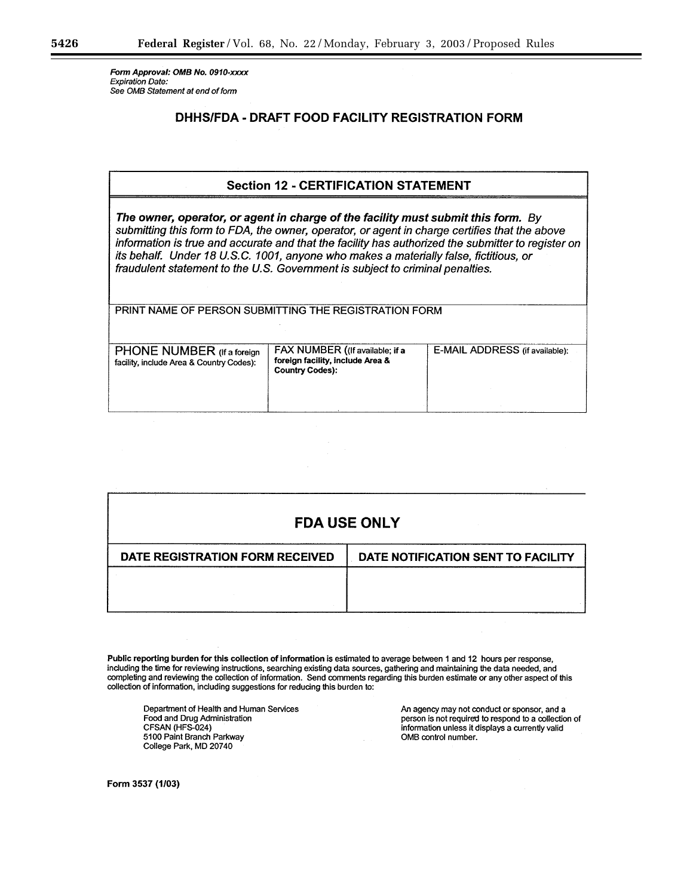Form Approval: OMB No. 0910-xxxx Expiration Date: See OMB Statement at end of form

# DHHS/FDA - DRAFT FOOD FACILITY REGISTRATION FORM

# **Section 12 - CERTIFICATION STATEMENT**

The owner, operator, or agent in charge of the facility must submit this form. By submitting this form to FDA, the owner, operator, or agent in charge certifies that the above information is true and accurate and that the facility has authorized the submitter to register on its behalf. Under 18 U.S.C. 1001, anyone who makes a materially false, fictitious, or fraudulent statement to the U.S. Government is subject to criminal penalties.

PRINT NAME OF PERSON SUBMITTING THE REGISTRATION FORM

| <b>PHONE NUMBER</b> (If a foreign<br>facility, include Area & Country Codes): | FAX NUMBER ((If available; if a<br>foreign facility, include Area &<br><b>Country Codes):</b> | E-MAIL ADDRESS (if available): |
|-------------------------------------------------------------------------------|-----------------------------------------------------------------------------------------------|--------------------------------|
|                                                                               |                                                                                               |                                |

| <b>FDA USE ONLY</b>             |                                    |  |  |  |
|---------------------------------|------------------------------------|--|--|--|
| DATE REGISTRATION FORM RECEIVED | DATE NOTIFICATION SENT TO FACILITY |  |  |  |
|                                 |                                    |  |  |  |
|                                 |                                    |  |  |  |

Public reporting burden for this collection of information is estimated to average between 1 and 12 hours per response, including the time for reviewing instructions, searching existing data sources, gathering and maintaining the data needed, and completing and reviewing the collection of information. Send comments regarding this burden estimate or any other aspect of this collection of information, including suggestions for reducing this burden to:

Department of Health and Human Services Food and Drug Administration CFSAN (HFS-024) 5100 Paint Branch Parkway College Park, MD 20740

An agency may not conduct or sponsor, and a person is not required to respond to a collection of information unless it displays a currently valid OMB control number.

Form 3537 (1/03)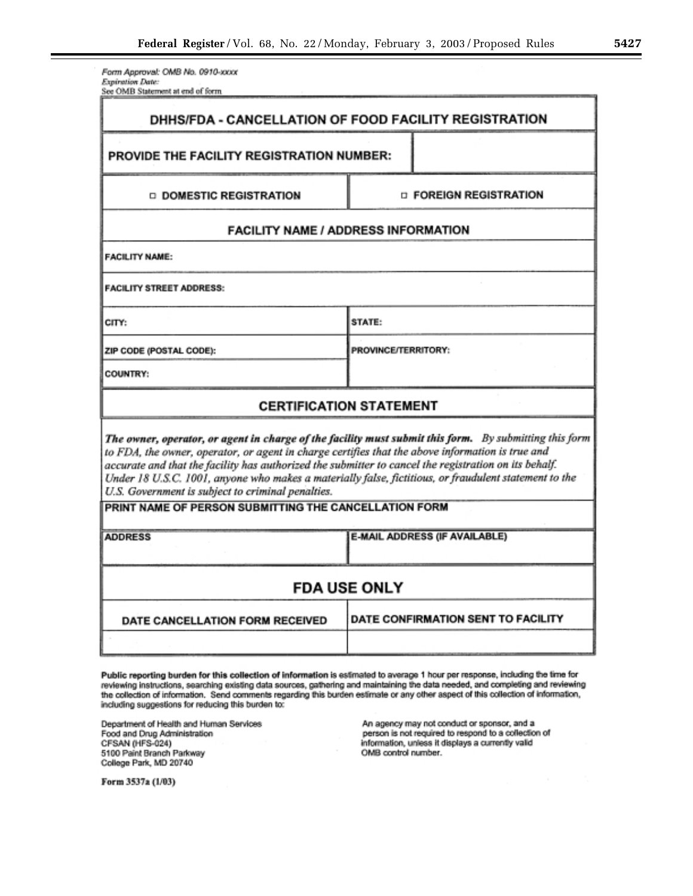Form Approval: OMB No. 0910-xxxx Expiration Date: See OMB Statement at end of form

|                                                                                                                                                                                                                                                                                                                                                                                                                                                                                   | DHHS/FDA - CANCELLATION OF FOOD FACILITY REGISTRATION |  |  |  |
|-----------------------------------------------------------------------------------------------------------------------------------------------------------------------------------------------------------------------------------------------------------------------------------------------------------------------------------------------------------------------------------------------------------------------------------------------------------------------------------|-------------------------------------------------------|--|--|--|
| PROVIDE THE FACILITY REGISTRATION NUMBER:                                                                                                                                                                                                                                                                                                                                                                                                                                         |                                                       |  |  |  |
| <b>Q DOMESTIC REGISTRATION</b>                                                                                                                                                                                                                                                                                                                                                                                                                                                    | <b>D FOREIGN REGISTRATION</b>                         |  |  |  |
| <b>FACILITY NAME / ADDRESS INFORMATION</b>                                                                                                                                                                                                                                                                                                                                                                                                                                        |                                                       |  |  |  |
| <b>FACILITY NAME:</b>                                                                                                                                                                                                                                                                                                                                                                                                                                                             |                                                       |  |  |  |
| <b>FACILITY STREET ADDRESS:</b>                                                                                                                                                                                                                                                                                                                                                                                                                                                   |                                                       |  |  |  |
| CITY:                                                                                                                                                                                                                                                                                                                                                                                                                                                                             | STATE:                                                |  |  |  |
| ZIP CODE (POSTAL CODE):                                                                                                                                                                                                                                                                                                                                                                                                                                                           | PROVINCE/TERRITORY:                                   |  |  |  |
| <b>COUNTRY:</b>                                                                                                                                                                                                                                                                                                                                                                                                                                                                   |                                                       |  |  |  |
| <b>CERTIFICATION STATEMENT</b>                                                                                                                                                                                                                                                                                                                                                                                                                                                    |                                                       |  |  |  |
| The owner, operator, or agent in charge of the facility must submit this form. By submitting this form<br>to FDA, the owner, operator, or agent in charge certifies that the above information is true and<br>accurate and that the facility has authorized the submitter to cancel the registration on its behalf.<br>Under 18 U.S.C. 1001, anyone who makes a materially false, fictitious, or fraudulent statement to the<br>U.S. Government is subject to criminal penalties. |                                                       |  |  |  |
| PRINT NAME OF PERSON SUBMITTING THE CANCELLATION FORM                                                                                                                                                                                                                                                                                                                                                                                                                             |                                                       |  |  |  |
| <b>ADDRESS</b>                                                                                                                                                                                                                                                                                                                                                                                                                                                                    | <b>E-MAIL ADDRESS (IF AVAILABLE)</b>                  |  |  |  |
| <b>FDA USE ONLY</b>                                                                                                                                                                                                                                                                                                                                                                                                                                                               |                                                       |  |  |  |
| DATE CANCELLATION FORM RECEIVED                                                                                                                                                                                                                                                                                                                                                                                                                                                   | DATE CONFIRMATION SENT TO FACILITY                    |  |  |  |
|                                                                                                                                                                                                                                                                                                                                                                                                                                                                                   |                                                       |  |  |  |

Public reporting burden for this collection of information is estimated to average 1 hour per response, including the time for reviewing instructions, searching existing data sources, gathering and maintaining the data needed, and completing and reviewing<br>the collection of information. Send comments regarding this burden estimate or any other aspe including suggestions for reducing this burden to:

Department of Health and Human Services Food and Drug Administration CFSAN (HFS-024) 5100 Paint Branch Parkway College Park, MD 20740

An agency may not conduct or sponsor, and a person is not required to respond to a collection of information, unless it displays a currently valid OMB control number.

Form 3537a (1/03)